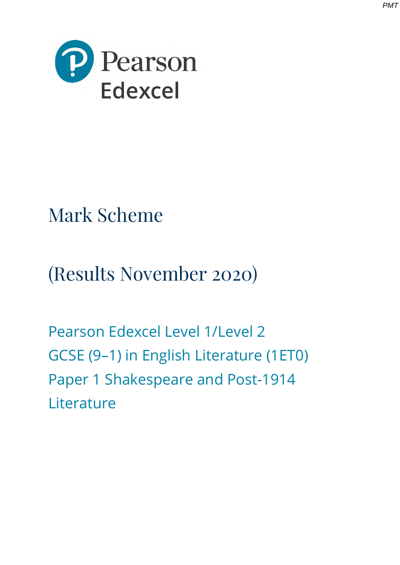



# Mark Scheme

(Results November 2020)

Pearson Edexcel Level 1/Level 2 GCSE (9–1) in English Literature (1ET0) Paper 1 Shakespeare and Post-1914 **Literature**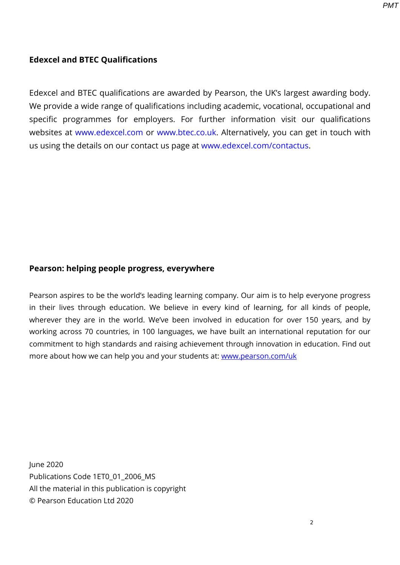### **Edexcel and BTEC Qualifications**

Edexcel and BTEC qualifications are awarded by Pearson, the UK's largest awarding body. We provide a wide range of qualifications including academic, vocational, occupational and specific programmes for employers. For further information visit our qualifications websites at [www.edexcel.com](http://www.edexcel.com/) or [www.btec.co.uk.](http://www.btec.co.uk/) Alternatively, you can get in touch with us using the details on our contact us page at [www.edexcel.com/contactus.](http://www.edexcel.com/contactus)

#### **Pearson: helping people progress, everywhere**

Pearson aspires to be the world's leading learning company. Our aim is to help everyone progress in their lives through education. We believe in every kind of learning, for all kinds of people, wherever they are in the world. We've been involved in education for over 150 years, and by working across 70 countries, in 100 languages, we have built an international reputation for our commitment to high standards and raising achievement through innovation in education. Find out more about how we can help you and your students at: [www.pearson.com/uk](http://www.pearson.com/uk)

June 2020 Publications Code 1ET0\_01\_2006\_MS All the material in this publication is copyright © Pearson Education Ltd 2020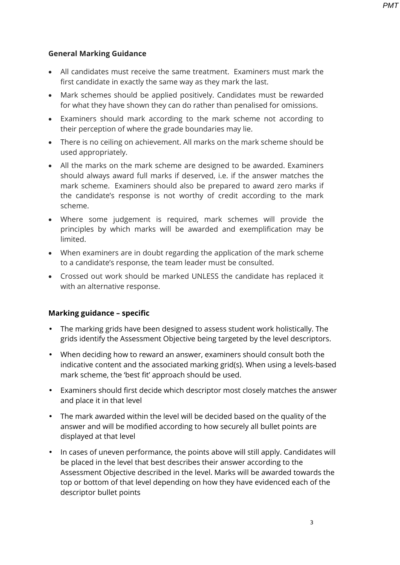*PMT*

#### **General Marking Guidance**

- All candidates must receive the same treatment. Examiners must mark the first candidate in exactly the same way as they mark the last.
- Mark schemes should be applied positively. Candidates must be rewarded for what they have shown they can do rather than penalised for omissions.
- Examiners should mark according to the mark scheme not according to their perception of where the grade boundaries may lie.
- There is no ceiling on achievement. All marks on the mark scheme should be used appropriately.
- All the marks on the mark scheme are designed to be awarded. Examiners should always award full marks if deserved, i.e. if the answer matches the mark scheme. Examiners should also be prepared to award zero marks if the candidate's response is not worthy of credit according to the mark scheme.
- Where some judgement is required, mark schemes will provide the principles by which marks will be awarded and exemplification may be limited.
- When examiners are in doubt regarding the application of the mark scheme to a candidate's response, the team leader must be consulted.
- Crossed out work should be marked UNLESS the candidate has replaced it with an alternative response.

#### **Marking guidance – specific**

- The marking grids have been designed to assess student work holistically. The grids identify the Assessment Objective being targeted by the level descriptors.
- When deciding how to reward an answer, examiners should consult both the indicative content and the associated marking grid(s). When using a levels-based mark scheme, the 'best fit' approach should be used.
- Examiners should first decide which descriptor most closely matches the answer and place it in that level
- The mark awarded within the level will be decided based on the quality of the answer and will be modified according to how securely all bullet points are displayed at that level
- In cases of uneven performance, the points above will still apply. Candidates will be placed in the level that best describes their answer according to the Assessment Objective described in the level. Marks will be awarded towards the top or bottom of that level depending on how they have evidenced each of the descriptor bullet points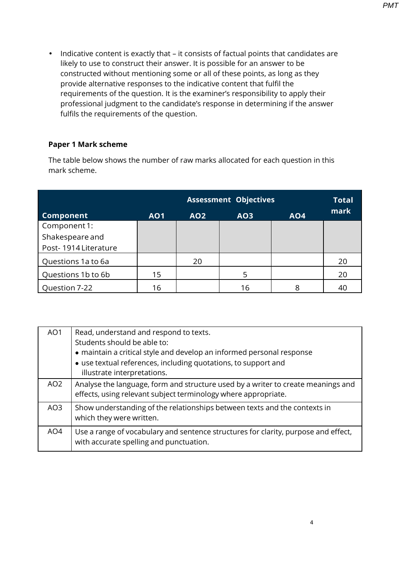• Indicative content is exactly that – it consists of factual points that candidates are likely to use to construct their answer. It is possible for an answer to be constructed without mentioning some or all of these points, as long as they provide alternative responses to the indicative content that fulfil the requirements of the question. It is the examiner's responsibility to apply their professional judgment to the candidate's response in determining if the answer fulfils the requirements of the question.

## **Paper 1 Mark scheme**

The table below shows the number of raw marks allocated for each question in this mark scheme.

|                      |            |            | <b>Assessment Objectives</b> |            | <b>Total</b> |
|----------------------|------------|------------|------------------------------|------------|--------------|
| <b>Component</b>     | <b>AO1</b> | <b>AO2</b> | <b>AO3</b>                   | <b>AO4</b> | mark         |
| Component 1:         |            |            |                              |            |              |
| Shakespeare and      |            |            |                              |            |              |
| Post-1914 Literature |            |            |                              |            |              |
| Questions 1a to 6a   |            | 20         |                              |            | 20           |
| Questions 1b to 6b   | 15         |            | 5                            |            | 20           |
| Question 7-22        | 16         |            | 16                           | 8          | 40           |

| AO <sub>1</sub> | Read, understand and respond to texts.<br>Students should be able to:                                                                                                  |
|-----------------|------------------------------------------------------------------------------------------------------------------------------------------------------------------------|
|                 | • maintain a critical style and develop an informed personal response<br>• use textual references, including quotations, to support and<br>illustrate interpretations. |
| AO <sub>2</sub> | Analyse the language, form and structure used by a writer to create meanings and<br>effects, using relevant subject terminology where appropriate.                     |
| AO3             | Show understanding of the relationships between texts and the contexts in<br>which they were written.                                                                  |
| AO4             | Use a range of vocabulary and sentence structures for clarity, purpose and effect,<br>with accurate spelling and punctuation.                                          |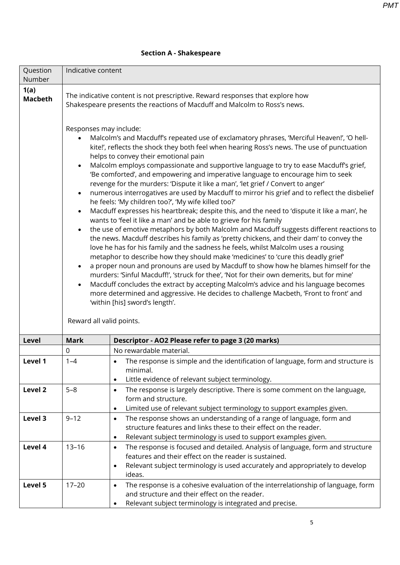| Question<br>Number     | Indicative content                                                                                                                                         |                                                                                                                                                                                                                                                                                                                                                                                                                                                                                                                                                                                                                                                                                                                                                                                                                                                                                                                                                                                                                                                                                                                                                                                                                                                                                                                                                                                                                                                                                                                                                                                                        |  |  |  |
|------------------------|------------------------------------------------------------------------------------------------------------------------------------------------------------|--------------------------------------------------------------------------------------------------------------------------------------------------------------------------------------------------------------------------------------------------------------------------------------------------------------------------------------------------------------------------------------------------------------------------------------------------------------------------------------------------------------------------------------------------------------------------------------------------------------------------------------------------------------------------------------------------------------------------------------------------------------------------------------------------------------------------------------------------------------------------------------------------------------------------------------------------------------------------------------------------------------------------------------------------------------------------------------------------------------------------------------------------------------------------------------------------------------------------------------------------------------------------------------------------------------------------------------------------------------------------------------------------------------------------------------------------------------------------------------------------------------------------------------------------------------------------------------------------------|--|--|--|
| 1(a)<br><b>Macbeth</b> | The indicative content is not prescriptive. Reward responses that explore how<br>Shakespeare presents the reactions of Macduff and Malcolm to Ross's news. |                                                                                                                                                                                                                                                                                                                                                                                                                                                                                                                                                                                                                                                                                                                                                                                                                                                                                                                                                                                                                                                                                                                                                                                                                                                                                                                                                                                                                                                                                                                                                                                                        |  |  |  |
|                        | Responses may include:<br>$\bullet$<br>$\bullet$<br>$\bullet$<br>$\bullet$<br>$\bullet$<br>$\bullet$<br>Reward all valid points.                           | Malcolm's and Macduff's repeated use of exclamatory phrases, 'Merciful Heaven!', 'O hell-<br>kite!', reflects the shock they both feel when hearing Ross's news. The use of punctuation<br>helps to convey their emotional pain<br>Malcolm employs compassionate and supportive language to try to ease Macduff's grief,<br>'Be comforted', and empowering and imperative language to encourage him to seek<br>revenge for the murders: 'Dispute it like a man', 'let grief / Convert to anger'<br>numerous interrogatives are used by Macduff to mirror his grief and to reflect the disbelief<br>he feels: 'My children too?', 'My wife killed too?'<br>Macduff expresses his heartbreak; despite this, and the need to 'dispute it like a man', he<br>wants to 'feel it like a man' and be able to grieve for his family<br>the use of emotive metaphors by both Malcolm and Macduff suggests different reactions to<br>the news. Macduff describes his family as 'pretty chickens, and their dam' to convey the<br>love he has for his family and the sadness he feels, whilst Malcolm uses a rousing<br>metaphor to describe how they should make 'medicines' to 'cure this deadly grief'<br>a proper noun and pronouns are used by Macduff to show how he blames himself for the<br>murders: 'Sinful Macduff!', 'struck for thee', 'Not for their own demerits, but for mine'<br>Macduff concludes the extract by accepting Malcolm's advice and his language becomes<br>more determined and aggressive. He decides to challenge Macbeth, 'Front to front' and<br>'within [his] sword's length'. |  |  |  |
| Level                  | <b>Mark</b>                                                                                                                                                | Descriptor - AO2 Please refer to page 3 (20 marks)                                                                                                                                                                                                                                                                                                                                                                                                                                                                                                                                                                                                                                                                                                                                                                                                                                                                                                                                                                                                                                                                                                                                                                                                                                                                                                                                                                                                                                                                                                                                                     |  |  |  |
|                        | 0                                                                                                                                                          | No rewardable material.                                                                                                                                                                                                                                                                                                                                                                                                                                                                                                                                                                                                                                                                                                                                                                                                                                                                                                                                                                                                                                                                                                                                                                                                                                                                                                                                                                                                                                                                                                                                                                                |  |  |  |
| Level 1                | $1 - 4$                                                                                                                                                    | The response is simple and the identification of language, form and structure is<br>$\bullet$<br>minimal.<br>Little evidence of relevant subject terminology.<br>$\bullet$                                                                                                                                                                                                                                                                                                                                                                                                                                                                                                                                                                                                                                                                                                                                                                                                                                                                                                                                                                                                                                                                                                                                                                                                                                                                                                                                                                                                                             |  |  |  |
| Level <sub>2</sub>     | $5 - 8$                                                                                                                                                    | The response is largely descriptive. There is some comment on the language,<br>$\bullet$<br>form and structure.<br>Limited use of relevant subject terminology to support examples given.<br>$\bullet$                                                                                                                                                                                                                                                                                                                                                                                                                                                                                                                                                                                                                                                                                                                                                                                                                                                                                                                                                                                                                                                                                                                                                                                                                                                                                                                                                                                                 |  |  |  |
| Level 3                | $9 - 12$                                                                                                                                                   | The response shows an understanding of a range of language, form and<br>$\bullet$<br>structure features and links these to their effect on the reader.<br>Relevant subject terminology is used to support examples given.<br>$\bullet$                                                                                                                                                                                                                                                                                                                                                                                                                                                                                                                                                                                                                                                                                                                                                                                                                                                                                                                                                                                                                                                                                                                                                                                                                                                                                                                                                                 |  |  |  |
| Level 4                | $13 - 16$                                                                                                                                                  | The response is focused and detailed. Analysis of language, form and structure<br>$\bullet$<br>features and their effect on the reader is sustained.<br>Relevant subject terminology is used accurately and appropriately to develop<br>$\bullet$<br>ideas.                                                                                                                                                                                                                                                                                                                                                                                                                                                                                                                                                                                                                                                                                                                                                                                                                                                                                                                                                                                                                                                                                                                                                                                                                                                                                                                                            |  |  |  |
| Level 5                | $17 - 20$                                                                                                                                                  | The response is a cohesive evaluation of the interrelationship of language, form<br>$\bullet$<br>and structure and their effect on the reader.<br>Relevant subject terminology is integrated and precise.<br>$\bullet$                                                                                                                                                                                                                                                                                                                                                                                                                                                                                                                                                                                                                                                                                                                                                                                                                                                                                                                                                                                                                                                                                                                                                                                                                                                                                                                                                                                 |  |  |  |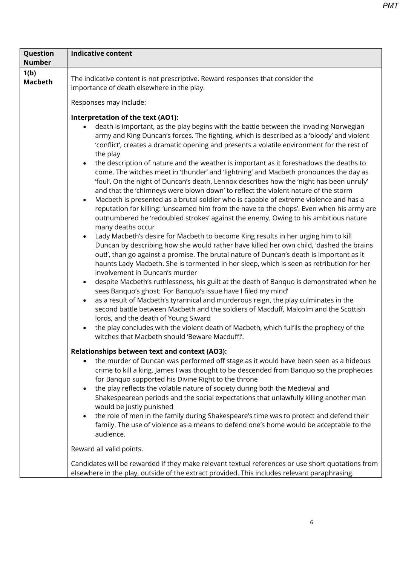| <b>Number</b><br>1(b)<br>The indicative content is not prescriptive. Reward responses that consider the<br><b>Macbeth</b><br>importance of death elsewhere in the play.<br>Responses may include:<br>Interpretation of the text (AO1):                                                                                                                                                                                                                                                                                                                                                                                                                                                                                                                                                                                                                                                                                                                                                                                                                                                                                                                                                                |
|-------------------------------------------------------------------------------------------------------------------------------------------------------------------------------------------------------------------------------------------------------------------------------------------------------------------------------------------------------------------------------------------------------------------------------------------------------------------------------------------------------------------------------------------------------------------------------------------------------------------------------------------------------------------------------------------------------------------------------------------------------------------------------------------------------------------------------------------------------------------------------------------------------------------------------------------------------------------------------------------------------------------------------------------------------------------------------------------------------------------------------------------------------------------------------------------------------|
| death is important, as the play begins with the battle between the invading Norwegian<br>army and King Duncan's forces. The fighting, which is described as a 'bloody' and violent<br>'conflict', creates a dramatic opening and presents a volatile environment for the rest of<br>the play<br>the description of nature and the weather is important as it foreshadows the deaths to<br>$\bullet$<br>come. The witches meet in 'thunder' and 'lightning' and Macbeth pronounces the day as<br>'foul'. On the night of Duncan's death, Lennox describes how the 'night has been unruly'<br>and that the 'chimneys were blown down' to reflect the violent nature of the storm<br>Macbeth is presented as a brutal soldier who is capable of extreme violence and has a<br>$\bullet$                                                                                                                                                                                                                                                                                                                                                                                                                  |
| reputation for killing: 'unseamed him from the nave to the chops'. Even when his army are<br>outnumbered he 'redoubled strokes' against the enemy. Owing to his ambitious nature<br>many deaths occur<br>Lady Macbeth's desire for Macbeth to become King results in her urging him to kill<br>$\bullet$<br>Duncan by describing how she would rather have killed her own child, 'dashed the brains<br>out!', than go against a promise. The brutal nature of Duncan's death is important as it<br>haunts Lady Macbeth. She is tormented in her sleep, which is seen as retribution for her<br>involvement in Duncan's murder<br>despite Macbeth's ruthlessness, his guilt at the death of Banquo is demonstrated when he<br>$\bullet$<br>sees Banquo's ghost: 'For Banquo's issue have I filed my mind'<br>as a result of Macbeth's tyrannical and murderous reign, the play culminates in the<br>$\bullet$<br>second battle between Macbeth and the soldiers of Macduff, Malcolm and the Scottish<br>lords, and the death of Young Siward<br>the play concludes with the violent death of Macbeth, which fulfils the prophecy of the<br>$\bullet$<br>witches that Macbeth should 'Beware Macduff!'. |
| <b>Relationships between text and context (AO3):</b><br>the murder of Duncan was performed off stage as it would have been seen as a hideous<br>$\bullet$<br>crime to kill a king. James I was thought to be descended from Banquo so the prophecies<br>for Banquo supported his Divine Right to the throne<br>the play reflects the volatile nature of society during both the Medieval and<br>$\bullet$<br>Shakespearean periods and the social expectations that unlawfully killing another man<br>would be justly punished<br>the role of men in the family during Shakespeare's time was to protect and defend their<br>$\bullet$<br>family. The use of violence as a means to defend one's home would be acceptable to the<br>audience.                                                                                                                                                                                                                                                                                                                                                                                                                                                         |
| Reward all valid points.                                                                                                                                                                                                                                                                                                                                                                                                                                                                                                                                                                                                                                                                                                                                                                                                                                                                                                                                                                                                                                                                                                                                                                              |
| Candidates will be rewarded if they make relevant textual references or use short quotations from<br>elsewhere in the play, outside of the extract provided. This includes relevant paraphrasing.                                                                                                                                                                                                                                                                                                                                                                                                                                                                                                                                                                                                                                                                                                                                                                                                                                                                                                                                                                                                     |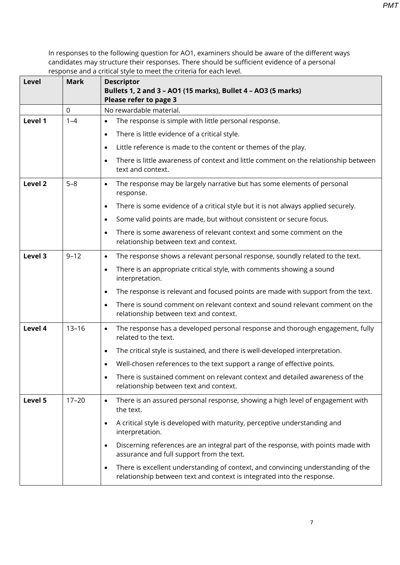| <b>Level</b>       | <b>Mark</b>      | <b>Descriptor</b><br>Bullets 1, 2 and 3 - AO1 (15 marks), Bullet 4 - AO3 (5 marks)<br>Please refer to page 3                                                            |  |  |  |
|--------------------|------------------|-------------------------------------------------------------------------------------------------------------------------------------------------------------------------|--|--|--|
|                    | $\boldsymbol{0}$ | No rewardable material.                                                                                                                                                 |  |  |  |
| Level 1            | $1 - 4$          | The response is simple with little personal response.<br>$\bullet$                                                                                                      |  |  |  |
|                    |                  | There is little evidence of a critical style.<br>$\bullet$                                                                                                              |  |  |  |
|                    |                  | Little reference is made to the content or themes of the play.<br>$\bullet$                                                                                             |  |  |  |
|                    |                  | There is little awareness of context and little comment on the relationship between<br>$\bullet$<br>text and context.                                                   |  |  |  |
| Level <sub>2</sub> | $5 - 8$          | The response may be largely narrative but has some elements of personal<br>$\bullet$<br>response.                                                                       |  |  |  |
|                    |                  | There is some evidence of a critical style but it is not always applied securely.<br>$\bullet$                                                                          |  |  |  |
|                    |                  | Some valid points are made, but without consistent or secure focus.<br>$\bullet$                                                                                        |  |  |  |
|                    |                  | There is some awareness of relevant context and some comment on the<br>$\bullet$<br>relationship between text and context.                                              |  |  |  |
| Level 3            | $9 - 12$         | The response shows a relevant personal response, soundly related to the text.<br>$\bullet$                                                                              |  |  |  |
|                    |                  | There is an appropriate critical style, with comments showing a sound<br>$\bullet$<br>interpretation.                                                                   |  |  |  |
|                    |                  | The response is relevant and focused points are made with support from the text.<br>$\bullet$                                                                           |  |  |  |
|                    |                  | There is sound comment on relevant context and sound relevant comment on the<br>$\bullet$<br>relationship between text and context.                                     |  |  |  |
| Level 4            | $13 - 16$        | The response has a developed personal response and thorough engagement, fully<br>$\bullet$<br>related to the text.                                                      |  |  |  |
|                    |                  | The critical style is sustained, and there is well-developed interpretation.<br>$\bullet$                                                                               |  |  |  |
|                    |                  | Well-chosen references to the text support a range of effective points.                                                                                                 |  |  |  |
|                    |                  | There is sustained comment on relevant context and detailed awareness of the<br>relationship between text and context.                                                  |  |  |  |
| Level 5            | $17 - 20$        | There is an assured personal response, showing a high level of engagement with<br>$\bullet$<br>the text.                                                                |  |  |  |
|                    |                  | A critical style is developed with maturity, perceptive understanding and<br>$\bullet$<br>interpretation.                                                               |  |  |  |
|                    |                  | Discerning references are an integral part of the response, with points made with<br>$\bullet$<br>assurance and full support from the text.                             |  |  |  |
|                    |                  | There is excellent understanding of context, and convincing understanding of the<br>$\bullet$<br>relationship between text and context is integrated into the response. |  |  |  |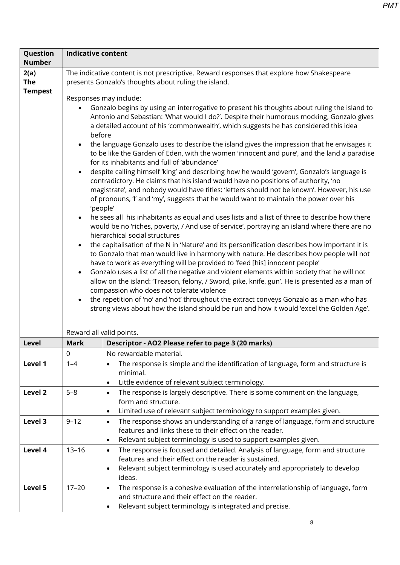| Question<br><b>Number</b>            | <b>Indicative content</b>                                                                                                                         |                                                                                                                                                                                                                                                                                                                                                                                                                                                                                                                                                                                                                                                                                                                                                                                                                                                                                                                                                                                                                                                                                                                                                                                                                                                                                                                                                                                                                                                                                                                                                                                                                                                                                                                                                                                                                                                                                                            |  |  |  |  |  |
|--------------------------------------|---------------------------------------------------------------------------------------------------------------------------------------------------|------------------------------------------------------------------------------------------------------------------------------------------------------------------------------------------------------------------------------------------------------------------------------------------------------------------------------------------------------------------------------------------------------------------------------------------------------------------------------------------------------------------------------------------------------------------------------------------------------------------------------------------------------------------------------------------------------------------------------------------------------------------------------------------------------------------------------------------------------------------------------------------------------------------------------------------------------------------------------------------------------------------------------------------------------------------------------------------------------------------------------------------------------------------------------------------------------------------------------------------------------------------------------------------------------------------------------------------------------------------------------------------------------------------------------------------------------------------------------------------------------------------------------------------------------------------------------------------------------------------------------------------------------------------------------------------------------------------------------------------------------------------------------------------------------------------------------------------------------------------------------------------------------------|--|--|--|--|--|
| 2(a)<br><b>The</b><br><b>Tempest</b> | The indicative content is not prescriptive. Reward responses that explore how Shakespeare<br>presents Gonzalo's thoughts about ruling the island. |                                                                                                                                                                                                                                                                                                                                                                                                                                                                                                                                                                                                                                                                                                                                                                                                                                                                                                                                                                                                                                                                                                                                                                                                                                                                                                                                                                                                                                                                                                                                                                                                                                                                                                                                                                                                                                                                                                            |  |  |  |  |  |
|                                      | $\bullet$<br>$\bullet$<br>$\bullet$                                                                                                               | Responses may include:<br>Gonzalo begins by using an interrogative to present his thoughts about ruling the island to<br>Antonio and Sebastian: 'What would I do?'. Despite their humorous mocking, Gonzalo gives<br>a detailed account of his 'commonwealth', which suggests he has considered this idea<br>before<br>the language Gonzalo uses to describe the island gives the impression that he envisages it<br>to be like the Garden of Eden, with the women 'innocent and pure', and the land a paradise<br>for its inhabitants and full of 'abundance'<br>despite calling himself 'king' and describing how he would 'govern', Gonzalo's language is<br>contradictory. He claims that his island would have no positions of authority, 'no<br>magistrate', and nobody would have titles: 'letters should not be known'. However, his use<br>of pronouns, 'I' and 'my', suggests that he would want to maintain the power over his<br>'people'<br>he sees all his inhabitants as equal and uses lists and a list of three to describe how there<br>would be no 'riches, poverty, / And use of service', portraying an island where there are no<br>hierarchical social structures<br>the capitalisation of the N in 'Nature' and its personification describes how important it is<br>to Gonzalo that man would live in harmony with nature. He describes how people will not<br>have to work as everything will be provided to 'feed [his] innocent people'<br>Gonzalo uses a list of all the negative and violent elements within society that he will not<br>allow on the island: 'Treason, felony, / Sword, pike, knife, gun'. He is presented as a man of<br>compassion who does not tolerate violence<br>the repetition of 'no' and 'not' throughout the extract conveys Gonzalo as a man who has<br>strong views about how the island should be run and how it would 'excel the Golden Age'. |  |  |  |  |  |
| Level                                | <b>Mark</b>                                                                                                                                       | Reward all valid points.<br>Descriptor - AO2 Please refer to page 3 (20 marks)                                                                                                                                                                                                                                                                                                                                                                                                                                                                                                                                                                                                                                                                                                                                                                                                                                                                                                                                                                                                                                                                                                                                                                                                                                                                                                                                                                                                                                                                                                                                                                                                                                                                                                                                                                                                                             |  |  |  |  |  |
|                                      | $\mathbf 0$                                                                                                                                       | No rewardable material.                                                                                                                                                                                                                                                                                                                                                                                                                                                                                                                                                                                                                                                                                                                                                                                                                                                                                                                                                                                                                                                                                                                                                                                                                                                                                                                                                                                                                                                                                                                                                                                                                                                                                                                                                                                                                                                                                    |  |  |  |  |  |
| Level 1                              | $1 - 4$                                                                                                                                           | The response is simple and the identification of language, form and structure is<br>$\bullet$<br>minimal.<br>Little evidence of relevant subject terminology.<br>$\bullet$                                                                                                                                                                                                                                                                                                                                                                                                                                                                                                                                                                                                                                                                                                                                                                                                                                                                                                                                                                                                                                                                                                                                                                                                                                                                                                                                                                                                                                                                                                                                                                                                                                                                                                                                 |  |  |  |  |  |
| Level <sub>2</sub>                   | $5 - 8$                                                                                                                                           | The response is largely descriptive. There is some comment on the language,<br>$\bullet$<br>form and structure.<br>Limited use of relevant subject terminology to support examples given.<br>٠                                                                                                                                                                                                                                                                                                                                                                                                                                                                                                                                                                                                                                                                                                                                                                                                                                                                                                                                                                                                                                                                                                                                                                                                                                                                                                                                                                                                                                                                                                                                                                                                                                                                                                             |  |  |  |  |  |
| Level 3                              | $9 - 12$                                                                                                                                          | The response shows an understanding of a range of language, form and structure<br>$\bullet$<br>features and links these to their effect on the reader.<br>Relevant subject terminology is used to support examples given.<br>$\bullet$                                                                                                                                                                                                                                                                                                                                                                                                                                                                                                                                                                                                                                                                                                                                                                                                                                                                                                                                                                                                                                                                                                                                                                                                                                                                                                                                                                                                                                                                                                                                                                                                                                                                     |  |  |  |  |  |
| Level 4                              | $13 - 16$                                                                                                                                         | The response is focused and detailed. Analysis of language, form and structure<br>$\bullet$<br>features and their effect on the reader is sustained.<br>Relevant subject terminology is used accurately and appropriately to develop<br>$\bullet$<br>ideas.                                                                                                                                                                                                                                                                                                                                                                                                                                                                                                                                                                                                                                                                                                                                                                                                                                                                                                                                                                                                                                                                                                                                                                                                                                                                                                                                                                                                                                                                                                                                                                                                                                                |  |  |  |  |  |
| Level 5                              | $17 - 20$                                                                                                                                         | The response is a cohesive evaluation of the interrelationship of language, form<br>$\bullet$<br>and structure and their effect on the reader.<br>Relevant subject terminology is integrated and precise.<br>$\bullet$                                                                                                                                                                                                                                                                                                                                                                                                                                                                                                                                                                                                                                                                                                                                                                                                                                                                                                                                                                                                                                                                                                                                                                                                                                                                                                                                                                                                                                                                                                                                                                                                                                                                                     |  |  |  |  |  |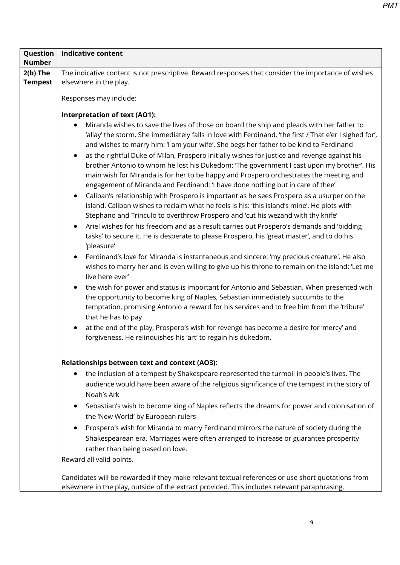| Question                     | <b>Indicative content</b>                                                                                                                                                                                                                                                                                                                                                                                                                                                                               |  |  |  |  |
|------------------------------|---------------------------------------------------------------------------------------------------------------------------------------------------------------------------------------------------------------------------------------------------------------------------------------------------------------------------------------------------------------------------------------------------------------------------------------------------------------------------------------------------------|--|--|--|--|
| <b>Number</b>                |                                                                                                                                                                                                                                                                                                                                                                                                                                                                                                         |  |  |  |  |
| $2(b)$ The<br><b>Tempest</b> | The indicative content is not prescriptive. Reward responses that consider the importance of wishes<br>elsewhere in the play.                                                                                                                                                                                                                                                                                                                                                                           |  |  |  |  |
|                              | Responses may include:                                                                                                                                                                                                                                                                                                                                                                                                                                                                                  |  |  |  |  |
|                              | <b>Interpretation of text (AO1):</b>                                                                                                                                                                                                                                                                                                                                                                                                                                                                    |  |  |  |  |
|                              | Miranda wishes to save the lives of those on board the ship and pleads with her father to<br>'allay' the storm. She immediately falls in love with Ferdinand, 'the first / That e'er I sighed for',<br>and wishes to marry him: 'I am your wife'. She begs her father to be kind to Ferdinand<br>as the rightful Duke of Milan, Prospero initially wishes for justice and revenge against his<br>$\bullet$<br>brother Antonio to whom he lost his Dukedom: 'The government I cast upon my brother'. His |  |  |  |  |
|                              | main wish for Miranda is for her to be happy and Prospero orchestrates the meeting and<br>engagement of Miranda and Ferdinand: 'I have done nothing but in care of thee'                                                                                                                                                                                                                                                                                                                                |  |  |  |  |
|                              | Caliban's relationship with Prospero is important as he sees Prospero as a usurper on the<br>$\bullet$<br>island. Caliban wishes to reclaim what he feels is his: 'this island's mine'. He plots with<br>Stephano and Trinculo to overthrow Prospero and 'cut his wezand with thy knife'                                                                                                                                                                                                                |  |  |  |  |
|                              | Ariel wishes for his freedom and as a result carries out Prospero's demands and 'bidding<br>$\bullet$<br>tasks' to secure it. He is desperate to please Prospero, his 'great master', and to do his<br>'pleasure'                                                                                                                                                                                                                                                                                       |  |  |  |  |
|                              | Ferdinand's love for Miranda is instantaneous and sincere: 'my precious creature'. He also<br>wishes to marry her and is even willing to give up his throne to remain on the island: 'Let me<br>live here ever'                                                                                                                                                                                                                                                                                         |  |  |  |  |
|                              | the wish for power and status is important for Antonio and Sebastian. When presented with<br>$\bullet$<br>the opportunity to become king of Naples, Sebastian immediately succumbs to the<br>temptation, promising Antonio a reward for his services and to free him from the 'tribute'<br>that he has to pay                                                                                                                                                                                           |  |  |  |  |
|                              | at the end of the play, Prospero's wish for revenge has become a desire for 'mercy' and<br>$\bullet$<br>forgiveness. He relinquishes his 'art' to regain his dukedom.                                                                                                                                                                                                                                                                                                                                   |  |  |  |  |
|                              | <b>Relationships between text and context (AO3):</b>                                                                                                                                                                                                                                                                                                                                                                                                                                                    |  |  |  |  |
|                              | the inclusion of a tempest by Shakespeare represented the turmoil in people's lives. The<br>audience would have been aware of the religious significance of the tempest in the story of<br>Noah's Ark                                                                                                                                                                                                                                                                                                   |  |  |  |  |
|                              | Sebastian's wish to become king of Naples reflects the dreams for power and colonisation of<br>$\bullet$<br>the 'New World' by European rulers                                                                                                                                                                                                                                                                                                                                                          |  |  |  |  |
|                              | Prospero's wish for Miranda to marry Ferdinand mirrors the nature of society during the<br>$\bullet$<br>Shakespearean era. Marriages were often arranged to increase or guarantee prosperity<br>rather than being based on love.                                                                                                                                                                                                                                                                        |  |  |  |  |
|                              | Reward all valid points.                                                                                                                                                                                                                                                                                                                                                                                                                                                                                |  |  |  |  |
|                              | Candidates will be rewarded if they make relevant textual references or use short quotations from<br>elsewhere in the play, outside of the extract provided. This includes relevant paraphrasing.                                                                                                                                                                                                                                                                                                       |  |  |  |  |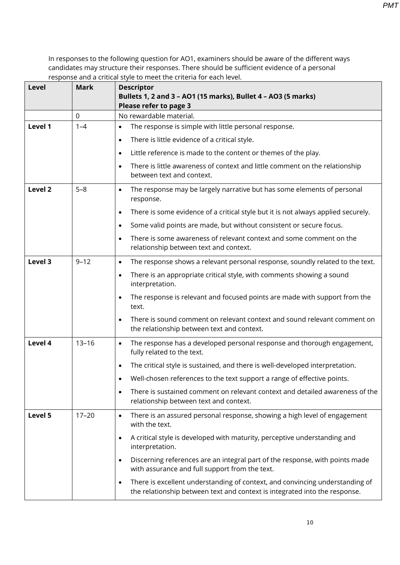*PMT*

| Level              | Mark        | <b>Descriptor</b><br>Bullets 1, 2 and 3 - AO1 (15 marks), Bullet 4 - AO3 (5 marks)<br>Please refer to page 3                                                    |
|--------------------|-------------|-----------------------------------------------------------------------------------------------------------------------------------------------------------------|
|                    | $\mathbf 0$ | No rewardable material.                                                                                                                                         |
| Level 1            | $1 - 4$     | The response is simple with little personal response.<br>$\bullet$                                                                                              |
|                    |             | There is little evidence of a critical style.<br>$\bullet$                                                                                                      |
|                    |             | Little reference is made to the content or themes of the play.<br>$\bullet$                                                                                     |
|                    |             | There is little awareness of context and little comment on the relationship<br>$\bullet$<br>between text and context.                                           |
| Level <sub>2</sub> | $5 - 8$     | The response may be largely narrative but has some elements of personal<br>$\bullet$<br>response.                                                               |
|                    |             | There is some evidence of a critical style but it is not always applied securely.<br>$\bullet$                                                                  |
|                    |             | Some valid points are made, but without consistent or secure focus.<br>٠                                                                                        |
|                    |             | There is some awareness of relevant context and some comment on the<br>relationship between text and context.                                                   |
| Level 3            | $9 - 12$    | The response shows a relevant personal response, soundly related to the text.<br>$\bullet$                                                                      |
|                    |             | There is an appropriate critical style, with comments showing a sound<br>$\bullet$<br>interpretation.                                                           |
|                    |             | The response is relevant and focused points are made with support from the<br>٠<br>text.                                                                        |
|                    |             | There is sound comment on relevant context and sound relevant comment on<br>the relationship between text and context.                                          |
| Level 4            | $13 - 16$   | The response has a developed personal response and thorough engagement,<br>$\bullet$<br>fully related to the text.                                              |
|                    |             | The critical style is sustained, and there is well-developed interpretation.                                                                                    |
|                    |             | Well-chosen references to the text support a range of effective points.                                                                                         |
|                    |             | There is sustained comment on relevant context and detailed awareness of the<br>٠<br>relationship between text and context.                                     |
| Level 5            | $17 - 20$   | There is an assured personal response, showing a high level of engagement<br>$\bullet$<br>with the text.                                                        |
|                    |             | A critical style is developed with maturity, perceptive understanding and<br>٠<br>interpretation.                                                               |
|                    |             | Discerning references are an integral part of the response, with points made<br>$\bullet$<br>with assurance and full support from the text.                     |
|                    |             | There is excellent understanding of context, and convincing understanding of<br>٠<br>the relationship between text and context is integrated into the response. |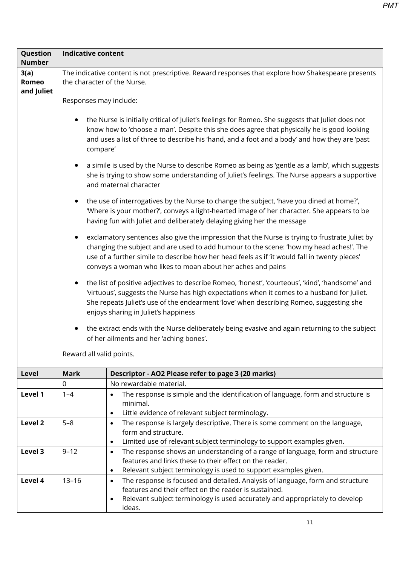| <b>Indicative content</b>                                                                                                                                                                                                                                                                                    |                                                                                                                                                                                                                                                                                                                                                           |  |  |  |  |  |
|--------------------------------------------------------------------------------------------------------------------------------------------------------------------------------------------------------------------------------------------------------------------------------------------------------------|-----------------------------------------------------------------------------------------------------------------------------------------------------------------------------------------------------------------------------------------------------------------------------------------------------------------------------------------------------------|--|--|--|--|--|
| The indicative content is not prescriptive. Reward responses that explore how Shakespeare presents<br>the character of the Nurse.                                                                                                                                                                            |                                                                                                                                                                                                                                                                                                                                                           |  |  |  |  |  |
| Responses may include:                                                                                                                                                                                                                                                                                       |                                                                                                                                                                                                                                                                                                                                                           |  |  |  |  |  |
| the Nurse is initially critical of Juliet's feelings for Romeo. She suggests that Juliet does not<br>know how to 'choose a man'. Despite this she does agree that physically he is good looking<br>and uses a list of three to describe his 'hand, and a foot and a body' and how they are 'past<br>compare' |                                                                                                                                                                                                                                                                                                                                                           |  |  |  |  |  |
|                                                                                                                                                                                                                                                                                                              | a simile is used by the Nurse to describe Romeo as being as 'gentle as a lamb', which suggests<br>she is trying to show some understanding of Juliet's feelings. The Nurse appears a supportive<br>and maternal character                                                                                                                                 |  |  |  |  |  |
|                                                                                                                                                                                                                                                                                                              | the use of interrogatives by the Nurse to change the subject, 'have you dined at home?',<br>'Where is your mother?', conveys a light-hearted image of her character. She appears to be<br>having fun with Juliet and deliberately delaying giving her the message                                                                                         |  |  |  |  |  |
| $\bullet$                                                                                                                                                                                                                                                                                                    | exclamatory sentences also give the impression that the Nurse is trying to frustrate Juliet by<br>changing the subject and are used to add humour to the scene: 'how my head aches!'. The<br>use of a further simile to describe how her head feels as if 'it would fall in twenty pieces'<br>conveys a woman who likes to moan about her aches and pains |  |  |  |  |  |
|                                                                                                                                                                                                                                                                                                              | the list of positive adjectives to describe Romeo, 'honest', 'courteous', 'kind', 'handsome' and<br>'virtuous', suggests the Nurse has high expectations when it comes to a husband for Juliet.<br>She repeats Juliet's use of the endearment 'love' when describing Romeo, suggesting she<br>enjoys sharing in Juliet's happiness                        |  |  |  |  |  |
|                                                                                                                                                                                                                                                                                                              | the extract ends with the Nurse deliberately being evasive and again returning to the subject<br>of her ailments and her 'aching bones'.                                                                                                                                                                                                                  |  |  |  |  |  |
| Reward all valid points.                                                                                                                                                                                                                                                                                     |                                                                                                                                                                                                                                                                                                                                                           |  |  |  |  |  |
| <b>Mark</b>                                                                                                                                                                                                                                                                                                  | Descriptor - AO2 Please refer to page 3 (20 marks)                                                                                                                                                                                                                                                                                                        |  |  |  |  |  |
| 0                                                                                                                                                                                                                                                                                                            | No rewardable material.                                                                                                                                                                                                                                                                                                                                   |  |  |  |  |  |
| $1 - 4$                                                                                                                                                                                                                                                                                                      | The response is simple and the identification of language, form and structure is<br>$\bullet$<br>minimal.                                                                                                                                                                                                                                                 |  |  |  |  |  |
|                                                                                                                                                                                                                                                                                                              | Little evidence of relevant subject terminology.<br>$\bullet$                                                                                                                                                                                                                                                                                             |  |  |  |  |  |
| $5 - 8$                                                                                                                                                                                                                                                                                                      | The response is largely descriptive. There is some comment on the language,<br>$\bullet$                                                                                                                                                                                                                                                                  |  |  |  |  |  |
|                                                                                                                                                                                                                                                                                                              | form and structure.                                                                                                                                                                                                                                                                                                                                       |  |  |  |  |  |
|                                                                                                                                                                                                                                                                                                              | Limited use of relevant subject terminology to support examples given.<br>$\bullet$                                                                                                                                                                                                                                                                       |  |  |  |  |  |
|                                                                                                                                                                                                                                                                                                              | The response shows an understanding of a range of language, form and structure<br>$\bullet$<br>features and links these to their effect on the reader.                                                                                                                                                                                                    |  |  |  |  |  |
|                                                                                                                                                                                                                                                                                                              | Relevant subject terminology is used to support examples given.<br>$\bullet$                                                                                                                                                                                                                                                                              |  |  |  |  |  |
| $13 - 16$                                                                                                                                                                                                                                                                                                    | The response is focused and detailed. Analysis of language, form and structure<br>$\bullet$                                                                                                                                                                                                                                                               |  |  |  |  |  |
|                                                                                                                                                                                                                                                                                                              | features and their effect on the reader is sustained.<br>Relevant subject terminology is used accurately and appropriately to develop<br>$\bullet$<br>ideas.                                                                                                                                                                                              |  |  |  |  |  |
|                                                                                                                                                                                                                                                                                                              | $9 - 12$                                                                                                                                                                                                                                                                                                                                                  |  |  |  |  |  |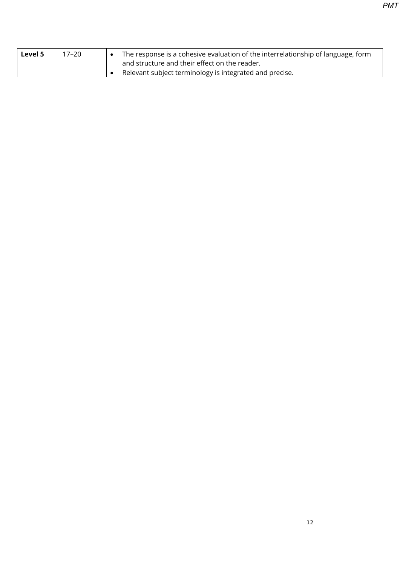| Level 5 | 17–20 | The response is a cohesive evaluation of the interrelationship of language, form<br>and structure and their effect on the reader. |
|---------|-------|-----------------------------------------------------------------------------------------------------------------------------------|
|         |       | Relevant subject terminology is integrated and precise.                                                                           |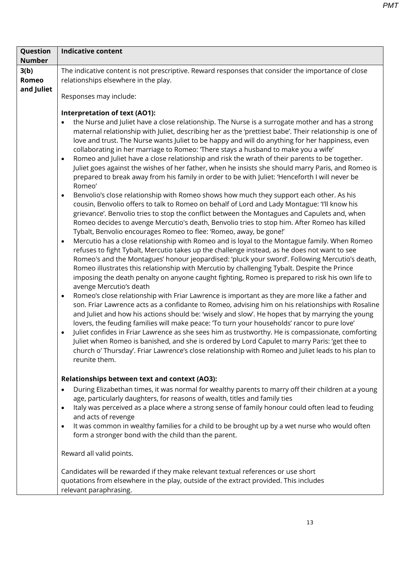| Question<br><b>Number</b> | <b>Indicative content</b>                                                                                                                                                                                                                                                                                                                                                                                                                                                                                                                                                                                                                                                                                                                                                                                                                                                                                                                                                                                                                                                                                                                                                                                                                                                                                                                                                                                                                                                                                                                                                                                                                                                                                                                                                                                                                                                                                                                                                                                                                                                                                                                                                                                                                                                                                                                                                                                                                                                                                                                                       |  |  |  |  |  |
|---------------------------|-----------------------------------------------------------------------------------------------------------------------------------------------------------------------------------------------------------------------------------------------------------------------------------------------------------------------------------------------------------------------------------------------------------------------------------------------------------------------------------------------------------------------------------------------------------------------------------------------------------------------------------------------------------------------------------------------------------------------------------------------------------------------------------------------------------------------------------------------------------------------------------------------------------------------------------------------------------------------------------------------------------------------------------------------------------------------------------------------------------------------------------------------------------------------------------------------------------------------------------------------------------------------------------------------------------------------------------------------------------------------------------------------------------------------------------------------------------------------------------------------------------------------------------------------------------------------------------------------------------------------------------------------------------------------------------------------------------------------------------------------------------------------------------------------------------------------------------------------------------------------------------------------------------------------------------------------------------------------------------------------------------------------------------------------------------------------------------------------------------------------------------------------------------------------------------------------------------------------------------------------------------------------------------------------------------------------------------------------------------------------------------------------------------------------------------------------------------------------------------------------------------------------------------------------------------------|--|--|--|--|--|
| 3(b)<br>Romeo             | The indicative content is not prescriptive. Reward responses that consider the importance of close<br>relationships elsewhere in the play.                                                                                                                                                                                                                                                                                                                                                                                                                                                                                                                                                                                                                                                                                                                                                                                                                                                                                                                                                                                                                                                                                                                                                                                                                                                                                                                                                                                                                                                                                                                                                                                                                                                                                                                                                                                                                                                                                                                                                                                                                                                                                                                                                                                                                                                                                                                                                                                                                      |  |  |  |  |  |
| and Juliet                | Responses may include:                                                                                                                                                                                                                                                                                                                                                                                                                                                                                                                                                                                                                                                                                                                                                                                                                                                                                                                                                                                                                                                                                                                                                                                                                                                                                                                                                                                                                                                                                                                                                                                                                                                                                                                                                                                                                                                                                                                                                                                                                                                                                                                                                                                                                                                                                                                                                                                                                                                                                                                                          |  |  |  |  |  |
|                           | <b>Interpretation of text (AO1):</b><br>the Nurse and Juliet have a close relationship. The Nurse is a surrogate mother and has a strong<br>maternal relationship with Juliet, describing her as the 'prettiest babe'. Their relationship is one of<br>love and trust. The Nurse wants Juliet to be happy and will do anything for her happiness, even<br>collaborating in her marriage to Romeo: 'There stays a husband to make you a wife'<br>Romeo and Juliet have a close relationship and risk the wrath of their parents to be together.<br>$\bullet$<br>Juliet goes against the wishes of her father, when he insists she should marry Paris, and Romeo is<br>prepared to break away from his family in order to be with Juliet: 'Henceforth I will never be<br>Romeo'<br>Benvolio's close relationship with Romeo shows how much they support each other. As his<br>$\bullet$<br>cousin, Benvolio offers to talk to Romeo on behalf of Lord and Lady Montague: 'I'll know his<br>grievance'. Benvolio tries to stop the conflict between the Montagues and Capulets and, when<br>Romeo decides to avenge Mercutio's death, Benvolio tries to stop him. After Romeo has killed<br>Tybalt, Benvolio encourages Romeo to flee: 'Romeo, away, be gone!'<br>Mercutio has a close relationship with Romeo and is loyal to the Montague family. When Romeo<br>$\bullet$<br>refuses to fight Tybalt, Mercutio takes up the challenge instead, as he does not want to see<br>Romeo's and the Montagues' honour jeopardised: 'pluck your sword'. Following Mercutio's death,<br>Romeo illustrates this relationship with Mercutio by challenging Tybalt. Despite the Prince<br>imposing the death penalty on anyone caught fighting, Romeo is prepared to risk his own life to<br>avenge Mercutio's death<br>Romeo's close relationship with Friar Lawrence is important as they are more like a father and<br>$\bullet$<br>son. Friar Lawrence acts as a confidante to Romeo, advising him on his relationships with Rosaline<br>and Juliet and how his actions should be: 'wisely and slow'. He hopes that by marrying the young<br>lovers, the feuding families will make peace: 'To turn your households' rancor to pure love'<br>Juliet confides in Friar Lawrence as she sees him as trustworthy. He is compassionate, comforting<br>Juliet when Romeo is banished, and she is ordered by Lord Capulet to marry Paris: 'get thee to<br>church o' Thursday'. Friar Lawrence's close relationship with Romeo and Juliet leads to his plan to<br>reunite them. |  |  |  |  |  |
|                           | Relationships between text and context (AO3):<br>During Elizabethan times, it was normal for wealthy parents to marry off their children at a young<br>age, particularly daughters, for reasons of wealth, titles and family ties<br>Italy was perceived as a place where a strong sense of family honour could often lead to feuding<br>$\bullet$<br>and acts of revenge<br>It was common in wealthy families for a child to be brought up by a wet nurse who would often<br>form a stronger bond with the child than the parent.<br>Reward all valid points.<br>Candidates will be rewarded if they make relevant textual references or use short<br>quotations from elsewhere in the play, outside of the extract provided. This includes<br>relevant paraphrasing.                                                                                                                                                                                                                                                                                                                                                                                                                                                                                                                                                                                                                                                                                                                                                                                                                                                                                                                                                                                                                                                                                                                                                                                                                                                                                                                                                                                                                                                                                                                                                                                                                                                                                                                                                                                          |  |  |  |  |  |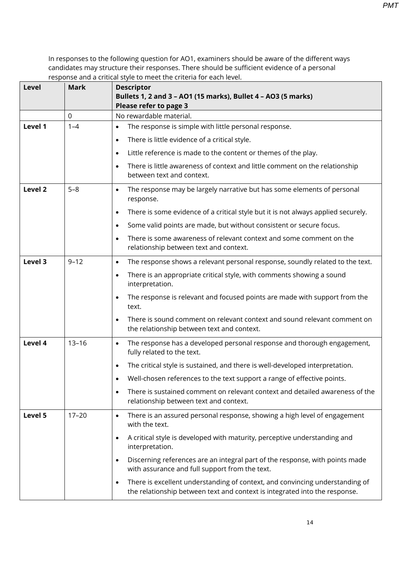| Level              | <b>Mark</b> | <b>Descriptor</b><br>Bullets 1, 2 and 3 - AO1 (15 marks), Bullet 4 - AO3 (5 marks)<br>Please refer to page 3                                                    |
|--------------------|-------------|-----------------------------------------------------------------------------------------------------------------------------------------------------------------|
|                    | $\mathbf 0$ | No rewardable material.                                                                                                                                         |
| Level 1            | $1 - 4$     | The response is simple with little personal response.<br>٠                                                                                                      |
|                    |             | There is little evidence of a critical style.<br>$\bullet$                                                                                                      |
|                    |             | Little reference is made to the content or themes of the play.<br>$\bullet$                                                                                     |
|                    |             | There is little awareness of context and little comment on the relationship<br>$\bullet$<br>between text and context.                                           |
| Level <sub>2</sub> | $5 - 8$     | The response may be largely narrative but has some elements of personal<br>$\bullet$<br>response.                                                               |
|                    |             | There is some evidence of a critical style but it is not always applied securely.<br>$\bullet$                                                                  |
|                    |             | Some valid points are made, but without consistent or secure focus.<br>$\bullet$                                                                                |
|                    |             | There is some awareness of relevant context and some comment on the<br>$\bullet$<br>relationship between text and context.                                      |
| Level 3            | $9 - 12$    | The response shows a relevant personal response, soundly related to the text.<br>$\bullet$                                                                      |
|                    |             | There is an appropriate critical style, with comments showing a sound<br>$\bullet$<br>interpretation.                                                           |
|                    |             | The response is relevant and focused points are made with support from the<br>$\bullet$<br>text.                                                                |
|                    |             | There is sound comment on relevant context and sound relevant comment on<br>$\bullet$<br>the relationship between text and context.                             |
| Level 4            | $13 - 16$   | The response has a developed personal response and thorough engagement,<br>$\bullet$<br>fully related to the text.                                              |
|                    |             | The critical style is sustained, and there is well-developed interpretation.                                                                                    |
|                    |             | Well-chosen references to the text support a range of effective points.                                                                                         |
|                    |             | There is sustained comment on relevant context and detailed awareness of the<br>$\bullet$<br>relationship between text and context.                             |
| Level 5            | $17 - 20$   | There is an assured personal response, showing a high level of engagement<br>$\bullet$<br>with the text.                                                        |
|                    |             | A critical style is developed with maturity, perceptive understanding and<br>$\bullet$<br>interpretation.                                                       |
|                    |             | Discerning references are an integral part of the response, with points made<br>$\bullet$<br>with assurance and full support from the text.                     |
|                    |             | There is excellent understanding of context, and convincing understanding of<br>٠<br>the relationship between text and context is integrated into the response. |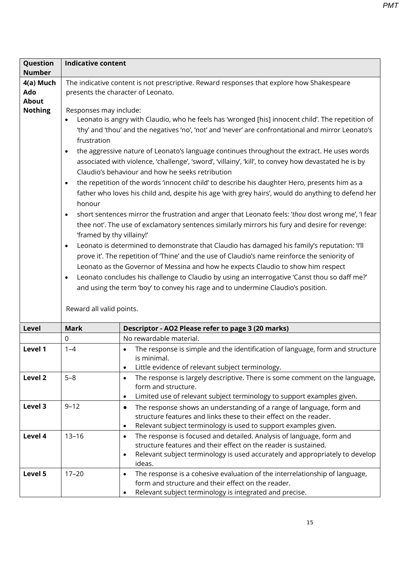| Question<br><b>Number</b>                   | <b>Indicative content</b>                                                                                                                                                 |                                                                                                                                                                                                                                                                                                                                                                                                                                                                                                                                                                                                                                                                                                                                                                                                                                                                                                                                                                                                                                                                                                                                                                                                                                                                                                                                                                                                                                                                                                   |
|---------------------------------------------|---------------------------------------------------------------------------------------------------------------------------------------------------------------------------|---------------------------------------------------------------------------------------------------------------------------------------------------------------------------------------------------------------------------------------------------------------------------------------------------------------------------------------------------------------------------------------------------------------------------------------------------------------------------------------------------------------------------------------------------------------------------------------------------------------------------------------------------------------------------------------------------------------------------------------------------------------------------------------------------------------------------------------------------------------------------------------------------------------------------------------------------------------------------------------------------------------------------------------------------------------------------------------------------------------------------------------------------------------------------------------------------------------------------------------------------------------------------------------------------------------------------------------------------------------------------------------------------------------------------------------------------------------------------------------------------|
| 4(a) Much<br>Ado<br>About<br><b>Nothing</b> | Responses may include:<br>frustration<br>$\bullet$<br>$\bullet$<br>honour<br>$\bullet$<br>'framed by thy villainy!'<br>$\bullet$<br>$\bullet$<br>Reward all valid points. | The indicative content is not prescriptive. Reward responses that explore how Shakespeare<br>presents the character of Leonato.<br>Leonato is angry with Claudio, who he feels has 'wronged [his] innocent child'. The repetition of<br>'thy' and 'thou' and the negatives 'no', 'not' and 'never' are confrontational and mirror Leonato's<br>the aggressive nature of Leonato's language continues throughout the extract. He uses words<br>associated with violence, 'challenge', 'sword', 'villainy', 'kill', to convey how devastated he is by<br>Claudio's behaviour and how he seeks retribution<br>the repetition of the words 'innocent child' to describe his daughter Hero, presents him as a<br>father who loves his child and, despite his age 'with grey hairs', would do anything to defend her<br>short sentences mirror the frustration and anger that Leonato feels: 'thou dost wrong me', 'I fear<br>thee not'. The use of exclamatory sentences similarly mirrors his fury and desire for revenge:<br>Leonato is determined to demonstrate that Claudio has damaged his family's reputation: 'I'll<br>prove it'. The repetition of 'Thine' and the use of Claudio's name reinforce the seniority of<br>Leonato as the Governor of Messina and how he expects Claudio to show him respect<br>Leonato concludes his challenge to Claudio by using an interrogative 'Canst thou so daff me?'<br>and using the term 'boy' to convey his rage and to undermine Claudio's position. |
| Level                                       | <b>Mark</b>                                                                                                                                                               | Descriptor - AO2 Please refer to page 3 (20 marks)                                                                                                                                                                                                                                                                                                                                                                                                                                                                                                                                                                                                                                                                                                                                                                                                                                                                                                                                                                                                                                                                                                                                                                                                                                                                                                                                                                                                                                                |
|                                             | 0                                                                                                                                                                         | No rewardable material.                                                                                                                                                                                                                                                                                                                                                                                                                                                                                                                                                                                                                                                                                                                                                                                                                                                                                                                                                                                                                                                                                                                                                                                                                                                                                                                                                                                                                                                                           |
| Level 1                                     | $1 - 4$                                                                                                                                                                   | The response is simple and the identification of language, form and structure<br>is minimal.<br>Little evidence of relevant subject terminology.<br>$\bullet$                                                                                                                                                                                                                                                                                                                                                                                                                                                                                                                                                                                                                                                                                                                                                                                                                                                                                                                                                                                                                                                                                                                                                                                                                                                                                                                                     |
| Level 2                                     | $5 - 8$                                                                                                                                                                   | The response is largely descriptive. There is some comment on the language,<br>$\bullet$<br>form and structure.<br>Limited use of relevant subject terminology to support examples given.<br>$\bullet$                                                                                                                                                                                                                                                                                                                                                                                                                                                                                                                                                                                                                                                                                                                                                                                                                                                                                                                                                                                                                                                                                                                                                                                                                                                                                            |
| Level 3                                     | $9 - 12$                                                                                                                                                                  | The response shows an understanding of a range of language, form and<br>$\bullet$<br>structure features and links these to their effect on the reader.<br>Relevant subject terminology is used to support examples given.<br>$\bullet$                                                                                                                                                                                                                                                                                                                                                                                                                                                                                                                                                                                                                                                                                                                                                                                                                                                                                                                                                                                                                                                                                                                                                                                                                                                            |
| Level 4                                     | $13 - 16$                                                                                                                                                                 | The response is focused and detailed. Analysis of language, form and<br>$\bullet$<br>structure features and their effect on the reader is sustained.<br>Relevant subject terminology is used accurately and appropriately to develop<br>$\bullet$<br>ideas.                                                                                                                                                                                                                                                                                                                                                                                                                                                                                                                                                                                                                                                                                                                                                                                                                                                                                                                                                                                                                                                                                                                                                                                                                                       |
| Level 5                                     | $17 - 20$                                                                                                                                                                 | The response is a cohesive evaluation of the interrelationship of language,<br>$\bullet$<br>form and structure and their effect on the reader.<br>Relevant subject terminology is integrated and precise.<br>$\bullet$                                                                                                                                                                                                                                                                                                                                                                                                                                                                                                                                                                                                                                                                                                                                                                                                                                                                                                                                                                                                                                                                                                                                                                                                                                                                            |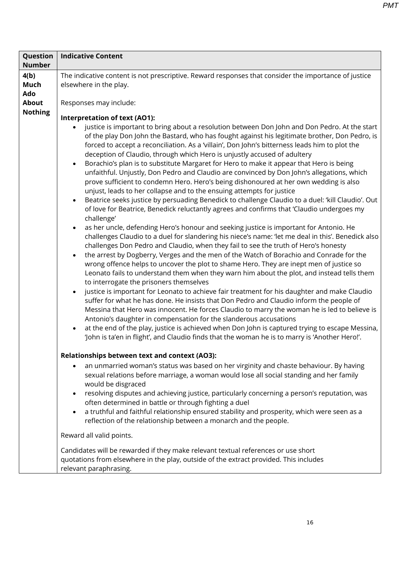| Question       | <b>Indicative Content</b>                                                                                                                                                                                                                                                                                                                                                                                                                                                                                                                                                                                                                                                                                                                                                                                                                                                                                                                                                                                                                                                                                                                                                                                                                                                                                                                                                                                                                                                                                                                                                                                                                                                                                                                                                                                                                                                                                                                                                                                                                                                                                                                                                                                                                                                                                                                                                                                     |
|----------------|---------------------------------------------------------------------------------------------------------------------------------------------------------------------------------------------------------------------------------------------------------------------------------------------------------------------------------------------------------------------------------------------------------------------------------------------------------------------------------------------------------------------------------------------------------------------------------------------------------------------------------------------------------------------------------------------------------------------------------------------------------------------------------------------------------------------------------------------------------------------------------------------------------------------------------------------------------------------------------------------------------------------------------------------------------------------------------------------------------------------------------------------------------------------------------------------------------------------------------------------------------------------------------------------------------------------------------------------------------------------------------------------------------------------------------------------------------------------------------------------------------------------------------------------------------------------------------------------------------------------------------------------------------------------------------------------------------------------------------------------------------------------------------------------------------------------------------------------------------------------------------------------------------------------------------------------------------------------------------------------------------------------------------------------------------------------------------------------------------------------------------------------------------------------------------------------------------------------------------------------------------------------------------------------------------------------------------------------------------------------------------------------------------------|
| <b>Number</b>  |                                                                                                                                                                                                                                                                                                                                                                                                                                                                                                                                                                                                                                                                                                                                                                                                                                                                                                                                                                                                                                                                                                                                                                                                                                                                                                                                                                                                                                                                                                                                                                                                                                                                                                                                                                                                                                                                                                                                                                                                                                                                                                                                                                                                                                                                                                                                                                                                               |
| 4(b)           | The indicative content is not prescriptive. Reward responses that consider the importance of justice                                                                                                                                                                                                                                                                                                                                                                                                                                                                                                                                                                                                                                                                                                                                                                                                                                                                                                                                                                                                                                                                                                                                                                                                                                                                                                                                                                                                                                                                                                                                                                                                                                                                                                                                                                                                                                                                                                                                                                                                                                                                                                                                                                                                                                                                                                          |
| Much           | elsewhere in the play.                                                                                                                                                                                                                                                                                                                                                                                                                                                                                                                                                                                                                                                                                                                                                                                                                                                                                                                                                                                                                                                                                                                                                                                                                                                                                                                                                                                                                                                                                                                                                                                                                                                                                                                                                                                                                                                                                                                                                                                                                                                                                                                                                                                                                                                                                                                                                                                        |
| Ado            |                                                                                                                                                                                                                                                                                                                                                                                                                                                                                                                                                                                                                                                                                                                                                                                                                                                                                                                                                                                                                                                                                                                                                                                                                                                                                                                                                                                                                                                                                                                                                                                                                                                                                                                                                                                                                                                                                                                                                                                                                                                                                                                                                                                                                                                                                                                                                                                                               |
| <b>About</b>   | Responses may include:                                                                                                                                                                                                                                                                                                                                                                                                                                                                                                                                                                                                                                                                                                                                                                                                                                                                                                                                                                                                                                                                                                                                                                                                                                                                                                                                                                                                                                                                                                                                                                                                                                                                                                                                                                                                                                                                                                                                                                                                                                                                                                                                                                                                                                                                                                                                                                                        |
|                |                                                                                                                                                                                                                                                                                                                                                                                                                                                                                                                                                                                                                                                                                                                                                                                                                                                                                                                                                                                                                                                                                                                                                                                                                                                                                                                                                                                                                                                                                                                                                                                                                                                                                                                                                                                                                                                                                                                                                                                                                                                                                                                                                                                                                                                                                                                                                                                                               |
| <b>Nothing</b> | Interpretation of text (AO1):<br>justice is important to bring about a resolution between Don John and Don Pedro. At the start<br>of the play Don John the Bastard, who has fought against his legitimate brother, Don Pedro, is<br>forced to accept a reconciliation. As a 'villain', Don John's bitterness leads him to plot the<br>deception of Claudio, through which Hero is unjustly accused of adultery<br>Borachio's plan is to substitute Margaret for Hero to make it appear that Hero is being<br>$\bullet$<br>unfaithful. Unjustly, Don Pedro and Claudio are convinced by Don John's allegations, which<br>prove sufficient to condemn Hero. Hero's being dishonoured at her own wedding is also<br>unjust, leads to her collapse and to the ensuing attempts for justice<br>Beatrice seeks justice by persuading Benedick to challenge Claudio to a duel: 'kill Claudio'. Out<br>$\bullet$<br>of love for Beatrice, Benedick reluctantly agrees and confirms that 'Claudio undergoes my<br>challenge'<br>as her uncle, defending Hero's honour and seeking justice is important for Antonio. He<br>$\bullet$<br>challenges Claudio to a duel for slandering his niece's name: 'let me deal in this'. Benedick also<br>challenges Don Pedro and Claudio, when they fail to see the truth of Hero's honesty<br>the arrest by Dogberry, Verges and the men of the Watch of Borachio and Conrade for the<br>$\bullet$<br>wrong offence helps to uncover the plot to shame Hero. They are inept men of justice so<br>Leonato fails to understand them when they warn him about the plot, and instead tells them<br>to interrogate the prisoners themselves<br>justice is important for Leonato to achieve fair treatment for his daughter and make Claudio<br>$\bullet$<br>suffer for what he has done. He insists that Don Pedro and Claudio inform the people of<br>Messina that Hero was innocent. He forces Claudio to marry the woman he is led to believe is<br>Antonio's daughter in compensation for the slanderous accusations<br>at the end of the play, justice is achieved when Don John is captured trying to escape Messina,<br>$\bullet$<br>'John is ta'en in flight', and Claudio finds that the woman he is to marry is 'Another Hero!'.<br>Relationships between text and context (AO3):<br>an unmarried woman's status was based on her virginity and chaste behaviour. By having |
|                | sexual relations before marriage, a woman would lose all social standing and her family<br>would be disgraced                                                                                                                                                                                                                                                                                                                                                                                                                                                                                                                                                                                                                                                                                                                                                                                                                                                                                                                                                                                                                                                                                                                                                                                                                                                                                                                                                                                                                                                                                                                                                                                                                                                                                                                                                                                                                                                                                                                                                                                                                                                                                                                                                                                                                                                                                                 |
|                | resolving disputes and achieving justice, particularly concerning a person's reputation, was<br>$\bullet$<br>often determined in battle or through fighting a duel                                                                                                                                                                                                                                                                                                                                                                                                                                                                                                                                                                                                                                                                                                                                                                                                                                                                                                                                                                                                                                                                                                                                                                                                                                                                                                                                                                                                                                                                                                                                                                                                                                                                                                                                                                                                                                                                                                                                                                                                                                                                                                                                                                                                                                            |
|                | a truthful and faithful relationship ensured stability and prosperity, which were seen as a<br>$\bullet$<br>reflection of the relationship between a monarch and the people.                                                                                                                                                                                                                                                                                                                                                                                                                                                                                                                                                                                                                                                                                                                                                                                                                                                                                                                                                                                                                                                                                                                                                                                                                                                                                                                                                                                                                                                                                                                                                                                                                                                                                                                                                                                                                                                                                                                                                                                                                                                                                                                                                                                                                                  |
|                | Reward all valid points.                                                                                                                                                                                                                                                                                                                                                                                                                                                                                                                                                                                                                                                                                                                                                                                                                                                                                                                                                                                                                                                                                                                                                                                                                                                                                                                                                                                                                                                                                                                                                                                                                                                                                                                                                                                                                                                                                                                                                                                                                                                                                                                                                                                                                                                                                                                                                                                      |
|                | Candidates will be rewarded if they make relevant textual references or use short<br>quotations from elsewhere in the play, outside of the extract provided. This includes<br>relevant paraphrasing.                                                                                                                                                                                                                                                                                                                                                                                                                                                                                                                                                                                                                                                                                                                                                                                                                                                                                                                                                                                                                                                                                                                                                                                                                                                                                                                                                                                                                                                                                                                                                                                                                                                                                                                                                                                                                                                                                                                                                                                                                                                                                                                                                                                                          |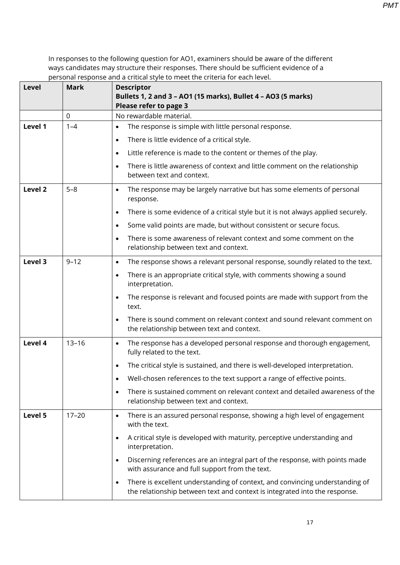| <b>Level</b> | <b>Mark</b> | <b>Descriptor</b>                                                                                                                                                       |
|--------------|-------------|-------------------------------------------------------------------------------------------------------------------------------------------------------------------------|
|              |             | Bullets 1, 2 and 3 - AO1 (15 marks), Bullet 4 - AO3 (5 marks)<br>Please refer to page 3                                                                                 |
|              | 0           | No rewardable material.                                                                                                                                                 |
| Level 1      | $1 - 4$     | The response is simple with little personal response.<br>٠                                                                                                              |
|              |             | There is little evidence of a critical style.<br>$\bullet$                                                                                                              |
|              |             | Little reference is made to the content or themes of the play.<br>$\bullet$                                                                                             |
|              |             | There is little awareness of context and little comment on the relationship<br>$\bullet$<br>between text and context.                                                   |
| Level 2      | $5 - 8$     | The response may be largely narrative but has some elements of personal<br>$\bullet$<br>response.                                                                       |
|              |             | There is some evidence of a critical style but it is not always applied securely.<br>$\bullet$                                                                          |
|              |             | Some valid points are made, but without consistent or secure focus.<br>$\bullet$                                                                                        |
|              |             | There is some awareness of relevant context and some comment on the<br>$\bullet$<br>relationship between text and context.                                              |
| Level 3      | $9 - 12$    | The response shows a relevant personal response, soundly related to the text.<br>$\bullet$                                                                              |
|              |             | There is an appropriate critical style, with comments showing a sound<br>$\bullet$<br>interpretation.                                                                   |
|              |             | The response is relevant and focused points are made with support from the<br>$\bullet$<br>text.                                                                        |
|              |             | There is sound comment on relevant context and sound relevant comment on<br>the relationship between text and context.                                                  |
| Level 4      | $13 - 16$   | The response has a developed personal response and thorough engagement,<br>$\bullet$<br>fully related to the text.                                                      |
|              |             | The critical style is sustained, and there is well-developed interpretation.<br>$\bullet$                                                                               |
|              |             | Well-chosen references to the text support a range of effective points.                                                                                                 |
|              |             | There is sustained comment on relevant context and detailed awareness of the<br>$\bullet$<br>relationship between text and context.                                     |
| Level 5      | $17 - 20$   | There is an assured personal response, showing a high level of engagement<br>$\bullet$<br>with the text.                                                                |
|              |             | A critical style is developed with maturity, perceptive understanding and<br>$\bullet$<br>interpretation.                                                               |
|              |             | Discerning references are an integral part of the response, with points made<br>$\bullet$<br>with assurance and full support from the text.                             |
|              |             | There is excellent understanding of context, and convincing understanding of<br>$\bullet$<br>the relationship between text and context is integrated into the response. |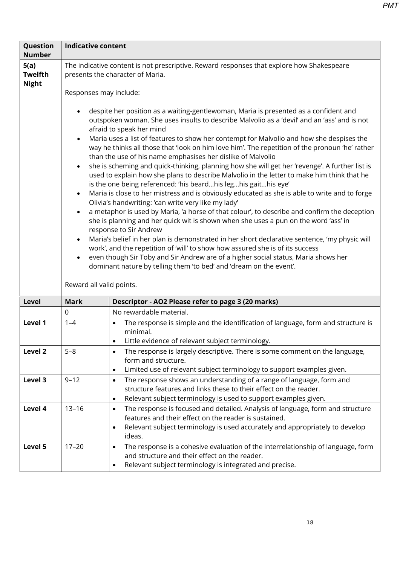| Question<br><b>Number</b>              | Indicative content                                                         |                                                                                                                                                                                                                                                                                                                                                                                                                                                                                                                                                                                                                                                                                                                                                                                                                                                                                                                                                                                                                                                                                                                                                                                                                                                                                                                                                                                                                                                                                                   |
|----------------------------------------|----------------------------------------------------------------------------|---------------------------------------------------------------------------------------------------------------------------------------------------------------------------------------------------------------------------------------------------------------------------------------------------------------------------------------------------------------------------------------------------------------------------------------------------------------------------------------------------------------------------------------------------------------------------------------------------------------------------------------------------------------------------------------------------------------------------------------------------------------------------------------------------------------------------------------------------------------------------------------------------------------------------------------------------------------------------------------------------------------------------------------------------------------------------------------------------------------------------------------------------------------------------------------------------------------------------------------------------------------------------------------------------------------------------------------------------------------------------------------------------------------------------------------------------------------------------------------------------|
| 5(a)<br><b>Twelfth</b><br><b>Night</b> |                                                                            | The indicative content is not prescriptive. Reward responses that explore how Shakespeare<br>presents the character of Maria.                                                                                                                                                                                                                                                                                                                                                                                                                                                                                                                                                                                                                                                                                                                                                                                                                                                                                                                                                                                                                                                                                                                                                                                                                                                                                                                                                                     |
|                                        |                                                                            | Responses may include:                                                                                                                                                                                                                                                                                                                                                                                                                                                                                                                                                                                                                                                                                                                                                                                                                                                                                                                                                                                                                                                                                                                                                                                                                                                                                                                                                                                                                                                                            |
|                                        | $\bullet$<br>$\bullet$<br>$\bullet$<br>$\bullet$<br>$\bullet$<br>$\bullet$ | despite her position as a waiting-gentlewoman, Maria is presented as a confident and<br>outspoken woman. She uses insults to describe Malvolio as a 'devil' and an 'ass' and is not<br>afraid to speak her mind<br>Maria uses a list of features to show her contempt for Malvolio and how she despises the<br>way he thinks all those that 'look on him love him'. The repetition of the pronoun 'he' rather<br>than the use of his name emphasises her dislike of Malvolio<br>she is scheming and quick-thinking, planning how she will get her 'revenge'. A further list is<br>used to explain how she plans to describe Malvolio in the letter to make him think that he<br>is the one being referenced: 'his beardhis leghis gaithis eye'<br>Maria is close to her mistress and is obviously educated as she is able to write and to forge<br>Olivia's handwriting: 'can write very like my lady'<br>a metaphor is used by Maria, 'a horse of that colour', to describe and confirm the deception<br>she is planning and her quick wit is shown when she uses a pun on the word 'ass' in<br>response to Sir Andrew<br>Maria's belief in her plan is demonstrated in her short declarative sentence, 'my physic will<br>work', and the repetition of 'will' to show how assured she is of its success<br>even though Sir Toby and Sir Andrew are of a higher social status, Maria shows her<br>dominant nature by telling them 'to bed' and 'dream on the event'.<br>Reward all valid points. |
| Level                                  | <b>Mark</b>                                                                | Descriptor - AO2 Please refer to page 3 (20 marks)                                                                                                                                                                                                                                                                                                                                                                                                                                                                                                                                                                                                                                                                                                                                                                                                                                                                                                                                                                                                                                                                                                                                                                                                                                                                                                                                                                                                                                                |
|                                        | 0                                                                          | No rewardable material.                                                                                                                                                                                                                                                                                                                                                                                                                                                                                                                                                                                                                                                                                                                                                                                                                                                                                                                                                                                                                                                                                                                                                                                                                                                                                                                                                                                                                                                                           |
| Level 1                                | $1 - 4$                                                                    | The response is simple and the identification of language, form and structure is<br>$\bullet$<br>minimal.<br>Little evidence of relevant subject terminology.                                                                                                                                                                                                                                                                                                                                                                                                                                                                                                                                                                                                                                                                                                                                                                                                                                                                                                                                                                                                                                                                                                                                                                                                                                                                                                                                     |
| Level 2                                | $5 - 8$                                                                    | The response is largely descriptive. There is some comment on the language,<br>form and structure.<br>Limited use of relevant subject terminology to support examples given.<br>$\bullet$                                                                                                                                                                                                                                                                                                                                                                                                                                                                                                                                                                                                                                                                                                                                                                                                                                                                                                                                                                                                                                                                                                                                                                                                                                                                                                         |
| Level 3                                | $9 - 12$                                                                   | The response shows an understanding of a range of language, form and<br>$\bullet$<br>structure features and links these to their effect on the reader.<br>Relevant subject terminology is used to support examples given.<br>$\bullet$                                                                                                                                                                                                                                                                                                                                                                                                                                                                                                                                                                                                                                                                                                                                                                                                                                                                                                                                                                                                                                                                                                                                                                                                                                                            |
| Level 4                                | $13 - 16$                                                                  | The response is focused and detailed. Analysis of language, form and structure<br>$\bullet$<br>features and their effect on the reader is sustained.<br>Relevant subject terminology is used accurately and appropriately to develop<br>$\bullet$<br>ideas.                                                                                                                                                                                                                                                                                                                                                                                                                                                                                                                                                                                                                                                                                                                                                                                                                                                                                                                                                                                                                                                                                                                                                                                                                                       |
| Level 5                                | $17 - 20$                                                                  | The response is a cohesive evaluation of the interrelationship of language, form<br>$\bullet$<br>and structure and their effect on the reader.<br>Relevant subject terminology is integrated and precise.                                                                                                                                                                                                                                                                                                                                                                                                                                                                                                                                                                                                                                                                                                                                                                                                                                                                                                                                                                                                                                                                                                                                                                                                                                                                                         |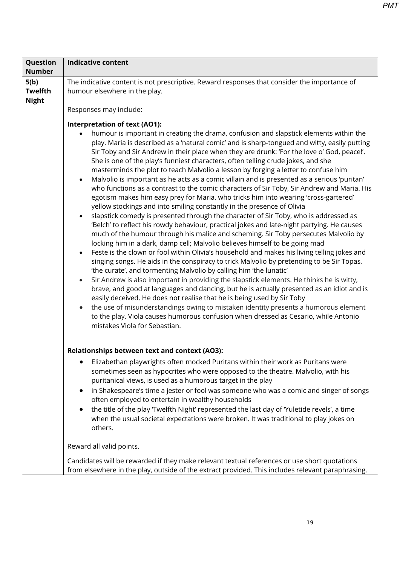| Question<br><b>Number</b>              | <b>Indicative content</b>                                                                                                                                                                                                                                                                                                                                                                                                                                                                                                                                                                                                                                                                                                                                                                                                                                                                                                                                                                                                                                                                                                                                                                                                                                                                                                                                                                                                                                                                                                                                                                                                                                                                                                                                                                                                                                                                                                                                                                                                                                   |
|----------------------------------------|-------------------------------------------------------------------------------------------------------------------------------------------------------------------------------------------------------------------------------------------------------------------------------------------------------------------------------------------------------------------------------------------------------------------------------------------------------------------------------------------------------------------------------------------------------------------------------------------------------------------------------------------------------------------------------------------------------------------------------------------------------------------------------------------------------------------------------------------------------------------------------------------------------------------------------------------------------------------------------------------------------------------------------------------------------------------------------------------------------------------------------------------------------------------------------------------------------------------------------------------------------------------------------------------------------------------------------------------------------------------------------------------------------------------------------------------------------------------------------------------------------------------------------------------------------------------------------------------------------------------------------------------------------------------------------------------------------------------------------------------------------------------------------------------------------------------------------------------------------------------------------------------------------------------------------------------------------------------------------------------------------------------------------------------------------------|
| 5(b)<br><b>Twelfth</b><br><b>Night</b> | The indicative content is not prescriptive. Reward responses that consider the importance of<br>humour elsewhere in the play.                                                                                                                                                                                                                                                                                                                                                                                                                                                                                                                                                                                                                                                                                                                                                                                                                                                                                                                                                                                                                                                                                                                                                                                                                                                                                                                                                                                                                                                                                                                                                                                                                                                                                                                                                                                                                                                                                                                               |
|                                        | Responses may include:                                                                                                                                                                                                                                                                                                                                                                                                                                                                                                                                                                                                                                                                                                                                                                                                                                                                                                                                                                                                                                                                                                                                                                                                                                                                                                                                                                                                                                                                                                                                                                                                                                                                                                                                                                                                                                                                                                                                                                                                                                      |
|                                        | Interpretation of text (AO1):<br>humour is important in creating the drama, confusion and slapstick elements within the<br>$\bullet$<br>play. Maria is described as a 'natural comic' and is sharp-tongued and witty, easily putting<br>Sir Toby and Sir Andrew in their place when they are drunk: 'For the love o' God, peace!'.<br>She is one of the play's funniest characters, often telling crude jokes, and she<br>masterminds the plot to teach Malvolio a lesson by forging a letter to confuse him<br>Malvolio is important as he acts as a comic villain and is presented as a serious 'puritan'<br>$\bullet$<br>who functions as a contrast to the comic characters of Sir Toby, Sir Andrew and Maria. His<br>egotism makes him easy prey for Maria, who tricks him into wearing 'cross-gartered'<br>yellow stockings and into smiling constantly in the presence of Olivia<br>slapstick comedy is presented through the character of Sir Toby, who is addressed as<br>$\bullet$<br>'Belch' to reflect his rowdy behaviour, practical jokes and late-night partying. He causes<br>much of the humour through his malice and scheming. Sir Toby persecutes Malvolio by<br>locking him in a dark, damp cell; Malvolio believes himself to be going mad<br>Feste is the clown or fool within Olivia's household and makes his living telling jokes and<br>$\bullet$<br>singing songs. He aids in the conspiracy to trick Malvolio by pretending to be Sir Topas,<br>'the curate', and tormenting Malvolio by calling him 'the lunatic'<br>Sir Andrew is also important in providing the slapstick elements. He thinks he is witty,<br>$\bullet$<br>brave, and good at languages and dancing, but he is actually presented as an idiot and is<br>easily deceived. He does not realise that he is being used by Sir Toby<br>the use of misunderstandings owing to mistaken identity presents a humorous element<br>$\bullet$<br>to the play. Viola causes humorous confusion when dressed as Cesario, while Antonio<br>mistakes Viola for Sebastian. |
|                                        | Relationships between text and context (AO3):                                                                                                                                                                                                                                                                                                                                                                                                                                                                                                                                                                                                                                                                                                                                                                                                                                                                                                                                                                                                                                                                                                                                                                                                                                                                                                                                                                                                                                                                                                                                                                                                                                                                                                                                                                                                                                                                                                                                                                                                               |
|                                        | Elizabethan playwrights often mocked Puritans within their work as Puritans were<br>sometimes seen as hypocrites who were opposed to the theatre. Malvolio, with his<br>puritanical views, is used as a humorous target in the play<br>in Shakespeare's time a jester or fool was someone who was a comic and singer of songs<br>$\bullet$<br>often employed to entertain in wealthy households<br>the title of the play 'Twelfth Night' represented the last day of 'Yuletide revels', a time<br>$\bullet$<br>when the usual societal expectations were broken. It was traditional to play jokes on<br>others.                                                                                                                                                                                                                                                                                                                                                                                                                                                                                                                                                                                                                                                                                                                                                                                                                                                                                                                                                                                                                                                                                                                                                                                                                                                                                                                                                                                                                                             |
|                                        | Reward all valid points.                                                                                                                                                                                                                                                                                                                                                                                                                                                                                                                                                                                                                                                                                                                                                                                                                                                                                                                                                                                                                                                                                                                                                                                                                                                                                                                                                                                                                                                                                                                                                                                                                                                                                                                                                                                                                                                                                                                                                                                                                                    |
|                                        | Candidates will be rewarded if they make relevant textual references or use short quotations<br>from elsewhere in the play, outside of the extract provided. This includes relevant paraphrasing.                                                                                                                                                                                                                                                                                                                                                                                                                                                                                                                                                                                                                                                                                                                                                                                                                                                                                                                                                                                                                                                                                                                                                                                                                                                                                                                                                                                                                                                                                                                                                                                                                                                                                                                                                                                                                                                           |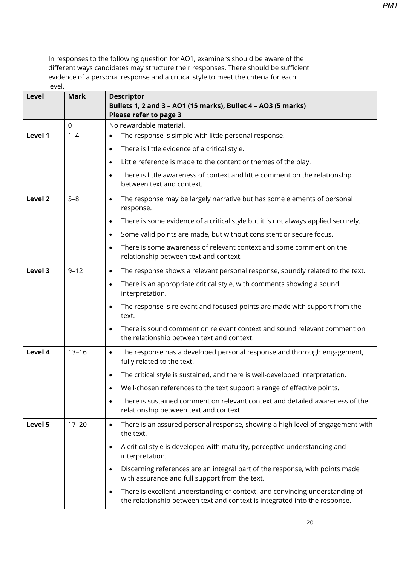| Level   | <b>Mark</b> | <b>Descriptor</b><br>Bullets 1, 2 and 3 - AO1 (15 marks), Bullet 4 - AO3 (5 marks)<br>Please refer to page 3                                                            |
|---------|-------------|-------------------------------------------------------------------------------------------------------------------------------------------------------------------------|
|         | 0           | No rewardable material.                                                                                                                                                 |
| Level 1 | $1 - 4$     | The response is simple with little personal response.<br>$\bullet$                                                                                                      |
|         |             | There is little evidence of a critical style.<br>$\bullet$                                                                                                              |
|         |             | Little reference is made to the content or themes of the play.<br>$\bullet$                                                                                             |
|         |             | There is little awareness of context and little comment on the relationship<br>$\bullet$<br>between text and context.                                                   |
| Level 2 | $5 - 8$     | The response may be largely narrative but has some elements of personal<br>$\bullet$<br>response.                                                                       |
|         |             | There is some evidence of a critical style but it is not always applied securely.<br>$\bullet$                                                                          |
|         |             | Some valid points are made, but without consistent or secure focus.<br>$\bullet$                                                                                        |
|         |             | There is some awareness of relevant context and some comment on the<br>$\bullet$<br>relationship between text and context.                                              |
| Level 3 | $9 - 12$    | The response shows a relevant personal response, soundly related to the text.<br>$\bullet$                                                                              |
|         |             | There is an appropriate critical style, with comments showing a sound<br>$\bullet$<br>interpretation.                                                                   |
|         |             | The response is relevant and focused points are made with support from the<br>$\bullet$<br>text.                                                                        |
|         |             | There is sound comment on relevant context and sound relevant comment on<br>the relationship between text and context.                                                  |
| Level 4 | $13 - 16$   | The response has a developed personal response and thorough engagement,<br>$\bullet$<br>fully related to the text.                                                      |
|         |             | The critical style is sustained, and there is well-developed interpretation.<br>$\bullet$                                                                               |
|         |             | Well-chosen references to the text support a range of effective points.                                                                                                 |
|         |             | There is sustained comment on relevant context and detailed awareness of the<br>$\bullet$<br>relationship between text and context.                                     |
| Level 5 | $17 - 20$   | There is an assured personal response, showing a high level of engagement with<br>$\bullet$<br>the text.                                                                |
|         |             | A critical style is developed with maturity, perceptive understanding and<br>$\bullet$<br>interpretation.                                                               |
|         |             | Discerning references are an integral part of the response, with points made<br>$\bullet$<br>with assurance and full support from the text.                             |
|         |             | There is excellent understanding of context, and convincing understanding of<br>$\bullet$<br>the relationship between text and context is integrated into the response. |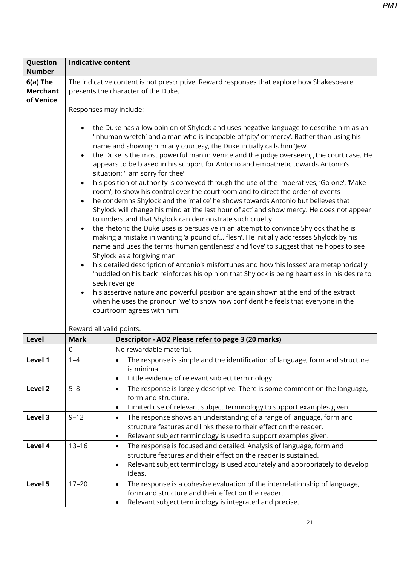| Question                                   | <b>Indicative content</b>           |                                                                                                                                                                                                                                                                                                                                                                                                                                                                                                                                                                                                                                                                                                                                                                                                                                                                                                                                                                                                                                                                                                                                                                                                                                                                                                                                                                                                                                                                                                                                                                                                                                            |
|--------------------------------------------|-------------------------------------|--------------------------------------------------------------------------------------------------------------------------------------------------------------------------------------------------------------------------------------------------------------------------------------------------------------------------------------------------------------------------------------------------------------------------------------------------------------------------------------------------------------------------------------------------------------------------------------------------------------------------------------------------------------------------------------------------------------------------------------------------------------------------------------------------------------------------------------------------------------------------------------------------------------------------------------------------------------------------------------------------------------------------------------------------------------------------------------------------------------------------------------------------------------------------------------------------------------------------------------------------------------------------------------------------------------------------------------------------------------------------------------------------------------------------------------------------------------------------------------------------------------------------------------------------------------------------------------------------------------------------------------------|
| <b>Number</b>                              |                                     |                                                                                                                                                                                                                                                                                                                                                                                                                                                                                                                                                                                                                                                                                                                                                                                                                                                                                                                                                                                                                                                                                                                                                                                                                                                                                                                                                                                                                                                                                                                                                                                                                                            |
| $6(a)$ The<br><b>Merchant</b><br>of Venice | Responses may include:              | The indicative content is not prescriptive. Reward responses that explore how Shakespeare<br>presents the character of the Duke.                                                                                                                                                                                                                                                                                                                                                                                                                                                                                                                                                                                                                                                                                                                                                                                                                                                                                                                                                                                                                                                                                                                                                                                                                                                                                                                                                                                                                                                                                                           |
|                                            | $\bullet$<br>$\bullet$<br>$\bullet$ | the Duke has a low opinion of Shylock and uses negative language to describe him as an<br>'inhuman wretch' and a man who is incapable of 'pity' or 'mercy'. Rather than using his<br>name and showing him any courtesy, the Duke initially calls him 'Jew'<br>the Duke is the most powerful man in Venice and the judge overseeing the court case. He<br>appears to be biased in his support for Antonio and empathetic towards Antonio's<br>situation: 'I am sorry for thee'<br>his position of authority is conveyed through the use of the imperatives, 'Go one', 'Make<br>room', to show his control over the courtroom and to direct the order of events<br>he condemns Shylock and the 'malice' he shows towards Antonio but believes that<br>Shylock will change his mind at 'the last hour of act' and show mercy. He does not appear<br>to understand that Shylock can demonstrate such cruelty<br>the rhetoric the Duke uses is persuasive in an attempt to convince Shylock that he is<br>making a mistake in wanting 'a pound of flesh'. He initially addresses Shylock by his<br>name and uses the terms 'human gentleness' and 'love' to suggest that he hopes to see<br>Shylock as a forgiving man<br>his detailed description of Antonio's misfortunes and how 'his losses' are metaphorically<br>'huddled on his back' reinforces his opinion that Shylock is being heartless in his desire to<br>seek revenge<br>his assertive nature and powerful position are again shown at the end of the extract<br>when he uses the pronoun 'we' to show how confident he feels that everyone in the<br>courtroom agrees with him. |
|                                            | Reward all valid points.            |                                                                                                                                                                                                                                                                                                                                                                                                                                                                                                                                                                                                                                                                                                                                                                                                                                                                                                                                                                                                                                                                                                                                                                                                                                                                                                                                                                                                                                                                                                                                                                                                                                            |
| Level                                      | <b>Mark</b>                         | Descriptor - AO2 Please refer to page 3 (20 marks)                                                                                                                                                                                                                                                                                                                                                                                                                                                                                                                                                                                                                                                                                                                                                                                                                                                                                                                                                                                                                                                                                                                                                                                                                                                                                                                                                                                                                                                                                                                                                                                         |
|                                            | 0                                   | No rewardable material.                                                                                                                                                                                                                                                                                                                                                                                                                                                                                                                                                                                                                                                                                                                                                                                                                                                                                                                                                                                                                                                                                                                                                                                                                                                                                                                                                                                                                                                                                                                                                                                                                    |
| Level 1                                    | $1 - 4$                             | The response is simple and the identification of language, form and structure<br>is minimal.<br>Little evidence of relevant subject terminology.<br>$\bullet$                                                                                                                                                                                                                                                                                                                                                                                                                                                                                                                                                                                                                                                                                                                                                                                                                                                                                                                                                                                                                                                                                                                                                                                                                                                                                                                                                                                                                                                                              |
| Level 2                                    | $5 - 8$                             | The response is largely descriptive. There is some comment on the language,<br>$\bullet$<br>form and structure.<br>Limited use of relevant subject terminology to support examples given.<br>$\bullet$                                                                                                                                                                                                                                                                                                                                                                                                                                                                                                                                                                                                                                                                                                                                                                                                                                                                                                                                                                                                                                                                                                                                                                                                                                                                                                                                                                                                                                     |
| Level 3                                    | $9 - 12$                            | The response shows an understanding of a range of language, form and<br>$\bullet$<br>structure features and links these to their effect on the reader.<br>Relevant subject terminology is used to support examples given.<br>$\bullet$                                                                                                                                                                                                                                                                                                                                                                                                                                                                                                                                                                                                                                                                                                                                                                                                                                                                                                                                                                                                                                                                                                                                                                                                                                                                                                                                                                                                     |
| Level 4                                    | $13 - 16$                           | The response is focused and detailed. Analysis of language, form and<br>$\bullet$<br>structure features and their effect on the reader is sustained.<br>Relevant subject terminology is used accurately and appropriately to develop<br>$\bullet$<br>ideas.                                                                                                                                                                                                                                                                                                                                                                                                                                                                                                                                                                                                                                                                                                                                                                                                                                                                                                                                                                                                                                                                                                                                                                                                                                                                                                                                                                                |
| Level 5                                    | $17 - 20$                           | The response is a cohesive evaluation of the interrelationship of language,<br>$\bullet$<br>form and structure and their effect on the reader.<br>Relevant subject terminology is integrated and precise.<br>$\bullet$                                                                                                                                                                                                                                                                                                                                                                                                                                                                                                                                                                                                                                                                                                                                                                                                                                                                                                                                                                                                                                                                                                                                                                                                                                                                                                                                                                                                                     |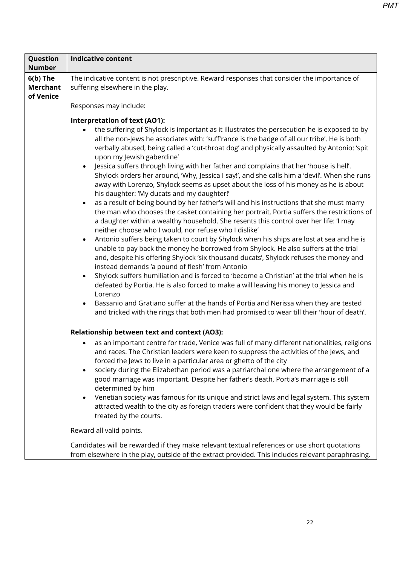| Question<br><b>Number</b>                  | <b>Indicative content</b>                                                                                                                                                                                                                                                                                                                                                                                                                                                                                                                                                                                                                                                                                                                                                                                                                                                                                                                                                                                                                                                                                                                                                                                                                                                                                                                                                                                                                                                                                                                                                                                                                                                                                                                                 |
|--------------------------------------------|-----------------------------------------------------------------------------------------------------------------------------------------------------------------------------------------------------------------------------------------------------------------------------------------------------------------------------------------------------------------------------------------------------------------------------------------------------------------------------------------------------------------------------------------------------------------------------------------------------------------------------------------------------------------------------------------------------------------------------------------------------------------------------------------------------------------------------------------------------------------------------------------------------------------------------------------------------------------------------------------------------------------------------------------------------------------------------------------------------------------------------------------------------------------------------------------------------------------------------------------------------------------------------------------------------------------------------------------------------------------------------------------------------------------------------------------------------------------------------------------------------------------------------------------------------------------------------------------------------------------------------------------------------------------------------------------------------------------------------------------------------------|
| $6(b)$ The<br><b>Merchant</b><br>of Venice | The indicative content is not prescriptive. Reward responses that consider the importance of<br>suffering elsewhere in the play.<br>Responses may include:                                                                                                                                                                                                                                                                                                                                                                                                                                                                                                                                                                                                                                                                                                                                                                                                                                                                                                                                                                                                                                                                                                                                                                                                                                                                                                                                                                                                                                                                                                                                                                                                |
|                                            | Interpretation of text (AO1):<br>the suffering of Shylock is important as it illustrates the persecution he is exposed to by<br>all the non-Jews he associates with: 'suff'rance is the badge of all our tribe'. He is both<br>verbally abused, being called a 'cut-throat dog' and physically assaulted by Antonio: 'spit<br>upon my Jewish gaberdine'<br>Jessica suffers through living with her father and complains that her 'house is hell'.<br>Shylock orders her around, 'Why, Jessica I say!', and she calls him a 'devil'. When she runs<br>away with Lorenzo, Shylock seems as upset about the loss of his money as he is about<br>his daughter: 'My ducats and my daughter!'<br>as a result of being bound by her father's will and his instructions that she must marry<br>the man who chooses the casket containing her portrait, Portia suffers the restrictions of<br>a daughter within a wealthy household. She resents this control over her life: 'I may<br>neither choose who I would, nor refuse who I dislike'<br>Antonio suffers being taken to court by Shylock when his ships are lost at sea and he is<br>unable to pay back the money he borrowed from Shylock. He also suffers at the trial<br>and, despite his offering Shylock 'six thousand ducats', Shylock refuses the money and<br>instead demands 'a pound of flesh' from Antonio<br>Shylock suffers humiliation and is forced to 'become a Christian' at the trial when he is<br>defeated by Portia. He is also forced to make a will leaving his money to Jessica and<br>Lorenzo<br>Bassanio and Gratiano suffer at the hands of Portia and Nerissa when they are tested<br>and tricked with the rings that both men had promised to wear till their 'hour of death'. |
|                                            | Relationship between text and context (AO3):<br>as an important centre for trade, Venice was full of many different nationalities, religions<br>and races. The Christian leaders were keen to suppress the activities of the Jews, and<br>forced the Jews to live in a particular area or ghetto of the city<br>society during the Elizabethan period was a patriarchal one where the arrangement of a<br>good marriage was important. Despite her father's death, Portia's marriage is still<br>determined by him<br>Venetian society was famous for its unique and strict laws and legal system. This system<br>attracted wealth to the city as foreign traders were confident that they would be fairly<br>treated by the courts.<br>Reward all valid points.<br>Candidates will be rewarded if they make relevant textual references or use short quotations<br>from elsewhere in the play, outside of the extract provided. This includes relevant paraphrasing.                                                                                                                                                                                                                                                                                                                                                                                                                                                                                                                                                                                                                                                                                                                                                                                     |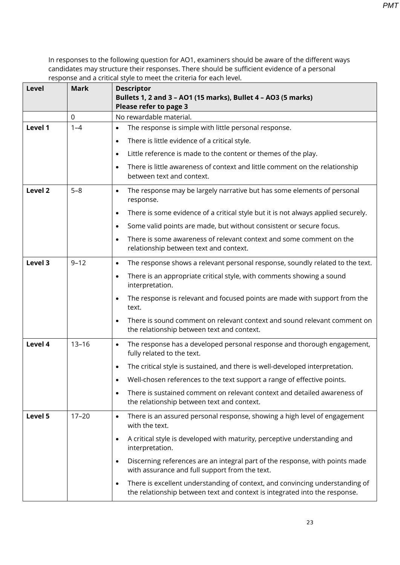| Level              | <b>Mark</b> | <b>Descriptor</b><br>Bullets 1, 2 and 3 - AO1 (15 marks), Bullet 4 - AO3 (5 marks)                                                                                      |
|--------------------|-------------|-------------------------------------------------------------------------------------------------------------------------------------------------------------------------|
|                    |             | Please refer to page 3                                                                                                                                                  |
|                    | $\mathbf 0$ | No rewardable material.                                                                                                                                                 |
| Level 1            | $1 - 4$     | The response is simple with little personal response.<br>$\bullet$                                                                                                      |
|                    |             | There is little evidence of a critical style.<br>$\bullet$                                                                                                              |
|                    |             | Little reference is made to the content or themes of the play.<br>$\bullet$                                                                                             |
|                    |             | There is little awareness of context and little comment on the relationship<br>between text and context.                                                                |
| Level <sub>2</sub> | $5 - 8$     | The response may be largely narrative but has some elements of personal<br>$\bullet$<br>response.                                                                       |
|                    |             | There is some evidence of a critical style but it is not always applied securely.<br>$\bullet$                                                                          |
|                    |             | Some valid points are made, but without consistent or secure focus.<br>$\bullet$                                                                                        |
|                    |             | There is some awareness of relevant context and some comment on the<br>relationship between text and context.                                                           |
| Level 3            | $9 - 12$    | The response shows a relevant personal response, soundly related to the text.<br>$\bullet$                                                                              |
|                    |             | There is an appropriate critical style, with comments showing a sound<br>$\bullet$<br>interpretation.                                                                   |
|                    |             | The response is relevant and focused points are made with support from the<br>$\bullet$<br>text.                                                                        |
|                    |             | There is sound comment on relevant context and sound relevant comment on<br>the relationship between text and context.                                                  |
| Level 4            | $13 - 16$   | The response has a developed personal response and thorough engagement,<br>$\bullet$<br>fully related to the text.                                                      |
|                    |             | The critical style is sustained, and there is well-developed interpretation.<br>$\bullet$                                                                               |
|                    |             | Well-chosen references to the text support a range of effective points.                                                                                                 |
|                    |             | There is sustained comment on relevant context and detailed awareness of<br>$\bullet$<br>the relationship between text and context.                                     |
| Level 5            | $17 - 20$   | There is an assured personal response, showing a high level of engagement<br>$\bullet$<br>with the text.                                                                |
|                    |             | A critical style is developed with maturity, perceptive understanding and<br>$\bullet$<br>interpretation.                                                               |
|                    |             | Discerning references are an integral part of the response, with points made<br>$\bullet$<br>with assurance and full support from the text.                             |
|                    |             | There is excellent understanding of context, and convincing understanding of<br>$\bullet$<br>the relationship between text and context is integrated into the response. |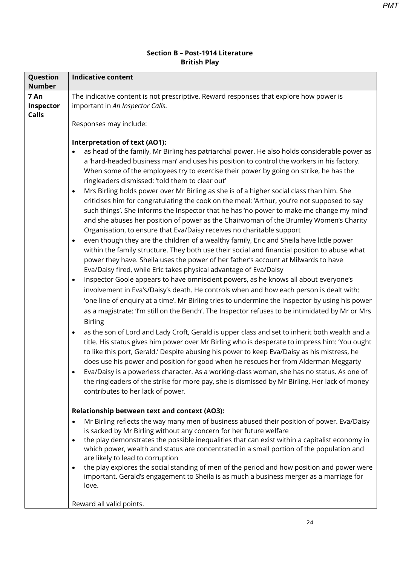#### **Section B – Post-1914 Literature British Play**

| Question<br><b>Number</b>         | <b>Indicative content</b>                                                                                                                                                                                                                                                                                                                                                                                                                                                                                                                                                                                                                                                                                                                                                                                                                                                                                                                                                                                                                                                                                                                                                                                                                                                                                                                                                                                                                                                                                                                                                                                                                                                                                                                                                                                                                                                                                                                                                                                                                                                                                                                                                                                                                                |  |  |
|-----------------------------------|----------------------------------------------------------------------------------------------------------------------------------------------------------------------------------------------------------------------------------------------------------------------------------------------------------------------------------------------------------------------------------------------------------------------------------------------------------------------------------------------------------------------------------------------------------------------------------------------------------------------------------------------------------------------------------------------------------------------------------------------------------------------------------------------------------------------------------------------------------------------------------------------------------------------------------------------------------------------------------------------------------------------------------------------------------------------------------------------------------------------------------------------------------------------------------------------------------------------------------------------------------------------------------------------------------------------------------------------------------------------------------------------------------------------------------------------------------------------------------------------------------------------------------------------------------------------------------------------------------------------------------------------------------------------------------------------------------------------------------------------------------------------------------------------------------------------------------------------------------------------------------------------------------------------------------------------------------------------------------------------------------------------------------------------------------------------------------------------------------------------------------------------------------------------------------------------------------------------------------------------------------|--|--|
| 7 An<br>Inspector<br><b>Calls</b> | The indicative content is not prescriptive. Reward responses that explore how power is<br>important in An Inspector Calls.                                                                                                                                                                                                                                                                                                                                                                                                                                                                                                                                                                                                                                                                                                                                                                                                                                                                                                                                                                                                                                                                                                                                                                                                                                                                                                                                                                                                                                                                                                                                                                                                                                                                                                                                                                                                                                                                                                                                                                                                                                                                                                                               |  |  |
|                                   | Responses may include:                                                                                                                                                                                                                                                                                                                                                                                                                                                                                                                                                                                                                                                                                                                                                                                                                                                                                                                                                                                                                                                                                                                                                                                                                                                                                                                                                                                                                                                                                                                                                                                                                                                                                                                                                                                                                                                                                                                                                                                                                                                                                                                                                                                                                                   |  |  |
|                                   | Interpretation of text (AO1):<br>as head of the family, Mr Birling has patriarchal power. He also holds considerable power as<br>$\bullet$<br>a 'hard-headed business man' and uses his position to control the workers in his factory.<br>When some of the employees try to exercise their power by going on strike, he has the<br>ringleaders dismissed: 'told them to clear out'<br>Mrs Birling holds power over Mr Birling as she is of a higher social class than him. She<br>$\bullet$<br>criticises him for congratulating the cook on the meal: 'Arthur, you're not supposed to say<br>such things'. She informs the Inspector that he has 'no power to make me change my mind'<br>and she abuses her position of power as the Chairwoman of the Brumley Women's Charity<br>Organisation, to ensure that Eva/Daisy receives no charitable support<br>even though they are the children of a wealthy family, Eric and Sheila have little power<br>$\bullet$<br>within the family structure. They both use their social and financial position to abuse what<br>power they have. Sheila uses the power of her father's account at Milwards to have<br>Eva/Daisy fired, while Eric takes physical advantage of Eva/Daisy<br>Inspector Goole appears to have omniscient powers, as he knows all about everyone's<br>$\bullet$<br>involvement in Eva's/Daisy's death. He controls when and how each person is dealt with:<br>'one line of enquiry at a time'. Mr Birling tries to undermine the Inspector by using his power<br>as a magistrate: 'I'm still on the Bench'. The Inspector refuses to be intimidated by Mr or Mrs<br><b>Birling</b><br>as the son of Lord and Lady Croft, Gerald is upper class and set to inherit both wealth and a<br>$\bullet$<br>title. His status gives him power over Mr Birling who is desperate to impress him: 'You ought<br>to like this port, Gerald.' Despite abusing his power to keep Eva/Daisy as his mistress, he<br>does use his power and position for good when he rescues her from Alderman Meggarty<br>Eva/Daisy is a powerless character. As a working-class woman, she has no status. As one of<br>the ringleaders of the strike for more pay, she is dismissed by Mr Birling. Her lack of money |  |  |
|                                   | contributes to her lack of power.                                                                                                                                                                                                                                                                                                                                                                                                                                                                                                                                                                                                                                                                                                                                                                                                                                                                                                                                                                                                                                                                                                                                                                                                                                                                                                                                                                                                                                                                                                                                                                                                                                                                                                                                                                                                                                                                                                                                                                                                                                                                                                                                                                                                                        |  |  |
|                                   | Relationship between text and context (AO3):                                                                                                                                                                                                                                                                                                                                                                                                                                                                                                                                                                                                                                                                                                                                                                                                                                                                                                                                                                                                                                                                                                                                                                                                                                                                                                                                                                                                                                                                                                                                                                                                                                                                                                                                                                                                                                                                                                                                                                                                                                                                                                                                                                                                             |  |  |
|                                   | Mr Birling reflects the way many men of business abused their position of power. Eva/Daisy<br>$\bullet$<br>is sacked by Mr Birling without any concern for her future welfare                                                                                                                                                                                                                                                                                                                                                                                                                                                                                                                                                                                                                                                                                                                                                                                                                                                                                                                                                                                                                                                                                                                                                                                                                                                                                                                                                                                                                                                                                                                                                                                                                                                                                                                                                                                                                                                                                                                                                                                                                                                                            |  |  |
|                                   | the play demonstrates the possible inequalities that can exist within a capitalist economy in<br>$\bullet$<br>which power, wealth and status are concentrated in a small portion of the population and<br>are likely to lead to corruption                                                                                                                                                                                                                                                                                                                                                                                                                                                                                                                                                                                                                                                                                                                                                                                                                                                                                                                                                                                                                                                                                                                                                                                                                                                                                                                                                                                                                                                                                                                                                                                                                                                                                                                                                                                                                                                                                                                                                                                                               |  |  |
|                                   | the play explores the social standing of men of the period and how position and power were<br>$\bullet$<br>important. Gerald's engagement to Sheila is as much a business merger as a marriage for<br>love.                                                                                                                                                                                                                                                                                                                                                                                                                                                                                                                                                                                                                                                                                                                                                                                                                                                                                                                                                                                                                                                                                                                                                                                                                                                                                                                                                                                                                                                                                                                                                                                                                                                                                                                                                                                                                                                                                                                                                                                                                                              |  |  |
|                                   | Reward all valid points.                                                                                                                                                                                                                                                                                                                                                                                                                                                                                                                                                                                                                                                                                                                                                                                                                                                                                                                                                                                                                                                                                                                                                                                                                                                                                                                                                                                                                                                                                                                                                                                                                                                                                                                                                                                                                                                                                                                                                                                                                                                                                                                                                                                                                                 |  |  |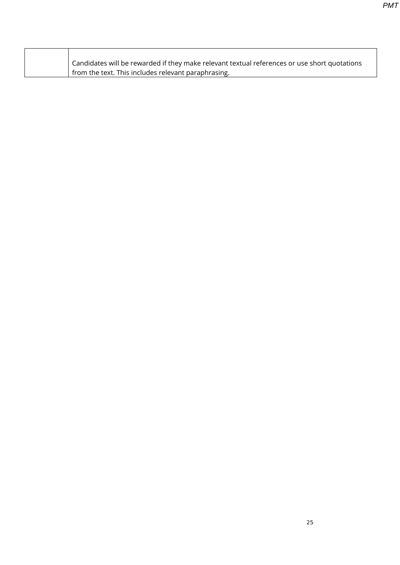| Candidates will be rewarded if they make relevant textual references or use short quotations |
|----------------------------------------------------------------------------------------------|
| from the text. This includes relevant paraphrasing.                                          |

 $\mathsf{r}$ 

٦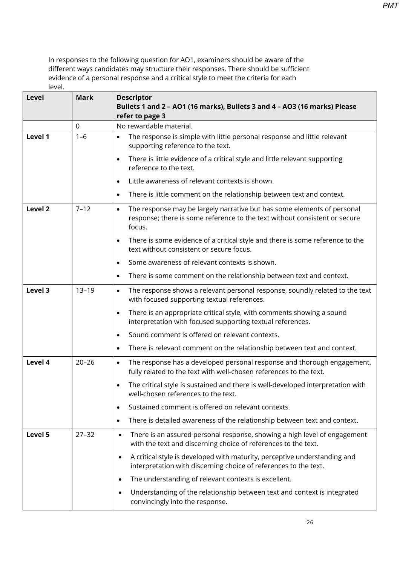| Level              | <b>Mark</b> | <b>Descriptor</b><br>Bullets 1 and 2 - AO1 (16 marks), Bullets 3 and 4 - AO3 (16 marks) Please<br>refer to page 3                                                            |
|--------------------|-------------|------------------------------------------------------------------------------------------------------------------------------------------------------------------------------|
|                    | 0           | No rewardable material.                                                                                                                                                      |
| Level 1            | $1 - 6$     | The response is simple with little personal response and little relevant<br>٠<br>supporting reference to the text.                                                           |
|                    |             | There is little evidence of a critical style and little relevant supporting<br>$\bullet$<br>reference to the text.                                                           |
|                    |             | Little awareness of relevant contexts is shown.<br>$\bullet$                                                                                                                 |
|                    |             | There is little comment on the relationship between text and context.<br>$\bullet$                                                                                           |
| Level <sub>2</sub> | $7 - 12$    | The response may be largely narrative but has some elements of personal<br>$\bullet$<br>response; there is some reference to the text without consistent or secure<br>focus. |
|                    |             | There is some evidence of a critical style and there is some reference to the<br>$\bullet$<br>text without consistent or secure focus.                                       |
|                    |             | Some awareness of relevant contexts is shown.<br>$\bullet$                                                                                                                   |
|                    |             | There is some comment on the relationship between text and context.<br>$\bullet$                                                                                             |
| Level 3            | $13 - 19$   | The response shows a relevant personal response, soundly related to the text<br>$\bullet$<br>with focused supporting textual references.                                     |
|                    |             | There is an appropriate critical style, with comments showing a sound<br>$\bullet$<br>interpretation with focused supporting textual references.                             |
|                    |             | Sound comment is offered on relevant contexts.<br>$\bullet$                                                                                                                  |
|                    |             | There is relevant comment on the relationship between text and context.<br>$\bullet$                                                                                         |
| Level 4            | $20 - 26$   | The response has a developed personal response and thorough engagement,<br>$\bullet$<br>fully related to the text with well-chosen references to the text.                   |
|                    |             | The critical style is sustained and there is well-developed interpretation with<br>$\bullet$<br>well-chosen references to the text.                                          |
|                    |             | Sustained comment is offered on relevant contexts.<br>$\bullet$                                                                                                              |
|                    |             | There is detailed awareness of the relationship between text and context.<br>$\bullet$                                                                                       |
| Level 5            | $27 - 32$   | There is an assured personal response, showing a high level of engagement<br>$\bullet$<br>with the text and discerning choice of references to the text.                     |
|                    |             | A critical style is developed with maturity, perceptive understanding and<br>$\bullet$<br>interpretation with discerning choice of references to the text.                   |
|                    |             | The understanding of relevant contexts is excellent.<br>$\bullet$                                                                                                            |
|                    |             | Understanding of the relationship between text and context is integrated<br>$\bullet$<br>convincingly into the response.                                                     |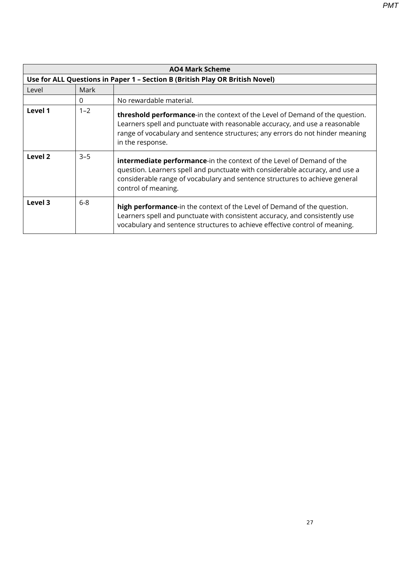**AO4 Mark Scheme Use for ALL Questions in Paper 1 – Section B (British Play OR British Novel)** Level Mark 0 No rewardable material. **Level 1** 1–2 **threshold performance**-in the context of the Level of Demand of the question. Learners spell and punctuate with reasonable accuracy, and use a reasonable range of vocabulary and sentence structures; any errors do not hinder meaning in the response. **Level 2**  $\begin{vmatrix} 3-5 \\ \end{vmatrix}$  **intermediate performance**-in the context of the Level of Demand of the question. Learners spell and punctuate with considerable accuracy, and use a considerable range of vocabulary and sentence structures to achieve general control of meaning. **Level 3** 6-8 **high performance**-in the context of the Level of Demand of the question. Learners spell and punctuate with consistent accuracy, and consistently use vocabulary and sentence structures to achieve effective control of meaning.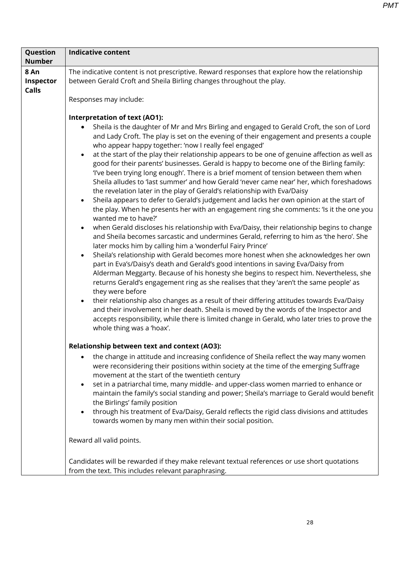| Question<br><b>Number</b>         | <b>Indicative content</b>                                                                                                                                                                                                                                                                                                                                                                                                                                                                                                                                                                                                                                                                                                                                                                                                                                                                                                                                                                                                                                                                                                                                                                                                                                                                                                                                                                                                                                                                                                                                                                                                                                                                                                                                                                                                                                                                                                                                                    |
|-----------------------------------|------------------------------------------------------------------------------------------------------------------------------------------------------------------------------------------------------------------------------------------------------------------------------------------------------------------------------------------------------------------------------------------------------------------------------------------------------------------------------------------------------------------------------------------------------------------------------------------------------------------------------------------------------------------------------------------------------------------------------------------------------------------------------------------------------------------------------------------------------------------------------------------------------------------------------------------------------------------------------------------------------------------------------------------------------------------------------------------------------------------------------------------------------------------------------------------------------------------------------------------------------------------------------------------------------------------------------------------------------------------------------------------------------------------------------------------------------------------------------------------------------------------------------------------------------------------------------------------------------------------------------------------------------------------------------------------------------------------------------------------------------------------------------------------------------------------------------------------------------------------------------------------------------------------------------------------------------------------------------|
|                                   |                                                                                                                                                                                                                                                                                                                                                                                                                                                                                                                                                                                                                                                                                                                                                                                                                                                                                                                                                                                                                                                                                                                                                                                                                                                                                                                                                                                                                                                                                                                                                                                                                                                                                                                                                                                                                                                                                                                                                                              |
| 8 An<br>Inspector<br><b>Calls</b> | The indicative content is not prescriptive. Reward responses that explore how the relationship<br>between Gerald Croft and Sheila Birling changes throughout the play.                                                                                                                                                                                                                                                                                                                                                                                                                                                                                                                                                                                                                                                                                                                                                                                                                                                                                                                                                                                                                                                                                                                                                                                                                                                                                                                                                                                                                                                                                                                                                                                                                                                                                                                                                                                                       |
|                                   | Responses may include:                                                                                                                                                                                                                                                                                                                                                                                                                                                                                                                                                                                                                                                                                                                                                                                                                                                                                                                                                                                                                                                                                                                                                                                                                                                                                                                                                                                                                                                                                                                                                                                                                                                                                                                                                                                                                                                                                                                                                       |
|                                   | Interpretation of text (AO1):<br>Sheila is the daughter of Mr and Mrs Birling and engaged to Gerald Croft, the son of Lord<br>$\bullet$<br>and Lady Croft. The play is set on the evening of their engagement and presents a couple<br>who appear happy together: 'now I really feel engaged'<br>at the start of the play their relationship appears to be one of genuine affection as well as<br>$\bullet$<br>good for their parents' businesses. Gerald is happy to become one of the Birling family:<br>'I've been trying long enough'. There is a brief moment of tension between them when<br>Sheila alludes to 'last summer' and how Gerald 'never came near' her, which foreshadows<br>the revelation later in the play of Gerald's relationship with Eva/Daisy<br>Sheila appears to defer to Gerald's judgement and lacks her own opinion at the start of<br>the play. When he presents her with an engagement ring she comments: 'Is it the one you<br>wanted me to have?'<br>when Gerald discloses his relationship with Eva/Daisy, their relationship begins to change<br>$\bullet$<br>and Sheila becomes sarcastic and undermines Gerald, referring to him as 'the hero'. She<br>later mocks him by calling him a 'wonderful Fairy Prince'<br>Sheila's relationship with Gerald becomes more honest when she acknowledges her own<br>$\bullet$<br>part in Eva's/Daisy's death and Gerald's good intentions in saving Eva/Daisy from<br>Alderman Meggarty. Because of his honesty she begins to respect him. Nevertheless, she<br>returns Gerald's engagement ring as she realises that they 'aren't the same people' as<br>they were before<br>their relationship also changes as a result of their differing attitudes towards Eva/Daisy<br>and their involvement in her death. Sheila is moved by the words of the Inspector and<br>accepts responsibility, while there is limited change in Gerald, who later tries to prove the<br>whole thing was a 'hoax'. |
|                                   | <b>Relationship between text and context (AO3):</b>                                                                                                                                                                                                                                                                                                                                                                                                                                                                                                                                                                                                                                                                                                                                                                                                                                                                                                                                                                                                                                                                                                                                                                                                                                                                                                                                                                                                                                                                                                                                                                                                                                                                                                                                                                                                                                                                                                                          |
|                                   | the change in attitude and increasing confidence of Sheila reflect the way many women<br>were reconsidering their positions within society at the time of the emerging Suffrage<br>movement at the start of the twentieth century<br>set in a patriarchal time, many middle- and upper-class women married to enhance or<br>$\bullet$<br>maintain the family's social standing and power; Sheila's marriage to Gerald would benefit<br>the Birlings' family position<br>through his treatment of Eva/Daisy, Gerald reflects the rigid class divisions and attitudes<br>$\bullet$<br>towards women by many men within their social position.                                                                                                                                                                                                                                                                                                                                                                                                                                                                                                                                                                                                                                                                                                                                                                                                                                                                                                                                                                                                                                                                                                                                                                                                                                                                                                                                  |
|                                   | Reward all valid points.                                                                                                                                                                                                                                                                                                                                                                                                                                                                                                                                                                                                                                                                                                                                                                                                                                                                                                                                                                                                                                                                                                                                                                                                                                                                                                                                                                                                                                                                                                                                                                                                                                                                                                                                                                                                                                                                                                                                                     |
|                                   | Candidates will be rewarded if they make relevant textual references or use short quotations<br>from the text. This includes relevant paraphrasing.                                                                                                                                                                                                                                                                                                                                                                                                                                                                                                                                                                                                                                                                                                                                                                                                                                                                                                                                                                                                                                                                                                                                                                                                                                                                                                                                                                                                                                                                                                                                                                                                                                                                                                                                                                                                                          |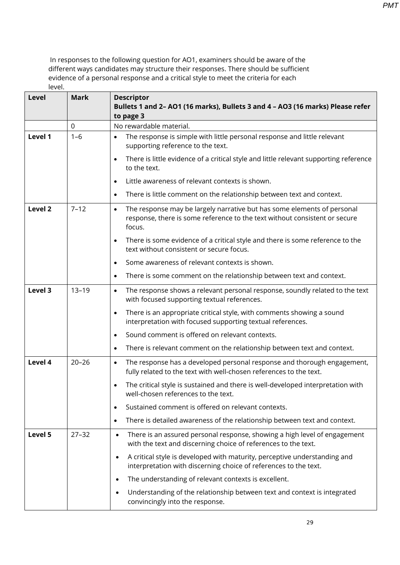| Level   | <b>Mark</b> | <b>Descriptor</b><br>Bullets 1 and 2- AO1 (16 marks), Bullets 3 and 4 - AO3 (16 marks) Please refer<br>to page 3                                                             |
|---------|-------------|------------------------------------------------------------------------------------------------------------------------------------------------------------------------------|
|         | $\mathbf 0$ | No rewardable material.                                                                                                                                                      |
| Level 1 | $1 - 6$     | The response is simple with little personal response and little relevant<br>$\bullet$<br>supporting reference to the text.                                                   |
|         |             | There is little evidence of a critical style and little relevant supporting reference<br>$\bullet$<br>to the text.                                                           |
|         |             | Little awareness of relevant contexts is shown.<br>$\bullet$                                                                                                                 |
|         |             | There is little comment on the relationship between text and context.<br>$\bullet$                                                                                           |
| Level 2 | $7 - 12$    | The response may be largely narrative but has some elements of personal<br>$\bullet$<br>response, there is some reference to the text without consistent or secure<br>focus. |
|         |             | There is some evidence of a critical style and there is some reference to the<br>$\bullet$<br>text without consistent or secure focus.                                       |
|         |             | Some awareness of relevant contexts is shown.<br>$\bullet$                                                                                                                   |
|         |             | There is some comment on the relationship between text and context.<br>$\bullet$                                                                                             |
| Level 3 | $13 - 19$   | The response shows a relevant personal response, soundly related to the text<br>$\bullet$<br>with focused supporting textual references.                                     |
|         |             | There is an appropriate critical style, with comments showing a sound<br>$\bullet$<br>interpretation with focused supporting textual references.                             |
|         |             | Sound comment is offered on relevant contexts.<br>$\bullet$                                                                                                                  |
|         |             | There is relevant comment on the relationship between text and context.<br>$\bullet$                                                                                         |
| Level 4 | $20 - 26$   | The response has a developed personal response and thorough engagement,<br>$\bullet$<br>fully related to the text with well-chosen references to the text.                   |
|         |             | The critical style is sustained and there is well-developed interpretation with<br>$\bullet$<br>well-chosen references to the text.                                          |
|         |             | Sustained comment is offered on relevant contexts.<br>$\bullet$                                                                                                              |
|         |             | There is detailed awareness of the relationship between text and context.<br>$\bullet$                                                                                       |
| Level 5 | $27 - 32$   | There is an assured personal response, showing a high level of engagement<br>$\bullet$<br>with the text and discerning choice of references to the text.                     |
|         |             | A critical style is developed with maturity, perceptive understanding and<br>interpretation with discerning choice of references to the text.                                |
|         |             | The understanding of relevant contexts is excellent.                                                                                                                         |
|         |             | Understanding of the relationship between text and context is integrated<br>convincingly into the response.                                                                  |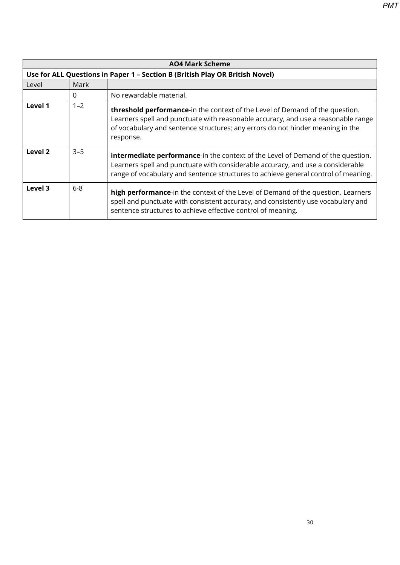| <b>AO4 Mark Scheme</b> |                                                                              |                                                                                                                                                                                                                                                                  |  |  |
|------------------------|------------------------------------------------------------------------------|------------------------------------------------------------------------------------------------------------------------------------------------------------------------------------------------------------------------------------------------------------------|--|--|
|                        | Use for ALL Questions in Paper 1 - Section B (British Play OR British Novel) |                                                                                                                                                                                                                                                                  |  |  |
| Level                  | Mark                                                                         |                                                                                                                                                                                                                                                                  |  |  |
|                        | $\Omega$                                                                     | No rewardable material.                                                                                                                                                                                                                                          |  |  |
| Level 1                | $1 - 2$                                                                      | threshold performance-in the context of the Level of Demand of the question.<br>Learners spell and punctuate with reasonable accuracy, and use a reasonable range<br>of vocabulary and sentence structures; any errors do not hinder meaning in the<br>response. |  |  |
| Level 2                | $3 - 5$                                                                      | <b>intermediate performance-</b> in the context of the Level of Demand of the question.<br>Learners spell and punctuate with considerable accuracy, and use a considerable<br>range of vocabulary and sentence structures to achieve general control of meaning. |  |  |
| Level 3                | $6-8$                                                                        | high performance-in the context of the Level of Demand of the question. Learners<br>spell and punctuate with consistent accuracy, and consistently use vocabulary and<br>sentence structures to achieve effective control of meaning.                            |  |  |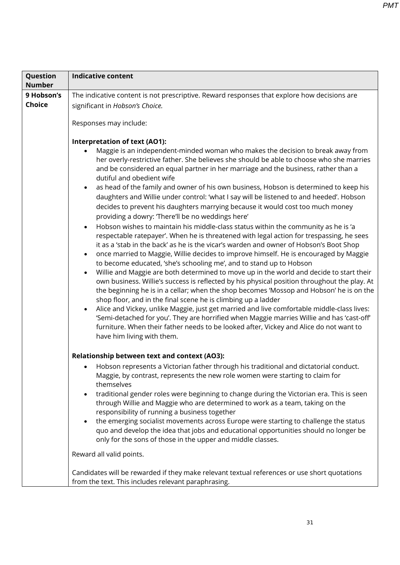| Question      | <b>Indicative content</b>                                                                                                                                                                                                                                                                                                                                                                                                                                                                                                                                                                                                                                                                                                                                                                                                                                                                                                                                                                                                                                                                                                                                                                                                                                                                                                                                                                                                                                                                                                                                                                                                                                                                                                                                             |  |  |
|---------------|-----------------------------------------------------------------------------------------------------------------------------------------------------------------------------------------------------------------------------------------------------------------------------------------------------------------------------------------------------------------------------------------------------------------------------------------------------------------------------------------------------------------------------------------------------------------------------------------------------------------------------------------------------------------------------------------------------------------------------------------------------------------------------------------------------------------------------------------------------------------------------------------------------------------------------------------------------------------------------------------------------------------------------------------------------------------------------------------------------------------------------------------------------------------------------------------------------------------------------------------------------------------------------------------------------------------------------------------------------------------------------------------------------------------------------------------------------------------------------------------------------------------------------------------------------------------------------------------------------------------------------------------------------------------------------------------------------------------------------------------------------------------------|--|--|
| <b>Number</b> |                                                                                                                                                                                                                                                                                                                                                                                                                                                                                                                                                                                                                                                                                                                                                                                                                                                                                                                                                                                                                                                                                                                                                                                                                                                                                                                                                                                                                                                                                                                                                                                                                                                                                                                                                                       |  |  |
| 9 Hobson's    | The indicative content is not prescriptive. Reward responses that explore how decisions are                                                                                                                                                                                                                                                                                                                                                                                                                                                                                                                                                                                                                                                                                                                                                                                                                                                                                                                                                                                                                                                                                                                                                                                                                                                                                                                                                                                                                                                                                                                                                                                                                                                                           |  |  |
| <b>Choice</b> | significant in Hobson's Choice.                                                                                                                                                                                                                                                                                                                                                                                                                                                                                                                                                                                                                                                                                                                                                                                                                                                                                                                                                                                                                                                                                                                                                                                                                                                                                                                                                                                                                                                                                                                                                                                                                                                                                                                                       |  |  |
|               | Responses may include:                                                                                                                                                                                                                                                                                                                                                                                                                                                                                                                                                                                                                                                                                                                                                                                                                                                                                                                                                                                                                                                                                                                                                                                                                                                                                                                                                                                                                                                                                                                                                                                                                                                                                                                                                |  |  |
|               | Interpretation of text (AO1):                                                                                                                                                                                                                                                                                                                                                                                                                                                                                                                                                                                                                                                                                                                                                                                                                                                                                                                                                                                                                                                                                                                                                                                                                                                                                                                                                                                                                                                                                                                                                                                                                                                                                                                                         |  |  |
|               | Maggie is an independent-minded woman who makes the decision to break away from<br>her overly-restrictive father. She believes she should be able to choose who she marries<br>and be considered an equal partner in her marriage and the business, rather than a<br>dutiful and obedient wife<br>as head of the family and owner of his own business, Hobson is determined to keep his<br>daughters and Willie under control: 'what I say will be listened to and heeded'. Hobson<br>decides to prevent his daughters marrying because it would cost too much money<br>providing a dowry: 'There'll be no weddings here'<br>Hobson wishes to maintain his middle-class status within the community as he is 'a<br>$\bullet$<br>respectable ratepayer'. When he is threatened with legal action for trespassing, he sees<br>it as a 'stab in the back' as he is the vicar's warden and owner of Hobson's Boot Shop<br>once married to Maggie, Willie decides to improve himself. He is encouraged by Maggie<br>$\bullet$<br>to become educated, 'she's schooling me', and to stand up to Hobson<br>Willie and Maggie are both determined to move up in the world and decide to start their<br>$\bullet$<br>own business. Willie's success is reflected by his physical position throughout the play. At<br>the beginning he is in a cellar; when the shop becomes 'Mossop and Hobson' he is on the<br>shop floor, and in the final scene he is climbing up a ladder<br>Alice and Vickey, unlike Maggie, just get married and live comfortable middle-class lives:<br>$\bullet$<br>'Semi-detached for you'. They are horrified when Maggie marries Willie and has 'cast-off'<br>furniture. When their father needs to be looked after, Vickey and Alice do not want to |  |  |
|               | have him living with them.                                                                                                                                                                                                                                                                                                                                                                                                                                                                                                                                                                                                                                                                                                                                                                                                                                                                                                                                                                                                                                                                                                                                                                                                                                                                                                                                                                                                                                                                                                                                                                                                                                                                                                                                            |  |  |
|               |                                                                                                                                                                                                                                                                                                                                                                                                                                                                                                                                                                                                                                                                                                                                                                                                                                                                                                                                                                                                                                                                                                                                                                                                                                                                                                                                                                                                                                                                                                                                                                                                                                                                                                                                                                       |  |  |
|               | <b>Relationship between text and context (AO3):</b>                                                                                                                                                                                                                                                                                                                                                                                                                                                                                                                                                                                                                                                                                                                                                                                                                                                                                                                                                                                                                                                                                                                                                                                                                                                                                                                                                                                                                                                                                                                                                                                                                                                                                                                   |  |  |
|               | Hobson represents a Victorian father through his traditional and dictatorial conduct.<br>Maggie, by contrast, represents the new role women were starting to claim for<br>themselves                                                                                                                                                                                                                                                                                                                                                                                                                                                                                                                                                                                                                                                                                                                                                                                                                                                                                                                                                                                                                                                                                                                                                                                                                                                                                                                                                                                                                                                                                                                                                                                  |  |  |
|               | traditional gender roles were beginning to change during the Victorian era. This is seen<br>$\bullet$<br>through Willie and Maggie who are determined to work as a team, taking on the<br>responsibility of running a business together                                                                                                                                                                                                                                                                                                                                                                                                                                                                                                                                                                                                                                                                                                                                                                                                                                                                                                                                                                                                                                                                                                                                                                                                                                                                                                                                                                                                                                                                                                                               |  |  |
|               | the emerging socialist movements across Europe were starting to challenge the status<br>$\bullet$<br>quo and develop the idea that jobs and educational opportunities should no longer be<br>only for the sons of those in the upper and middle classes.                                                                                                                                                                                                                                                                                                                                                                                                                                                                                                                                                                                                                                                                                                                                                                                                                                                                                                                                                                                                                                                                                                                                                                                                                                                                                                                                                                                                                                                                                                              |  |  |
|               | Reward all valid points.                                                                                                                                                                                                                                                                                                                                                                                                                                                                                                                                                                                                                                                                                                                                                                                                                                                                                                                                                                                                                                                                                                                                                                                                                                                                                                                                                                                                                                                                                                                                                                                                                                                                                                                                              |  |  |
|               | Candidates will be rewarded if they make relevant textual references or use short quotations<br>from the text. This includes relevant paraphrasing.                                                                                                                                                                                                                                                                                                                                                                                                                                                                                                                                                                                                                                                                                                                                                                                                                                                                                                                                                                                                                                                                                                                                                                                                                                                                                                                                                                                                                                                                                                                                                                                                                   |  |  |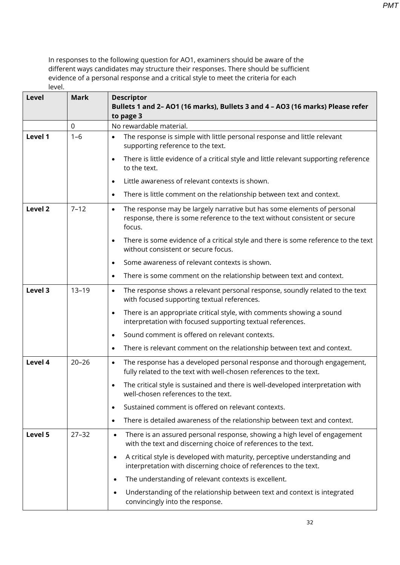| Level   | <b>Mark</b> | <b>Descriptor</b><br>Bullets 1 and 2- AO1 (16 marks), Bullets 3 and 4 - AO3 (16 marks) Please refer<br>to page 3                                                             |
|---------|-------------|------------------------------------------------------------------------------------------------------------------------------------------------------------------------------|
|         | $\mathbf 0$ | No rewardable material.                                                                                                                                                      |
| Level 1 | $1 - 6$     | The response is simple with little personal response and little relevant<br>$\bullet$<br>supporting reference to the text.                                                   |
|         |             | There is little evidence of a critical style and little relevant supporting reference<br>$\bullet$<br>to the text.                                                           |
|         |             | Little awareness of relevant contexts is shown.<br>$\bullet$                                                                                                                 |
|         |             | There is little comment on the relationship between text and context.<br>$\bullet$                                                                                           |
| Level 2 | $7 - 12$    | The response may be largely narrative but has some elements of personal<br>$\bullet$<br>response, there is some reference to the text without consistent or secure<br>focus. |
|         |             | There is some evidence of a critical style and there is some reference to the text<br>$\bullet$<br>without consistent or secure focus.                                       |
|         |             | Some awareness of relevant contexts is shown.<br>$\bullet$                                                                                                                   |
|         |             | There is some comment on the relationship between text and context.<br>$\bullet$                                                                                             |
| Level 3 | $13 - 19$   | The response shows a relevant personal response, soundly related to the text<br>$\bullet$<br>with focused supporting textual references.                                     |
|         |             | There is an appropriate critical style, with comments showing a sound<br>$\bullet$<br>interpretation with focused supporting textual references.                             |
|         |             | Sound comment is offered on relevant contexts.<br>$\bullet$                                                                                                                  |
|         |             | There is relevant comment on the relationship between text and context.<br>$\bullet$                                                                                         |
| Level 4 | $20 - 26$   | The response has a developed personal response and thorough engagement,<br>$\bullet$<br>fully related to the text with well-chosen references to the text.                   |
|         |             | The critical style is sustained and there is well-developed interpretation with<br>$\bullet$<br>well-chosen references to the text.                                          |
|         |             | Sustained comment is offered on relevant contexts.<br>$\bullet$                                                                                                              |
|         |             | There is detailed awareness of the relationship between text and context.<br>$\bullet$                                                                                       |
| Level 5 | $27 - 32$   | There is an assured personal response, showing a high level of engagement<br>$\bullet$<br>with the text and discerning choice of references to the text.                     |
|         |             | A critical style is developed with maturity, perceptive understanding and<br>$\bullet$<br>interpretation with discerning choice of references to the text.                   |
|         |             | The understanding of relevant contexts is excellent.<br>$\bullet$                                                                                                            |
|         |             | Understanding of the relationship between text and context is integrated<br>$\bullet$<br>convincingly into the response.                                                     |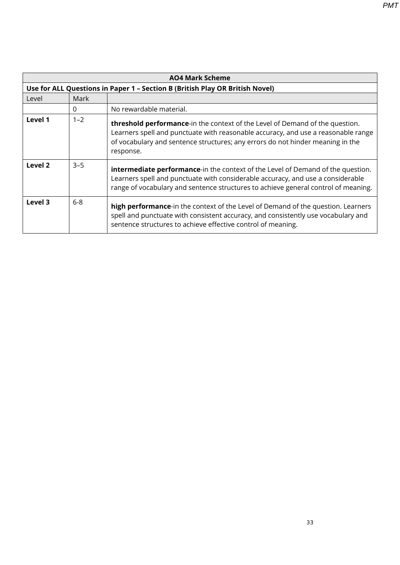| <b>AO4 Mark Scheme</b> |                                                                              |                                                                                                                                                                                                                                                                          |  |  |
|------------------------|------------------------------------------------------------------------------|--------------------------------------------------------------------------------------------------------------------------------------------------------------------------------------------------------------------------------------------------------------------------|--|--|
|                        | Use for ALL Questions in Paper 1 - Section B (British Play OR British Novel) |                                                                                                                                                                                                                                                                          |  |  |
| Level                  | Mark                                                                         |                                                                                                                                                                                                                                                                          |  |  |
|                        | 0                                                                            | No rewardable material.                                                                                                                                                                                                                                                  |  |  |
| Level 1                | $1 - 2$                                                                      | <b>threshold performance-</b> in the context of the Level of Demand of the question.<br>Learners spell and punctuate with reasonable accuracy, and use a reasonable range<br>of vocabulary and sentence structures; any errors do not hinder meaning in the<br>response. |  |  |
| Level 2                | $3 - 5$                                                                      | <b>intermediate performance-</b> in the context of the Level of Demand of the question.<br>Learners spell and punctuate with considerable accuracy, and use a considerable<br>range of vocabulary and sentence structures to achieve general control of meaning.         |  |  |
| Level 3                | $6 - 8$                                                                      | <b>high performance</b> -in the context of the Level of Demand of the question. Learners<br>spell and punctuate with consistent accuracy, and consistently use vocabulary and<br>sentence structures to achieve effective control of meaning.                            |  |  |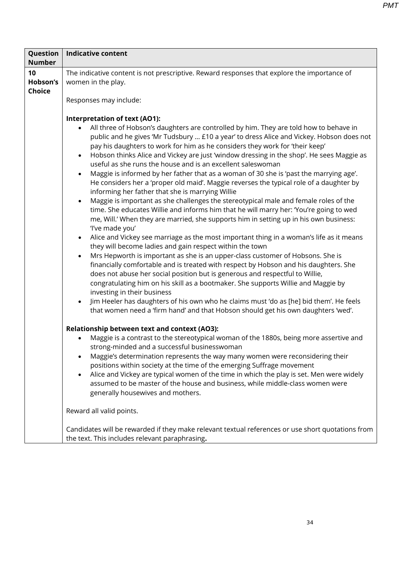| Question<br><b>Number</b>       | <b>Indicative content</b>                                                                                                                                                                                                                                                                                                                                                                                                                                                                                                                                                                                                                                                                                                                                                                                                                                                                                                                                                                                                                                                                                                                                                                                                                                                                                                                                                                                                                                                                                                                                                                                                                                                                                                                                                                                                  |
|---------------------------------|----------------------------------------------------------------------------------------------------------------------------------------------------------------------------------------------------------------------------------------------------------------------------------------------------------------------------------------------------------------------------------------------------------------------------------------------------------------------------------------------------------------------------------------------------------------------------------------------------------------------------------------------------------------------------------------------------------------------------------------------------------------------------------------------------------------------------------------------------------------------------------------------------------------------------------------------------------------------------------------------------------------------------------------------------------------------------------------------------------------------------------------------------------------------------------------------------------------------------------------------------------------------------------------------------------------------------------------------------------------------------------------------------------------------------------------------------------------------------------------------------------------------------------------------------------------------------------------------------------------------------------------------------------------------------------------------------------------------------------------------------------------------------------------------------------------------------|
| 10<br>Hobson's<br><b>Choice</b> | The indicative content is not prescriptive. Reward responses that explore the importance of<br>women in the play.<br>Responses may include:                                                                                                                                                                                                                                                                                                                                                                                                                                                                                                                                                                                                                                                                                                                                                                                                                                                                                                                                                                                                                                                                                                                                                                                                                                                                                                                                                                                                                                                                                                                                                                                                                                                                                |
|                                 | <b>Interpretation of text (AO1):</b><br>All three of Hobson's daughters are controlled by him. They are told how to behave in<br>$\bullet$<br>public and he gives 'Mr Tudsbury  £10 a year' to dress Alice and Vickey. Hobson does not<br>pay his daughters to work for him as he considers they work for 'their keep'<br>Hobson thinks Alice and Vickey are just 'window dressing in the shop'. He sees Maggie as<br>$\bullet$<br>useful as she runs the house and is an excellent saleswoman<br>Maggie is informed by her father that as a woman of 30 she is 'past the marrying age'.<br>$\bullet$<br>He considers her a 'proper old maid'. Maggie reverses the typical role of a daughter by<br>informing her father that she is marrying Willie<br>Maggie is important as she challenges the stereotypical male and female roles of the<br>$\bullet$<br>time. She educates Willie and informs him that he will marry her: 'You're going to wed<br>me, Will.' When they are married, she supports him in setting up in his own business:<br>'I've made you'<br>Alice and Vickey see marriage as the most important thing in a woman's life as it means<br>$\bullet$<br>they will become ladies and gain respect within the town<br>Mrs Hepworth is important as she is an upper-class customer of Hobsons. She is<br>$\bullet$<br>financially comfortable and is treated with respect by Hobson and his daughters. She<br>does not abuse her social position but is generous and respectful to Willie,<br>congratulating him on his skill as a bootmaker. She supports Willie and Maggie by<br>investing in their business<br>Jim Heeler has daughters of his own who he claims must 'do as [he] bid them'. He feels<br>$\bullet$<br>that women need a 'firm hand' and that Hobson should get his own daughters 'wed'. |
|                                 | Relationship between text and context (AO3):<br>Maggie is a contrast to the stereotypical woman of the 1880s, being more assertive and<br>$\bullet$<br>strong-minded and a successful businesswoman<br>Maggie's determination represents the way many women were reconsidering their<br>positions within society at the time of the emerging Suffrage movement<br>Alice and Vickey are typical women of the time in which the play is set. Men were widely<br>$\bullet$<br>assumed to be master of the house and business, while middle-class women were<br>generally housewives and mothers.<br>Reward all valid points.                                                                                                                                                                                                                                                                                                                                                                                                                                                                                                                                                                                                                                                                                                                                                                                                                                                                                                                                                                                                                                                                                                                                                                                                  |
|                                 | Candidates will be rewarded if they make relevant textual references or use short quotations from<br>the text. This includes relevant paraphrasing.                                                                                                                                                                                                                                                                                                                                                                                                                                                                                                                                                                                                                                                                                                                                                                                                                                                                                                                                                                                                                                                                                                                                                                                                                                                                                                                                                                                                                                                                                                                                                                                                                                                                        |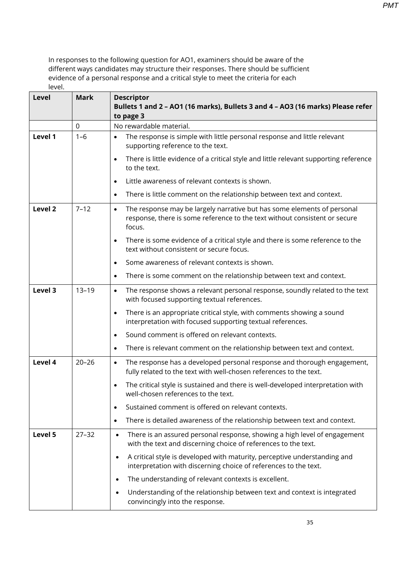| Level   | <b>Mark</b> | <b>Descriptor</b><br>Bullets 1 and 2 - AO1 (16 marks), Bullets 3 and 4 - AO3 (16 marks) Please refer<br>to page 3                                                            |
|---------|-------------|------------------------------------------------------------------------------------------------------------------------------------------------------------------------------|
|         | $\mathbf 0$ | No rewardable material.                                                                                                                                                      |
| Level 1 | $1 - 6$     | The response is simple with little personal response and little relevant<br>$\bullet$<br>supporting reference to the text.                                                   |
|         |             | There is little evidence of a critical style and little relevant supporting reference<br>$\bullet$<br>to the text.                                                           |
|         |             | Little awareness of relevant contexts is shown.<br>$\bullet$                                                                                                                 |
|         |             | There is little comment on the relationship between text and context.<br>$\bullet$                                                                                           |
| Level 2 | $7 - 12$    | The response may be largely narrative but has some elements of personal<br>$\bullet$<br>response, there is some reference to the text without consistent or secure<br>focus. |
|         |             | There is some evidence of a critical style and there is some reference to the<br>$\bullet$<br>text without consistent or secure focus.                                       |
|         |             | Some awareness of relevant contexts is shown.<br>$\bullet$                                                                                                                   |
|         |             | There is some comment on the relationship between text and context.<br>$\bullet$                                                                                             |
| Level 3 | $13 - 19$   | The response shows a relevant personal response, soundly related to the text<br>$\bullet$<br>with focused supporting textual references.                                     |
|         |             | There is an appropriate critical style, with comments showing a sound<br>$\bullet$<br>interpretation with focused supporting textual references.                             |
|         |             | Sound comment is offered on relevant contexts.<br>$\bullet$                                                                                                                  |
|         |             | There is relevant comment on the relationship between text and context.<br>$\bullet$                                                                                         |
| Level 4 | $20 - 26$   | The response has a developed personal response and thorough engagement,<br>$\bullet$<br>fully related to the text with well-chosen references to the text.                   |
|         |             | The critical style is sustained and there is well-developed interpretation with<br>$\bullet$<br>well-chosen references to the text.                                          |
|         |             | Sustained comment is offered on relevant contexts.<br>$\bullet$                                                                                                              |
|         |             | There is detailed awareness of the relationship between text and context.<br>$\bullet$                                                                                       |
| Level 5 | $27 - 32$   | There is an assured personal response, showing a high level of engagement<br>$\bullet$<br>with the text and discerning choice of references to the text.                     |
|         |             | A critical style is developed with maturity, perceptive understanding and<br>$\bullet$<br>interpretation with discerning choice of references to the text.                   |
|         |             | The understanding of relevant contexts is excellent.<br>$\bullet$                                                                                                            |
|         |             | Understanding of the relationship between text and context is integrated<br>$\bullet$<br>convincingly into the response.                                                     |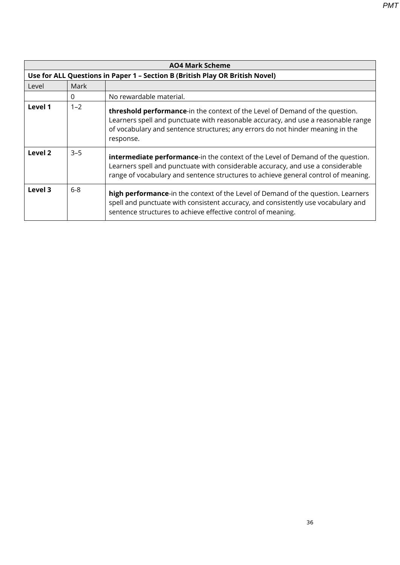| <b>AO4 Mark Scheme</b> |                                                                              |                                                                                                                                                                                                                                                                  |  |
|------------------------|------------------------------------------------------------------------------|------------------------------------------------------------------------------------------------------------------------------------------------------------------------------------------------------------------------------------------------------------------|--|
|                        | Use for ALL Questions in Paper 1 - Section B (British Play OR British Novel) |                                                                                                                                                                                                                                                                  |  |
| Level                  | Mark                                                                         |                                                                                                                                                                                                                                                                  |  |
|                        | 0                                                                            | No rewardable material.                                                                                                                                                                                                                                          |  |
| Level 1                | $1 - 2$                                                                      | threshold performance-in the context of the Level of Demand of the question.<br>Learners spell and punctuate with reasonable accuracy, and use a reasonable range<br>of vocabulary and sentence structures; any errors do not hinder meaning in the<br>response. |  |
| Level 2                | $3 - 5$                                                                      | <b>intermediate performance-</b> in the context of the Level of Demand of the question.<br>Learners spell and punctuate with considerable accuracy, and use a considerable<br>range of vocabulary and sentence structures to achieve general control of meaning. |  |
| Level 3                | $6 - 8$                                                                      | high performance-in the context of the Level of Demand of the question. Learners<br>spell and punctuate with consistent accuracy, and consistently use vocabulary and<br>sentence structures to achieve effective control of meaning.                            |  |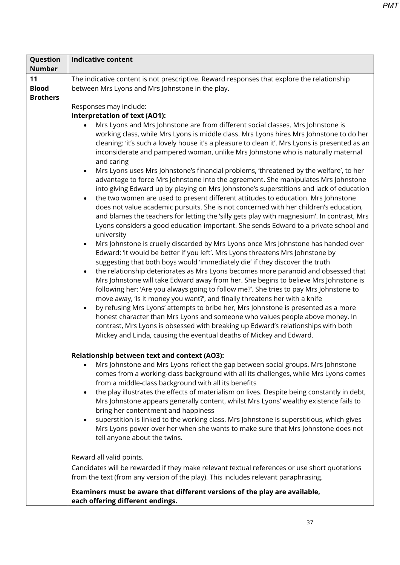| 11<br>The indicative content is not prescriptive. Reward responses that explore the relationship<br><b>Blood</b><br>between Mrs Lyons and Mrs Johnstone in the play.<br><b>Brothers</b><br>Responses may include:<br><b>Interpretation of text (AO1):</b><br>Mrs Lyons and Mrs Johnstone are from different social classes. Mrs Johnstone is                                                                                                                                                                                                                                                                                                                                                                                                                                                                        | Question      | <b>Indicative content</b>                                                                                                                                                                                                                                                                                                                                                                                                                                                                                                                                                                                                                                                                                                                                                                                                                                                                                                                                                                                                                                                                                                 |
|---------------------------------------------------------------------------------------------------------------------------------------------------------------------------------------------------------------------------------------------------------------------------------------------------------------------------------------------------------------------------------------------------------------------------------------------------------------------------------------------------------------------------------------------------------------------------------------------------------------------------------------------------------------------------------------------------------------------------------------------------------------------------------------------------------------------|---------------|---------------------------------------------------------------------------------------------------------------------------------------------------------------------------------------------------------------------------------------------------------------------------------------------------------------------------------------------------------------------------------------------------------------------------------------------------------------------------------------------------------------------------------------------------------------------------------------------------------------------------------------------------------------------------------------------------------------------------------------------------------------------------------------------------------------------------------------------------------------------------------------------------------------------------------------------------------------------------------------------------------------------------------------------------------------------------------------------------------------------------|
|                                                                                                                                                                                                                                                                                                                                                                                                                                                                                                                                                                                                                                                                                                                                                                                                                     | <b>Number</b> |                                                                                                                                                                                                                                                                                                                                                                                                                                                                                                                                                                                                                                                                                                                                                                                                                                                                                                                                                                                                                                                                                                                           |
|                                                                                                                                                                                                                                                                                                                                                                                                                                                                                                                                                                                                                                                                                                                                                                                                                     |               |                                                                                                                                                                                                                                                                                                                                                                                                                                                                                                                                                                                                                                                                                                                                                                                                                                                                                                                                                                                                                                                                                                                           |
| the two women are used to present different attitudes to education. Mrs Johnstone<br>$\bullet$<br>university<br>$\bullet$<br>Edward: 'it would be better if you left'. Mrs Lyons threatens Mrs Johnstone by<br>suggesting that both boys would 'immediately die' if they discover the truth<br>$\bullet$<br>following her: 'Are you always going to follow me?'. She tries to pay Mrs Johnstone to<br>move away, 'Is it money you want?', and finally threatens her with a knife<br>by refusing Mrs Lyons' attempts to bribe her, Mrs Johnstone is presented as a more<br>honest character than Mrs Lyons and someone who values people above money. In<br>contrast, Mrs Lyons is obsessed with breaking up Edward's relationships with both<br>Mickey and Linda, causing the eventual deaths of Mickey and Edward. |               | working class, while Mrs Lyons is middle class. Mrs Lyons hires Mrs Johnstone to do her<br>cleaning: 'it's such a lovely house it's a pleasure to clean it'. Mrs Lyons is presented as an<br>inconsiderate and pampered woman, unlike Mrs Johnstone who is naturally maternal<br>and caring<br>Mrs Lyons uses Mrs Johnstone's financial problems, 'threatened by the welfare', to her<br>advantage to force Mrs Johnstone into the agreement. She manipulates Mrs Johnstone<br>into giving Edward up by playing on Mrs Johnstone's superstitions and lack of education<br>does not value academic pursuits. She is not concerned with her children's education,<br>and blames the teachers for letting the 'silly gets play with magnesium'. In contrast, Mrs<br>Lyons considers a good education important. She sends Edward to a private school and<br>Mrs Johnstone is cruelly discarded by Mrs Lyons once Mrs Johnstone has handed over<br>the relationship deteriorates as Mrs Lyons becomes more paranoid and obsessed that<br>Mrs Johnstone will take Edward away from her. She begins to believe Mrs Johnstone is |
| <b>Relationship between text and context (AO3):</b><br>Mrs Johnstone and Mrs Lyons reflect the gap between social groups. Mrs Johnstone<br>from a middle-class background with all its benefits<br>bring her contentment and happiness<br>$\bullet$<br>tell anyone about the twins.                                                                                                                                                                                                                                                                                                                                                                                                                                                                                                                                 |               | comes from a working-class background with all its challenges, while Mrs Lyons comes<br>the play illustrates the effects of materialism on lives. Despite being constantly in debt,<br>Mrs Johnstone appears generally content, whilst Mrs Lyons' wealthy existence fails to<br>superstition is linked to the working class. Mrs Johnstone is superstitious, which gives<br>Mrs Lyons power over her when she wants to make sure that Mrs Johnstone does not                                                                                                                                                                                                                                                                                                                                                                                                                                                                                                                                                                                                                                                              |
| Reward all valid points.<br>from the text (from any version of the play). This includes relevant paraphrasing.<br>Examiners must be aware that different versions of the play are available,<br>each offering different endings.                                                                                                                                                                                                                                                                                                                                                                                                                                                                                                                                                                                    |               | Candidates will be rewarded if they make relevant textual references or use short quotations                                                                                                                                                                                                                                                                                                                                                                                                                                                                                                                                                                                                                                                                                                                                                                                                                                                                                                                                                                                                                              |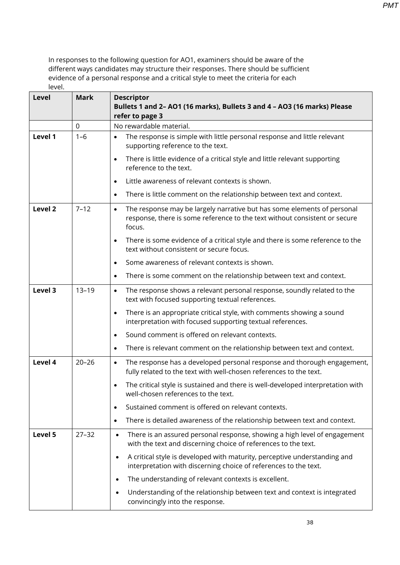| <b>Level</b>       | <b>Mark</b> | <b>Descriptor</b><br>Bullets 1 and 2- AO1 (16 marks), Bullets 3 and 4 - AO3 (16 marks) Please<br>refer to page 3                                                             |
|--------------------|-------------|------------------------------------------------------------------------------------------------------------------------------------------------------------------------------|
|                    | $\mathbf 0$ | No rewardable material.                                                                                                                                                      |
| Level 1            | $1 - 6$     | The response is simple with little personal response and little relevant<br>$\bullet$<br>supporting reference to the text.                                                   |
|                    |             | There is little evidence of a critical style and little relevant supporting<br>$\bullet$<br>reference to the text.                                                           |
|                    |             | Little awareness of relevant contexts is shown.<br>$\bullet$                                                                                                                 |
|                    |             | There is little comment on the relationship between text and context.<br>$\bullet$                                                                                           |
| Level <sub>2</sub> | $7 - 12$    | The response may be largely narrative but has some elements of personal<br>$\bullet$<br>response, there is some reference to the text without consistent or secure<br>focus. |
|                    |             | There is some evidence of a critical style and there is some reference to the<br>text without consistent or secure focus.                                                    |
|                    |             | Some awareness of relevant contexts is shown.<br>$\bullet$                                                                                                                   |
|                    |             | There is some comment on the relationship between text and context.<br>$\bullet$                                                                                             |
| Level 3            | $13 - 19$   | The response shows a relevant personal response, soundly related to the<br>$\bullet$<br>text with focused supporting textual references.                                     |
|                    |             | There is an appropriate critical style, with comments showing a sound<br>$\bullet$<br>interpretation with focused supporting textual references.                             |
|                    |             | Sound comment is offered on relevant contexts.<br>$\bullet$                                                                                                                  |
|                    |             | There is relevant comment on the relationship between text and context.<br>$\bullet$                                                                                         |
| Level 4            | $20 - 26$   | The response has a developed personal response and thorough engagement,<br>$\bullet$<br>fully related to the text with well-chosen references to the text.                   |
|                    |             | The critical style is sustained and there is well-developed interpretation with<br>$\bullet$<br>well-chosen references to the text.                                          |
|                    |             | Sustained comment is offered on relevant contexts.<br>$\bullet$                                                                                                              |
|                    |             | There is detailed awareness of the relationship between text and context.<br>$\bullet$                                                                                       |
| Level 5            | $27 - 32$   | There is an assured personal response, showing a high level of engagement<br>$\bullet$<br>with the text and discerning choice of references to the text.                     |
|                    |             | A critical style is developed with maturity, perceptive understanding and<br>$\bullet$<br>interpretation with discerning choice of references to the text.                   |
|                    |             | The understanding of relevant contexts is excellent.<br>٠                                                                                                                    |
|                    |             | Understanding of the relationship between text and context is integrated<br>$\bullet$<br>convincingly into the response.                                                     |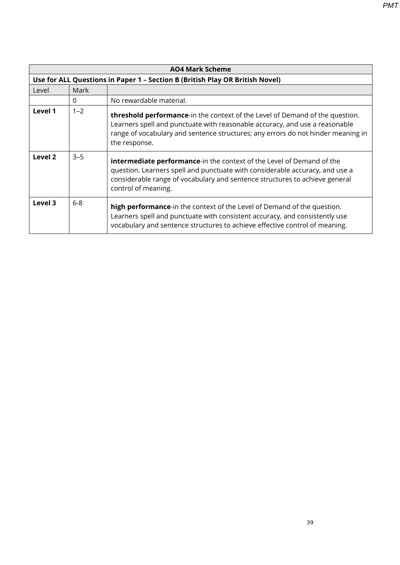**AO4 Mark Scheme Use for ALL Questions in Paper 1 – Section B (British Play OR British Novel)** Level Mark 0 No rewardable material. **Level 1** 1–2 **threshold performance**-in the context of the Level of Demand of the question. Learners spell and punctuate with reasonable accuracy, and use a reasonable range of vocabulary and sentence structures; any errors do not hinder meaning in the response. **Level 2**  $\begin{vmatrix} 3-5 \\ \end{vmatrix}$  **intermediate performance**-in the context of the Level of Demand of the question. Learners spell and punctuate with considerable accuracy, and use a considerable range of vocabulary and sentence structures to achieve general control of meaning. **Level 3** 6-8 **high performance**-in the context of the Level of Demand of the question. Learners spell and punctuate with consistent accuracy, and consistently use vocabulary and sentence structures to achieve effective control of meaning.

39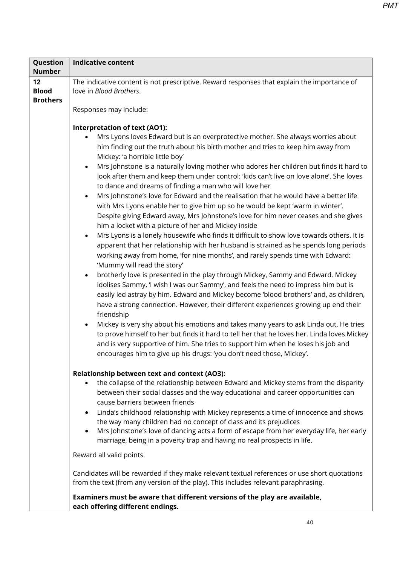| Question        | <b>Indicative content</b>                                                                                                                                                          |  |  |
|-----------------|------------------------------------------------------------------------------------------------------------------------------------------------------------------------------------|--|--|
| <b>Number</b>   |                                                                                                                                                                                    |  |  |
| 12              | The indicative content is not prescriptive. Reward responses that explain the importance of                                                                                        |  |  |
| <b>Blood</b>    | love in Blood Brothers.                                                                                                                                                            |  |  |
| <b>Brothers</b> |                                                                                                                                                                                    |  |  |
|                 | Responses may include:                                                                                                                                                             |  |  |
|                 |                                                                                                                                                                                    |  |  |
|                 | Interpretation of text (AO1):                                                                                                                                                      |  |  |
|                 | Mrs Lyons loves Edward but is an overprotective mother. She always worries about                                                                                                   |  |  |
|                 | him finding out the truth about his birth mother and tries to keep him away from                                                                                                   |  |  |
|                 | Mickey: 'a horrible little boy'                                                                                                                                                    |  |  |
|                 | Mrs Johnstone is a naturally loving mother who adores her children but finds it hard to<br>$\bullet$                                                                               |  |  |
|                 | look after them and keep them under control: 'kids can't live on love alone'. She loves                                                                                            |  |  |
|                 | to dance and dreams of finding a man who will love her                                                                                                                             |  |  |
|                 | Mrs Johnstone's love for Edward and the realisation that he would have a better life<br>$\bullet$                                                                                  |  |  |
|                 | with Mrs Lyons enable her to give him up so he would be kept 'warm in winter'.                                                                                                     |  |  |
|                 | Despite giving Edward away, Mrs Johnstone's love for him never ceases and she gives                                                                                                |  |  |
|                 | him a locket with a picture of her and Mickey inside                                                                                                                               |  |  |
|                 | Mrs Lyons is a lonely housewife who finds it difficult to show love towards others. It is<br>$\bullet$                                                                             |  |  |
|                 | apparent that her relationship with her husband is strained as he spends long periods                                                                                              |  |  |
|                 | working away from home, 'for nine months', and rarely spends time with Edward:                                                                                                     |  |  |
|                 | 'Mummy will read the story'                                                                                                                                                        |  |  |
|                 | brotherly love is presented in the play through Mickey, Sammy and Edward. Mickey<br>$\bullet$                                                                                      |  |  |
|                 | idolises Sammy, 'I wish I was our Sammy', and feels the need to impress him but is                                                                                                 |  |  |
|                 |                                                                                                                                                                                    |  |  |
|                 | easily led astray by him. Edward and Mickey become 'blood brothers' and, as children,                                                                                              |  |  |
|                 | have a strong connection. However, their different experiences growing up end their                                                                                                |  |  |
|                 | friendship                                                                                                                                                                         |  |  |
|                 | Mickey is very shy about his emotions and takes many years to ask Linda out. He tries<br>$\bullet$                                                                                 |  |  |
|                 | to prove himself to her but finds it hard to tell her that he loves her. Linda loves Mickey                                                                                        |  |  |
|                 | and is very supportive of him. She tries to support him when he loses his job and                                                                                                  |  |  |
|                 | encourages him to give up his drugs: 'you don't need those, Mickey'.                                                                                                               |  |  |
|                 |                                                                                                                                                                                    |  |  |
|                 | <b>Relationship between text and context (AO3):</b>                                                                                                                                |  |  |
|                 | the collapse of the relationship between Edward and Mickey stems from the disparity<br>$\bullet$                                                                                   |  |  |
|                 | between their social classes and the way educational and career opportunities can                                                                                                  |  |  |
|                 | cause barriers between friends                                                                                                                                                     |  |  |
|                 | Linda's childhood relationship with Mickey represents a time of innocence and shows<br>$\bullet$                                                                                   |  |  |
|                 | the way many children had no concept of class and its prejudices                                                                                                                   |  |  |
|                 | Mrs Johnstone's love of dancing acts a form of escape from her everyday life, her early<br>$\bullet$                                                                               |  |  |
|                 | marriage, being in a poverty trap and having no real prospects in life.                                                                                                            |  |  |
|                 | Reward all valid points.                                                                                                                                                           |  |  |
|                 |                                                                                                                                                                                    |  |  |
|                 | Candidates will be rewarded if they make relevant textual references or use short quotations<br>from the text (from any version of the play). This includes relevant paraphrasing. |  |  |
|                 |                                                                                                                                                                                    |  |  |
|                 | Examiners must be aware that different versions of the play are available,                                                                                                         |  |  |
|                 | each offering different endings.                                                                                                                                                   |  |  |
|                 |                                                                                                                                                                                    |  |  |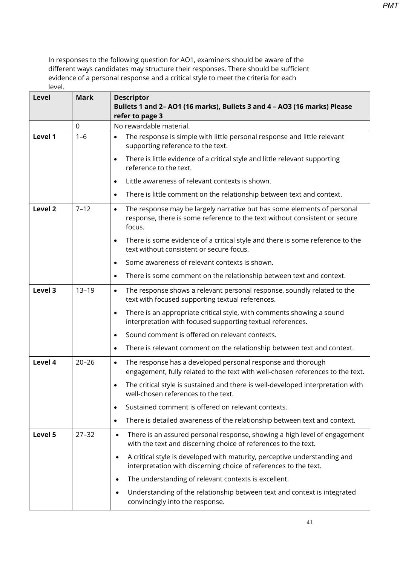| <b>Level</b>       | <b>Mark</b> | <b>Descriptor</b><br>Bullets 1 and 2- AO1 (16 marks), Bullets 3 and 4 - AO3 (16 marks) Please                                                                                |
|--------------------|-------------|------------------------------------------------------------------------------------------------------------------------------------------------------------------------------|
|                    |             | refer to page 3                                                                                                                                                              |
|                    | $\mathbf 0$ | No rewardable material.                                                                                                                                                      |
| Level 1            | $1 - 6$     | The response is simple with little personal response and little relevant<br>supporting reference to the text.                                                                |
|                    |             | There is little evidence of a critical style and little relevant supporting<br>$\bullet$<br>reference to the text.                                                           |
|                    |             | Little awareness of relevant contexts is shown.<br>$\bullet$                                                                                                                 |
|                    |             | There is little comment on the relationship between text and context.<br>$\bullet$                                                                                           |
| Level <sub>2</sub> | $7 - 12$    | The response may be largely narrative but has some elements of personal<br>$\bullet$<br>response, there is some reference to the text without consistent or secure<br>focus. |
|                    |             | There is some evidence of a critical style and there is some reference to the<br>$\bullet$<br>text without consistent or secure focus.                                       |
|                    |             | Some awareness of relevant contexts is shown.<br>$\bullet$                                                                                                                   |
|                    |             | There is some comment on the relationship between text and context.<br>$\bullet$                                                                                             |
| Level 3            | $13 - 19$   | The response shows a relevant personal response, soundly related to the<br>$\bullet$<br>text with focused supporting textual references.                                     |
|                    |             | There is an appropriate critical style, with comments showing a sound<br>$\bullet$<br>interpretation with focused supporting textual references.                             |
|                    |             | Sound comment is offered on relevant contexts.<br>$\bullet$                                                                                                                  |
|                    |             | There is relevant comment on the relationship between text and context.<br>$\bullet$                                                                                         |
| Level 4            | $20 - 26$   | The response has a developed personal response and thorough<br>$\bullet$<br>engagement, fully related to the text with well-chosen references to the text.                   |
|                    |             | The critical style is sustained and there is well-developed interpretation with<br>$\bullet$<br>well-chosen references to the text.                                          |
|                    |             | Sustained comment is offered on relevant contexts.<br>٠                                                                                                                      |
|                    |             | There is detailed awareness of the relationship between text and context.<br>$\bullet$                                                                                       |
| Level 5            | $27 - 32$   | There is an assured personal response, showing a high level of engagement<br>$\bullet$<br>with the text and discerning choice of references to the text.                     |
|                    |             | A critical style is developed with maturity, perceptive understanding and<br>$\bullet$<br>interpretation with discerning choice of references to the text.                   |
|                    |             | The understanding of relevant contexts is excellent.<br>٠                                                                                                                    |
|                    |             | Understanding of the relationship between text and context is integrated<br>$\bullet$<br>convincingly into the response.                                                     |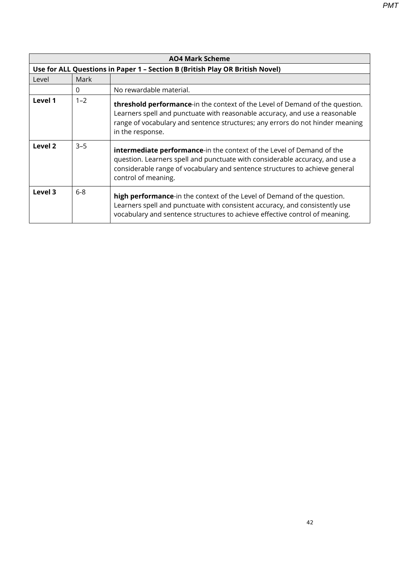| <b>AO4 Mark Scheme</b> |                                                                              |                                                                                                                                                                                                                                                                          |  |
|------------------------|------------------------------------------------------------------------------|--------------------------------------------------------------------------------------------------------------------------------------------------------------------------------------------------------------------------------------------------------------------------|--|
|                        | Use for ALL Questions in Paper 1 - Section B (British Play OR British Novel) |                                                                                                                                                                                                                                                                          |  |
| Level                  | Mark                                                                         |                                                                                                                                                                                                                                                                          |  |
|                        | $\Omega$                                                                     | No rewardable material.                                                                                                                                                                                                                                                  |  |
| Level 1                | $1 - 2$                                                                      | <b>threshold performance-</b> in the context of the Level of Demand of the question.<br>Learners spell and punctuate with reasonable accuracy, and use a reasonable<br>range of vocabulary and sentence structures; any errors do not hinder meaning<br>in the response. |  |
| Level 2                | $3 - 5$                                                                      | <b>intermediate performance-in the context of the Level of Demand of the</b><br>question. Learners spell and punctuate with considerable accuracy, and use a<br>considerable range of vocabulary and sentence structures to achieve general<br>control of meaning.       |  |
| Level 3                | $6 - 8$                                                                      | high performance-in the context of the Level of Demand of the question.<br>Learners spell and punctuate with consistent accuracy, and consistently use<br>vocabulary and sentence structures to achieve effective control of meaning.                                    |  |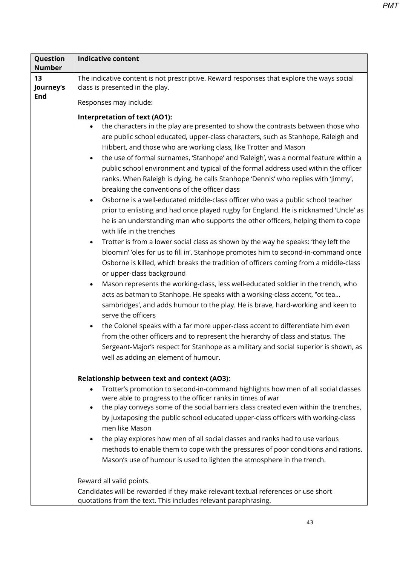| Question<br><b>Number</b> | <b>Indicative content</b>                                                                                                                                                                                                                                                                                                                                                                                                                                                                                                                                                                                                                                                                                                                                                                                                                                                                                                                                                                                                                                                                                                                                                                                                                                                                                                                                                                                                                                                                                                                                                                                                                                                                                                                                                                                                                       |  |  |  |  |
|---------------------------|-------------------------------------------------------------------------------------------------------------------------------------------------------------------------------------------------------------------------------------------------------------------------------------------------------------------------------------------------------------------------------------------------------------------------------------------------------------------------------------------------------------------------------------------------------------------------------------------------------------------------------------------------------------------------------------------------------------------------------------------------------------------------------------------------------------------------------------------------------------------------------------------------------------------------------------------------------------------------------------------------------------------------------------------------------------------------------------------------------------------------------------------------------------------------------------------------------------------------------------------------------------------------------------------------------------------------------------------------------------------------------------------------------------------------------------------------------------------------------------------------------------------------------------------------------------------------------------------------------------------------------------------------------------------------------------------------------------------------------------------------------------------------------------------------------------------------------------------------|--|--|--|--|
| 13                        | The indicative content is not prescriptive. Reward responses that explore the ways social                                                                                                                                                                                                                                                                                                                                                                                                                                                                                                                                                                                                                                                                                                                                                                                                                                                                                                                                                                                                                                                                                                                                                                                                                                                                                                                                                                                                                                                                                                                                                                                                                                                                                                                                                       |  |  |  |  |
| Journey's                 | class is presented in the play.                                                                                                                                                                                                                                                                                                                                                                                                                                                                                                                                                                                                                                                                                                                                                                                                                                                                                                                                                                                                                                                                                                                                                                                                                                                                                                                                                                                                                                                                                                                                                                                                                                                                                                                                                                                                                 |  |  |  |  |
| <b>End</b>                | Responses may include:                                                                                                                                                                                                                                                                                                                                                                                                                                                                                                                                                                                                                                                                                                                                                                                                                                                                                                                                                                                                                                                                                                                                                                                                                                                                                                                                                                                                                                                                                                                                                                                                                                                                                                                                                                                                                          |  |  |  |  |
|                           | Interpretation of text (AO1):<br>the characters in the play are presented to show the contrasts between those who<br>are public school educated, upper-class characters, such as Stanhope, Raleigh and<br>Hibbert, and those who are working class, like Trotter and Mason<br>the use of formal surnames, 'Stanhope' and 'Raleigh', was a normal feature within a<br>$\bullet$<br>public school environment and typical of the formal address used within the officer<br>ranks. When Raleigh is dying, he calls Stanhope 'Dennis' who replies with 'Jimmy',<br>breaking the conventions of the officer class<br>Osborne is a well-educated middle-class officer who was a public school teacher<br>$\bullet$<br>prior to enlisting and had once played rugby for England. He is nicknamed 'Uncle' as<br>he is an understanding man who supports the other officers, helping them to cope<br>with life in the trenches<br>Trotter is from a lower social class as shown by the way he speaks: 'they left the<br>$\bullet$<br>bloomin' 'oles for us to fill in'. Stanhope promotes him to second-in-command once<br>Osborne is killed, which breaks the tradition of officers coming from a middle-class<br>or upper-class background<br>Mason represents the working-class, less well-educated soldier in the trench, who<br>$\bullet$<br>acts as batman to Stanhope. He speaks with a working-class accent, "ot tea<br>sambridges', and adds humour to the play. He is brave, hard-working and keen to<br>serve the officers<br>the Colonel speaks with a far more upper-class accent to differentiate him even<br>$\bullet$<br>from the other officers and to represent the hierarchy of class and status. The<br>Sergeant-Major's respect for Stanhope as a military and social superior is shown, as<br>well as adding an element of humour. |  |  |  |  |
|                           | <b>Relationship between text and context (AO3):</b><br>Trotter's promotion to second-in-command highlights how men of all social classes<br>were able to progress to the officer ranks in times of war<br>the play conveys some of the social barriers class created even within the trenches,<br>$\bullet$<br>by juxtaposing the public school educated upper-class officers with working-class<br>men like Mason<br>the play explores how men of all social classes and ranks had to use various<br>methods to enable them to cope with the pressures of poor conditions and rations.<br>Mason's use of humour is used to lighten the atmosphere in the trench.                                                                                                                                                                                                                                                                                                                                                                                                                                                                                                                                                                                                                                                                                                                                                                                                                                                                                                                                                                                                                                                                                                                                                                               |  |  |  |  |
|                           | Reward all valid points.<br>Candidates will be rewarded if they make relevant textual references or use short<br>quotations from the text. This includes relevant paraphrasing.                                                                                                                                                                                                                                                                                                                                                                                                                                                                                                                                                                                                                                                                                                                                                                                                                                                                                                                                                                                                                                                                                                                                                                                                                                                                                                                                                                                                                                                                                                                                                                                                                                                                 |  |  |  |  |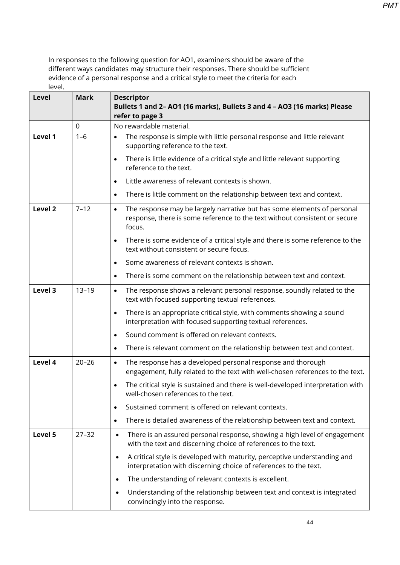| <b>Level</b> | <b>Mark</b> | <b>Descriptor</b><br>Bullets 1 and 2- AO1 (16 marks), Bullets 3 and 4 - AO3 (16 marks) Please<br>refer to page 3                                                             |
|--------------|-------------|------------------------------------------------------------------------------------------------------------------------------------------------------------------------------|
|              | $\mathbf 0$ | No rewardable material.                                                                                                                                                      |
| Level 1      | $1 - 6$     | The response is simple with little personal response and little relevant<br>supporting reference to the text.                                                                |
|              |             | There is little evidence of a critical style and little relevant supporting<br>$\bullet$<br>reference to the text.                                                           |
|              |             | Little awareness of relevant contexts is shown.<br>$\bullet$                                                                                                                 |
|              |             | There is little comment on the relationship between text and context.<br>$\bullet$                                                                                           |
| Level 2      | $7 - 12$    | The response may be largely narrative but has some elements of personal<br>$\bullet$<br>response, there is some reference to the text without consistent or secure<br>focus. |
|              |             | There is some evidence of a critical style and there is some reference to the<br>text without consistent or secure focus.                                                    |
|              |             | Some awareness of relevant contexts is shown.<br>$\bullet$                                                                                                                   |
|              |             | There is some comment on the relationship between text and context.<br>$\bullet$                                                                                             |
| Level 3      | $13 - 19$   | The response shows a relevant personal response, soundly related to the<br>$\bullet$<br>text with focused supporting textual references.                                     |
|              |             | There is an appropriate critical style, with comments showing a sound<br>$\bullet$<br>interpretation with focused supporting textual references.                             |
|              |             | Sound comment is offered on relevant contexts.<br>$\bullet$                                                                                                                  |
|              |             | There is relevant comment on the relationship between text and context.<br>$\bullet$                                                                                         |
| Level 4      | $20 - 26$   | The response has a developed personal response and thorough<br>$\bullet$<br>engagement, fully related to the text with well-chosen references to the text.                   |
|              |             | The critical style is sustained and there is well-developed interpretation with<br>$\bullet$<br>well-chosen references to the text.                                          |
|              |             | Sustained comment is offered on relevant contexts.<br>$\bullet$                                                                                                              |
|              |             | There is detailed awareness of the relationship between text and context.<br>$\bullet$                                                                                       |
| Level 5      | $27 - 32$   | There is an assured personal response, showing a high level of engagement<br>$\bullet$<br>with the text and discerning choice of references to the text.                     |
|              |             | A critical style is developed with maturity, perceptive understanding and<br>$\bullet$<br>interpretation with discerning choice of references to the text.                   |
|              |             | The understanding of relevant contexts is excellent.<br>$\bullet$                                                                                                            |
|              |             | Understanding of the relationship between text and context is integrated<br>$\bullet$<br>convincingly into the response.                                                     |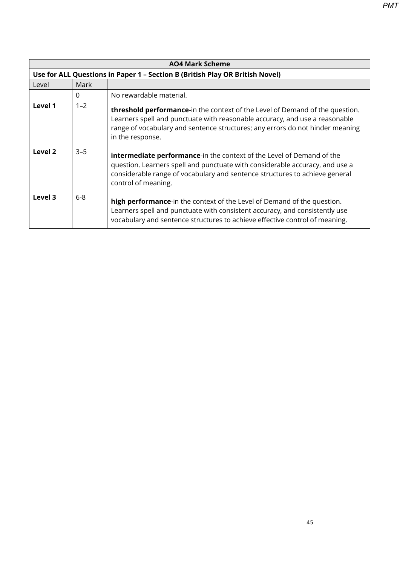|         | <b>AO4 Mark Scheme</b>                                                       |                                                                                                                                                                                                                                                                          |  |  |
|---------|------------------------------------------------------------------------------|--------------------------------------------------------------------------------------------------------------------------------------------------------------------------------------------------------------------------------------------------------------------------|--|--|
|         | Use for ALL Questions in Paper 1 - Section B (British Play OR British Novel) |                                                                                                                                                                                                                                                                          |  |  |
| Level   | Mark                                                                         |                                                                                                                                                                                                                                                                          |  |  |
|         | $\Omega$                                                                     | No rewardable material.                                                                                                                                                                                                                                                  |  |  |
| Level 1 | $1 - 2$                                                                      | <b>threshold performance-</b> in the context of the Level of Demand of the question.<br>Learners spell and punctuate with reasonable accuracy, and use a reasonable<br>range of vocabulary and sentence structures; any errors do not hinder meaning<br>in the response. |  |  |
| Level 2 | $3 - 5$                                                                      | <b>intermediate performance-in the context of the Level of Demand of the</b><br>question. Learners spell and punctuate with considerable accuracy, and use a<br>considerable range of vocabulary and sentence structures to achieve general<br>control of meaning.       |  |  |
| Level 3 | $6-8$                                                                        | high performance-in the context of the Level of Demand of the question.<br>Learners spell and punctuate with consistent accuracy, and consistently use<br>vocabulary and sentence structures to achieve effective control of meaning.                                    |  |  |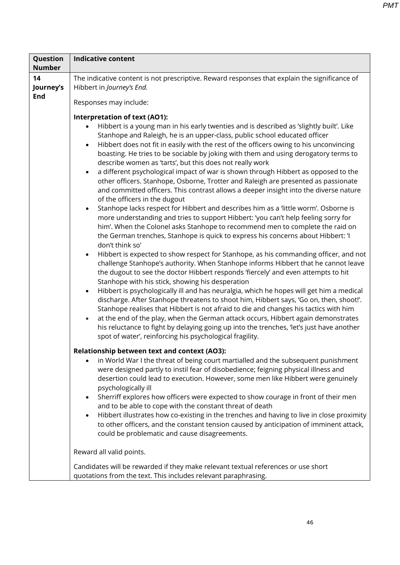| Question<br><b>Number</b>     | <b>Indicative content</b>                                                                                                                                                                                                                                                                                                                                                                                                                                                                                                                                                                                                                                                                                                                                                                                                                                                                                                                                                                                                                                                                                                                                                                                                                                                                                                                                                           |
|-------------------------------|-------------------------------------------------------------------------------------------------------------------------------------------------------------------------------------------------------------------------------------------------------------------------------------------------------------------------------------------------------------------------------------------------------------------------------------------------------------------------------------------------------------------------------------------------------------------------------------------------------------------------------------------------------------------------------------------------------------------------------------------------------------------------------------------------------------------------------------------------------------------------------------------------------------------------------------------------------------------------------------------------------------------------------------------------------------------------------------------------------------------------------------------------------------------------------------------------------------------------------------------------------------------------------------------------------------------------------------------------------------------------------------|
| 14<br>Journey's<br><b>End</b> | The indicative content is not prescriptive. Reward responses that explain the significance of<br>Hibbert in Journey's End.<br>Responses may include:<br><b>Interpretation of text (AO1):</b><br>Hibbert is a young man in his early twenties and is described as 'slightly built'. Like<br>Stanhope and Raleigh, he is an upper-class, public school educated officer<br>Hibbert does not fit in easily with the rest of the officers owing to his unconvincing<br>$\bullet$<br>boasting. He tries to be sociable by joking with them and using derogatory terms to<br>describe women as 'tarts', but this does not really work<br>a different psychological impact of war is shown through Hibbert as opposed to the<br>$\bullet$<br>other officers. Stanhope, Osborne, Trotter and Raleigh are presented as passionate                                                                                                                                                                                                                                                                                                                                                                                                                                                                                                                                                            |
|                               | and committed officers. This contrast allows a deeper insight into the diverse nature<br>of the officers in the dugout<br>Stanhope lacks respect for Hibbert and describes him as a 'little worm'. Osborne is<br>more understanding and tries to support Hibbert: 'you can't help feeling sorry for<br>him'. When the Colonel asks Stanhope to recommend men to complete the raid on<br>the German trenches, Stanhope is quick to express his concerns about Hibbert: 'I<br>don't think so'<br>Hibbert is expected to show respect for Stanhope, as his commanding officer, and not<br>$\bullet$<br>challenge Stanhope's authority. When Stanhope informs Hibbert that he cannot leave<br>the dugout to see the doctor Hibbert responds 'fiercely' and even attempts to hit<br>Stanhope with his stick, showing his desperation<br>Hibbert is psychologically ill and has neuralgia, which he hopes will get him a medical<br>$\bullet$<br>discharge. After Stanhope threatens to shoot him, Hibbert says, 'Go on, then, shoot!'.<br>Stanhope realises that Hibbert is not afraid to die and changes his tactics with him<br>at the end of the play, when the German attack occurs, Hibbert again demonstrates<br>$\bullet$<br>his reluctance to fight by delaying going up into the trenches, 'let's just have another<br>spot of water', reinforcing his psychological fragility. |
|                               | Relationship between text and context (AO3):<br>in World War I the threat of being court martialled and the subsequent punishment<br>were designed partly to instil fear of disobedience; feigning physical illness and<br>desertion could lead to execution. However, some men like Hibbert were genuinely<br>psychologically ill<br>Sherriff explores how officers were expected to show courage in front of their men<br>$\bullet$<br>and to be able to cope with the constant threat of death<br>Hibbert illustrates how co-existing in the trenches and having to live in close proximity<br>to other officers, and the constant tension caused by anticipation of imminent attack,<br>could be problematic and cause disagreements.                                                                                                                                                                                                                                                                                                                                                                                                                                                                                                                                                                                                                                           |
|                               | Reward all valid points.<br>Candidates will be rewarded if they make relevant textual references or use short                                                                                                                                                                                                                                                                                                                                                                                                                                                                                                                                                                                                                                                                                                                                                                                                                                                                                                                                                                                                                                                                                                                                                                                                                                                                       |
|                               | quotations from the text. This includes relevant paraphrasing.                                                                                                                                                                                                                                                                                                                                                                                                                                                                                                                                                                                                                                                                                                                                                                                                                                                                                                                                                                                                                                                                                                                                                                                                                                                                                                                      |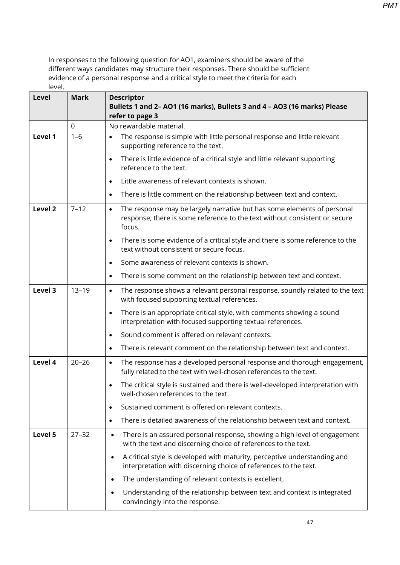| Level   | <b>Mark</b> | <b>Descriptor</b><br>Bullets 1 and 2-AO1 (16 marks), Bullets 3 and 4 - AO3 (16 marks) Please                                                                                 |
|---------|-------------|------------------------------------------------------------------------------------------------------------------------------------------------------------------------------|
|         | 0           | refer to page 3<br>No rewardable material.                                                                                                                                   |
| Level 1 | $1 - 6$     | The response is simple with little personal response and little relevant<br>$\bullet$<br>supporting reference to the text.                                                   |
|         |             | There is little evidence of a critical style and little relevant supporting<br>$\bullet$<br>reference to the text.                                                           |
|         |             | Little awareness of relevant contexts is shown.<br>$\bullet$                                                                                                                 |
|         |             | There is little comment on the relationship between text and context.<br>$\bullet$                                                                                           |
| Level 2 | $7 - 12$    | The response may be largely narrative but has some elements of personal<br>$\bullet$<br>response, there is some reference to the text without consistent or secure<br>focus. |
|         |             | There is some evidence of a critical style and there is some reference to the<br>$\bullet$<br>text without consistent or secure focus.                                       |
|         |             | Some awareness of relevant contexts is shown.<br>$\bullet$                                                                                                                   |
|         |             | There is some comment on the relationship between text and context.<br>$\bullet$                                                                                             |
| Level 3 | $13 - 19$   | The response shows a relevant personal response, soundly related to the text<br>$\bullet$<br>with focused supporting textual references.                                     |
|         |             | There is an appropriate critical style, with comments showing a sound<br>$\bullet$<br>interpretation with focused supporting textual references.                             |
|         |             | Sound comment is offered on relevant contexts.<br>$\bullet$                                                                                                                  |
|         |             | There is relevant comment on the relationship between text and context.<br>$\bullet$                                                                                         |
| Level 4 | $20 - 26$   | The response has a developed personal response and thorough engagement,<br>$\bullet$<br>fully related to the text with well-chosen references to the text.                   |
|         |             | The critical style is sustained and there is well-developed interpretation with<br>well-chosen references to the text.                                                       |
|         |             | Sustained comment is offered on relevant contexts.<br>$\bullet$                                                                                                              |
|         |             | There is detailed awareness of the relationship between text and context.<br>$\bullet$                                                                                       |
| Level 5 | $27 - 32$   | There is an assured personal response, showing a high level of engagement<br>$\bullet$<br>with the text and discerning choice of references to the text.                     |
|         |             | A critical style is developed with maturity, perceptive understanding and<br>$\bullet$<br>interpretation with discerning choice of references to the text.                   |
|         |             | The understanding of relevant contexts is excellent.<br>$\bullet$                                                                                                            |
|         |             | Understanding of the relationship between text and context is integrated<br>$\bullet$<br>convincingly into the response.                                                     |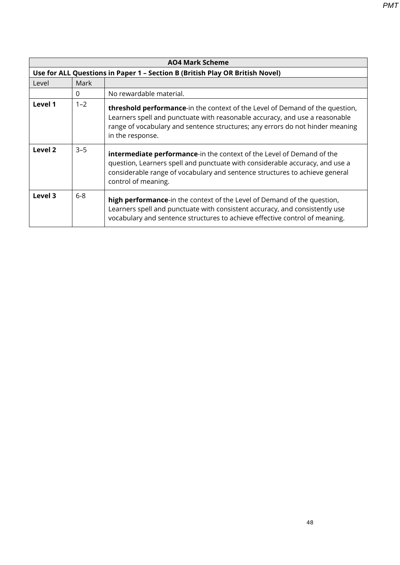|         | <b>AO4 Mark Scheme</b>                                                       |                                                                                                                                                                                                                                                                    |  |  |
|---------|------------------------------------------------------------------------------|--------------------------------------------------------------------------------------------------------------------------------------------------------------------------------------------------------------------------------------------------------------------|--|--|
|         | Use for ALL Questions in Paper 1 - Section B (British Play OR British Novel) |                                                                                                                                                                                                                                                                    |  |  |
| Level   | Mark                                                                         |                                                                                                                                                                                                                                                                    |  |  |
|         | $\Omega$                                                                     | No rewardable material.                                                                                                                                                                                                                                            |  |  |
| Level 1 | $1 - 2$                                                                      | threshold performance-in the context of the Level of Demand of the question,<br>Learners spell and punctuate with reasonable accuracy, and use a reasonable<br>range of vocabulary and sentence structures; any errors do not hinder meaning<br>in the response.   |  |  |
| Level 2 | $3 - 5$                                                                      | <b>intermediate performance-in the context of the Level of Demand of the</b><br>question, Learners spell and punctuate with considerable accuracy, and use a<br>considerable range of vocabulary and sentence structures to achieve general<br>control of meaning. |  |  |
| Level 3 | $6 - 8$                                                                      | high performance-in the context of the Level of Demand of the question,<br>Learners spell and punctuate with consistent accuracy, and consistently use<br>vocabulary and sentence structures to achieve effective control of meaning.                              |  |  |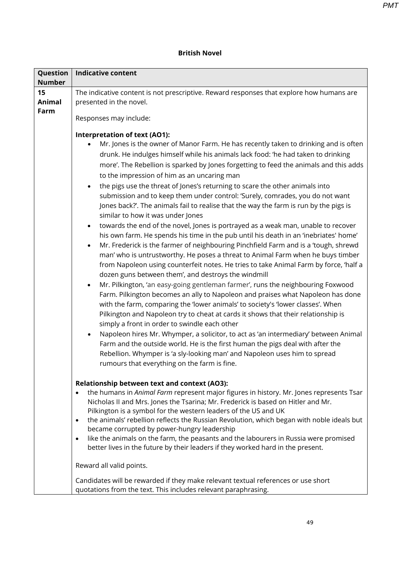*PMT*

| Question<br><b>Number</b>   | <b>Indicative content</b>                                                                                                                                                                                                                                                                                                                                                                                                                                                                                                                                                                                                                                                                                                                                                                                                                                                                                                                                                                                                                                                                                                                                                                                                                                                                                                                                                                                                                                                                                                                                                                                                                                                                                                                                                                                                                                                                                         |  |  |
|-----------------------------|-------------------------------------------------------------------------------------------------------------------------------------------------------------------------------------------------------------------------------------------------------------------------------------------------------------------------------------------------------------------------------------------------------------------------------------------------------------------------------------------------------------------------------------------------------------------------------------------------------------------------------------------------------------------------------------------------------------------------------------------------------------------------------------------------------------------------------------------------------------------------------------------------------------------------------------------------------------------------------------------------------------------------------------------------------------------------------------------------------------------------------------------------------------------------------------------------------------------------------------------------------------------------------------------------------------------------------------------------------------------------------------------------------------------------------------------------------------------------------------------------------------------------------------------------------------------------------------------------------------------------------------------------------------------------------------------------------------------------------------------------------------------------------------------------------------------------------------------------------------------------------------------------------------------|--|--|
| 15<br><b>Animal</b><br>Farm | The indicative content is not prescriptive. Reward responses that explore how humans are<br>presented in the novel.<br>Responses may include:                                                                                                                                                                                                                                                                                                                                                                                                                                                                                                                                                                                                                                                                                                                                                                                                                                                                                                                                                                                                                                                                                                                                                                                                                                                                                                                                                                                                                                                                                                                                                                                                                                                                                                                                                                     |  |  |
|                             | Interpretation of text (AO1):<br>Mr. Jones is the owner of Manor Farm. He has recently taken to drinking and is often<br>drunk. He indulges himself while his animals lack food: 'he had taken to drinking<br>more'. The Rebellion is sparked by Jones forgetting to feed the animals and this adds<br>to the impression of him as an uncaring man<br>the pigs use the threat of Jones's returning to scare the other animals into<br>$\bullet$<br>submission and to keep them under control: 'Surely, comrades, you do not want<br>Jones back?'. The animals fail to realise that the way the farm is run by the pigs is<br>similar to how it was under Jones<br>towards the end of the novel, Jones is portrayed as a weak man, unable to recover<br>$\bullet$<br>his own farm. He spends his time in the pub until his death in an 'inebriates' home'<br>Mr. Frederick is the farmer of neighbouring Pinchfield Farm and is a 'tough, shrewd<br>man' who is untrustworthy. He poses a threat to Animal Farm when he buys timber<br>from Napoleon using counterfeit notes. He tries to take Animal Farm by force, 'half a<br>dozen guns between them', and destroys the windmill<br>Mr. Pilkington, 'an easy-going gentleman farmer', runs the neighbouring Foxwood<br>$\bullet$<br>Farm. Pilkington becomes an ally to Napoleon and praises what Napoleon has done<br>with the farm, comparing the 'lower animals' to society's 'lower classes'. When<br>Pilkington and Napoleon try to cheat at cards it shows that their relationship is<br>simply a front in order to swindle each other<br>Napoleon hires Mr. Whymper, a solicitor, to act as 'an intermediary' between Animal<br>$\bullet$<br>Farm and the outside world. He is the first human the pigs deal with after the<br>Rebellion. Whymper is 'a sly-looking man' and Napoleon uses him to spread<br>rumours that everything on the farm is fine. |  |  |
|                             | <b>Relationship between text and context (AO3):</b><br>the humans in Animal Farm represent major figures in history. Mr. Jones represents Tsar<br>$\bullet$<br>Nicholas II and Mrs. Jones the Tsarina; Mr. Frederick is based on Hitler and Mr.<br>Pilkington is a symbol for the western leaders of the US and UK<br>the animals' rebellion reflects the Russian Revolution, which began with noble ideals but<br>$\bullet$<br>became corrupted by power-hungry leadership<br>like the animals on the farm, the peasants and the labourers in Russia were promised<br>$\bullet$<br>better lives in the future by their leaders if they worked hard in the present.<br>Reward all valid points.<br>Candidates will be rewarded if they make relevant textual references or use short<br>quotations from the text. This includes relevant paraphrasing.                                                                                                                                                                                                                                                                                                                                                                                                                                                                                                                                                                                                                                                                                                                                                                                                                                                                                                                                                                                                                                                            |  |  |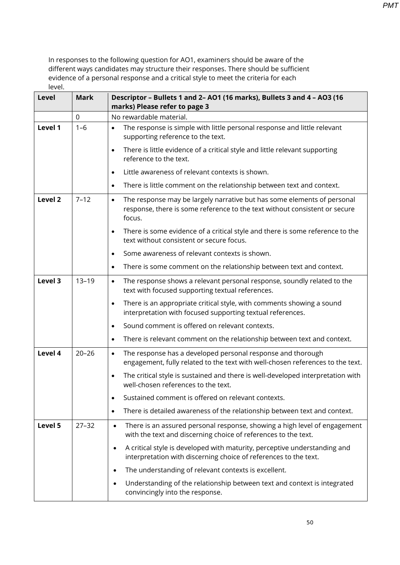| Level   | <b>Mark</b> | Descriptor - Bullets 1 and 2- AO1 (16 marks), Bullets 3 and 4 - AO3 (16<br>marks) Please refer to page 3                                                                     |
|---------|-------------|------------------------------------------------------------------------------------------------------------------------------------------------------------------------------|
|         | $\mathbf 0$ | No rewardable material.                                                                                                                                                      |
| Level 1 | $1 - 6$     | The response is simple with little personal response and little relevant<br>$\bullet$<br>supporting reference to the text.                                                   |
|         |             | There is little evidence of a critical style and little relevant supporting<br>$\bullet$<br>reference to the text.                                                           |
|         |             | Little awareness of relevant contexts is shown.<br>$\bullet$                                                                                                                 |
|         |             | There is little comment on the relationship between text and context.<br>$\bullet$                                                                                           |
| Level 2 | $7 - 12$    | The response may be largely narrative but has some elements of personal<br>$\bullet$<br>response, there is some reference to the text without consistent or secure<br>focus. |
|         |             | There is some evidence of a critical style and there is some reference to the<br>$\bullet$<br>text without consistent or secure focus.                                       |
|         |             | Some awareness of relevant contexts is shown.<br>$\bullet$                                                                                                                   |
|         |             | There is some comment on the relationship between text and context.<br>$\bullet$                                                                                             |
| Level 3 | $13 - 19$   | The response shows a relevant personal response, soundly related to the<br>$\bullet$<br>text with focused supporting textual references.                                     |
|         |             | There is an appropriate critical style, with comments showing a sound<br>$\bullet$<br>interpretation with focused supporting textual references.                             |
|         |             | Sound comment is offered on relevant contexts.<br>$\bullet$                                                                                                                  |
|         |             | There is relevant comment on the relationship between text and context.                                                                                                      |
| Level 4 | $20 - 26$   | The response has a developed personal response and thorough<br>$\bullet$<br>engagement, fully related to the text with well-chosen references to the text.                   |
|         |             | The critical style is sustained and there is well-developed interpretation with<br>well-chosen references to the text.                                                       |
|         |             | Sustained comment is offered on relevant contexts.                                                                                                                           |
|         |             | There is detailed awareness of the relationship between text and context.                                                                                                    |
| Level 5 | $27 - 32$   | There is an assured personal response, showing a high level of engagement<br>$\bullet$<br>with the text and discerning choice of references to the text.                     |
|         |             | A critical style is developed with maturity, perceptive understanding and<br>$\bullet$<br>interpretation with discerning choice of references to the text.                   |
|         |             | The understanding of relevant contexts is excellent.<br>٠                                                                                                                    |
|         |             | Understanding of the relationship between text and context is integrated<br>convincingly into the response.                                                                  |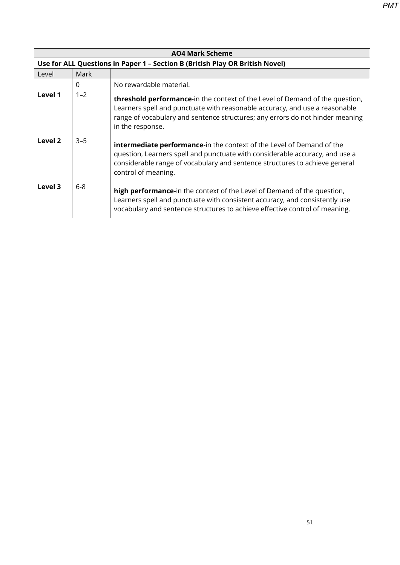|         | <b>AO4 Mark Scheme</b>                                                       |                                                                                                                                                                                                                                                                          |  |
|---------|------------------------------------------------------------------------------|--------------------------------------------------------------------------------------------------------------------------------------------------------------------------------------------------------------------------------------------------------------------------|--|
|         | Use for ALL Questions in Paper 1 - Section B (British Play OR British Novel) |                                                                                                                                                                                                                                                                          |  |
| Level   | Mark                                                                         |                                                                                                                                                                                                                                                                          |  |
|         | $\Omega$                                                                     | No rewardable material.                                                                                                                                                                                                                                                  |  |
| Level 1 | $1 - 2$                                                                      | <b>threshold performance-</b> in the context of the Level of Demand of the question,<br>Learners spell and punctuate with reasonable accuracy, and use a reasonable<br>range of vocabulary and sentence structures; any errors do not hinder meaning<br>in the response. |  |
| Level 2 | $3 - 5$                                                                      | <b>intermediate performance-in the context of the Level of Demand of the</b><br>question, Learners spell and punctuate with considerable accuracy, and use a<br>considerable range of vocabulary and sentence structures to achieve general<br>control of meaning.       |  |
| Level 3 | $6-8$                                                                        | high performance-in the context of the Level of Demand of the question,<br>Learners spell and punctuate with consistent accuracy, and consistently use<br>vocabulary and sentence structures to achieve effective control of meaning.                                    |  |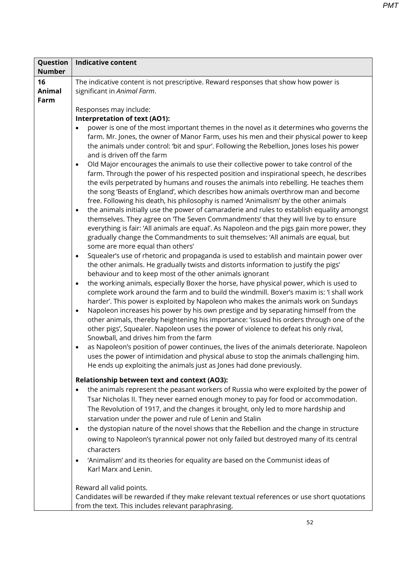| Question                    | <b>Indicative content</b>                                                                                                                                                                                                                                                                                                                                                                                                                                                                                                                                                                                                                                                                                                                                                                                                                                                                                                                                                                                                                                                                                                                                                                                                                                                                                                                                                                                                                                                                                                                                                                                                                                                                                                                                                                                                                                                                                                                                                                                                                                                                                                                                                                                                                                                                                                                                                                                                                           |  |  |
|-----------------------------|-----------------------------------------------------------------------------------------------------------------------------------------------------------------------------------------------------------------------------------------------------------------------------------------------------------------------------------------------------------------------------------------------------------------------------------------------------------------------------------------------------------------------------------------------------------------------------------------------------------------------------------------------------------------------------------------------------------------------------------------------------------------------------------------------------------------------------------------------------------------------------------------------------------------------------------------------------------------------------------------------------------------------------------------------------------------------------------------------------------------------------------------------------------------------------------------------------------------------------------------------------------------------------------------------------------------------------------------------------------------------------------------------------------------------------------------------------------------------------------------------------------------------------------------------------------------------------------------------------------------------------------------------------------------------------------------------------------------------------------------------------------------------------------------------------------------------------------------------------------------------------------------------------------------------------------------------------------------------------------------------------------------------------------------------------------------------------------------------------------------------------------------------------------------------------------------------------------------------------------------------------------------------------------------------------------------------------------------------------------------------------------------------------------------------------------------------------|--|--|
| <b>Number</b>               |                                                                                                                                                                                                                                                                                                                                                                                                                                                                                                                                                                                                                                                                                                                                                                                                                                                                                                                                                                                                                                                                                                                                                                                                                                                                                                                                                                                                                                                                                                                                                                                                                                                                                                                                                                                                                                                                                                                                                                                                                                                                                                                                                                                                                                                                                                                                                                                                                                                     |  |  |
| 16<br><b>Animal</b><br>Farm | The indicative content is not prescriptive. Reward responses that show how power is<br>significant in Animal Farm.                                                                                                                                                                                                                                                                                                                                                                                                                                                                                                                                                                                                                                                                                                                                                                                                                                                                                                                                                                                                                                                                                                                                                                                                                                                                                                                                                                                                                                                                                                                                                                                                                                                                                                                                                                                                                                                                                                                                                                                                                                                                                                                                                                                                                                                                                                                                  |  |  |
|                             | Responses may include:<br><b>Interpretation of text (AO1):</b><br>power is one of the most important themes in the novel as it determines who governs the<br>farm. Mr. Jones, the owner of Manor Farm, uses his men and their physical power to keep<br>the animals under control: 'bit and spur'. Following the Rebellion, Jones loses his power<br>and is driven off the farm<br>Old Major encourages the animals to use their collective power to take control of the<br>$\bullet$<br>farm. Through the power of his respected position and inspirational speech, he describes<br>the evils perpetrated by humans and rouses the animals into rebelling. He teaches them<br>the song 'Beasts of England', which describes how animals overthrow man and become<br>free. Following his death, his philosophy is named 'Animalism' by the other animals<br>the animals initially use the power of camaraderie and rules to establish equality amongst<br>$\bullet$<br>themselves. They agree on The Seven Commandments' that they will live by to ensure<br>everything is fair: 'All animals are equal'. As Napoleon and the pigs gain more power, they<br>gradually change the Commandments to suit themselves: 'All animals are equal, but<br>some are more equal than others'<br>Squealer's use of rhetoric and propaganda is used to establish and maintain power over<br>$\bullet$<br>the other animals. He gradually twists and distorts information to justify the pigs'<br>behaviour and to keep most of the other animals ignorant<br>the working animals, especially Boxer the horse, have physical power, which is used to<br>$\bullet$<br>complete work around the farm and to build the windmill. Boxer's maxim is: 'I shall work<br>harder'. This power is exploited by Napoleon who makes the animals work on Sundays<br>Napoleon increases his power by his own prestige and by separating himself from the<br>$\bullet$<br>other animals, thereby heightening his importance: 'issued his orders through one of the<br>other pigs', Squealer. Napoleon uses the power of violence to defeat his only rival,<br>Snowball, and drives him from the farm<br>as Napoleon's position of power continues, the lives of the animals deteriorate. Napoleon<br>$\bullet$<br>uses the power of intimidation and physical abuse to stop the animals challenging him.<br>He ends up exploiting the animals just as Jones had done previously. |  |  |
|                             | <b>Relationship between text and context (AO3):</b><br>the animals represent the peasant workers of Russia who were exploited by the power of<br>$\bullet$<br>Tsar Nicholas II. They never earned enough money to pay for food or accommodation.<br>The Revolution of 1917, and the changes it brought, only led to more hardship and<br>starvation under the power and rule of Lenin and Stalin<br>the dystopian nature of the novel shows that the Rebellion and the change in structure<br>$\bullet$<br>owing to Napoleon's tyrannical power not only failed but destroyed many of its central<br>characters<br>'Animalism' and its theories for equality are based on the Communist ideas of<br>$\bullet$<br>Karl Marx and Lenin.<br>Reward all valid points.                                                                                                                                                                                                                                                                                                                                                                                                                                                                                                                                                                                                                                                                                                                                                                                                                                                                                                                                                                                                                                                                                                                                                                                                                                                                                                                                                                                                                                                                                                                                                                                                                                                                                   |  |  |
|                             | Candidates will be rewarded if they make relevant textual references or use short quotations<br>from the text. This includes relevant paraphrasing.                                                                                                                                                                                                                                                                                                                                                                                                                                                                                                                                                                                                                                                                                                                                                                                                                                                                                                                                                                                                                                                                                                                                                                                                                                                                                                                                                                                                                                                                                                                                                                                                                                                                                                                                                                                                                                                                                                                                                                                                                                                                                                                                                                                                                                                                                                 |  |  |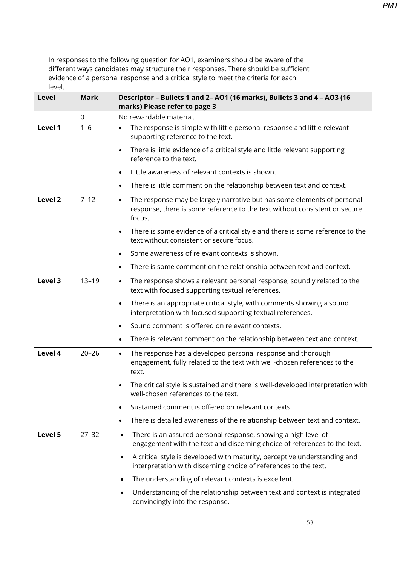| <b>Level</b> | <b>Mark</b> | Descriptor - Bullets 1 and 2- AO1 (16 marks), Bullets 3 and 4 - AO3 (16<br>marks) Please refer to page 3                                                                     |
|--------------|-------------|------------------------------------------------------------------------------------------------------------------------------------------------------------------------------|
|              | 0           | No rewardable material.                                                                                                                                                      |
| Level 1      | $1 - 6$     | The response is simple with little personal response and little relevant<br>$\bullet$<br>supporting reference to the text.                                                   |
|              |             | There is little evidence of a critical style and little relevant supporting<br>$\bullet$<br>reference to the text.                                                           |
|              |             | Little awareness of relevant contexts is shown.<br>$\bullet$                                                                                                                 |
|              |             | There is little comment on the relationship between text and context.<br>$\bullet$                                                                                           |
| Level 2      | $7 - 12$    | The response may be largely narrative but has some elements of personal<br>$\bullet$<br>response, there is some reference to the text without consistent or secure<br>focus. |
|              |             | There is some evidence of a critical style and there is some reference to the<br>$\bullet$<br>text without consistent or secure focus.                                       |
|              |             | Some awareness of relevant contexts is shown.<br>$\bullet$                                                                                                                   |
|              |             | There is some comment on the relationship between text and context.<br>$\bullet$                                                                                             |
| Level 3      | $13 - 19$   | The response shows a relevant personal response, soundly related to the<br>$\bullet$<br>text with focused supporting textual references.                                     |
|              |             | There is an appropriate critical style, with comments showing a sound<br>$\bullet$<br>interpretation with focused supporting textual references.                             |
|              |             | Sound comment is offered on relevant contexts.<br>$\bullet$                                                                                                                  |
|              |             | There is relevant comment on the relationship between text and context.<br>$\bullet$                                                                                         |
| Level 4      | $20 - 26$   | The response has a developed personal response and thorough<br>$\bullet$<br>engagement, fully related to the text with well-chosen references to the<br>text.                |
|              |             | The critical style is sustained and there is well-developed interpretation with<br>well-chosen references to the text.                                                       |
|              |             | Sustained comment is offered on relevant contexts.<br>$\bullet$                                                                                                              |
|              |             | There is detailed awareness of the relationship between text and context.<br>$\bullet$                                                                                       |
| Level 5      | $27 - 32$   | There is an assured personal response, showing a high level of<br>$\bullet$<br>engagement with the text and discerning choice of references to the text.                     |
|              |             | A critical style is developed with maturity, perceptive understanding and<br>$\bullet$<br>interpretation with discerning choice of references to the text.                   |
|              |             | The understanding of relevant contexts is excellent.<br>$\bullet$                                                                                                            |
|              |             | Understanding of the relationship between text and context is integrated<br>$\bullet$<br>convincingly into the response.                                                     |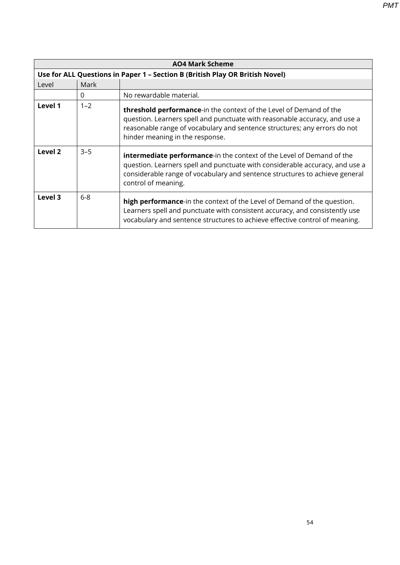|         | <b>AO4 Mark Scheme</b>                                                       |                                                                                                                                                                                                                                                                    |  |
|---------|------------------------------------------------------------------------------|--------------------------------------------------------------------------------------------------------------------------------------------------------------------------------------------------------------------------------------------------------------------|--|
|         | Use for ALL Questions in Paper 1 - Section B (British Play OR British Novel) |                                                                                                                                                                                                                                                                    |  |
| Level   | Mark                                                                         |                                                                                                                                                                                                                                                                    |  |
|         | $\mathbf{0}$                                                                 | No rewardable material.                                                                                                                                                                                                                                            |  |
| Level 1 | $1 - 2$                                                                      | threshold performance-in the context of the Level of Demand of the<br>question. Learners spell and punctuate with reasonable accuracy, and use a<br>reasonable range of vocabulary and sentence structures; any errors do not<br>hinder meaning in the response.   |  |
| Level 2 | $3 - 5$                                                                      | <b>intermediate performance-in the context of the Level of Demand of the</b><br>question. Learners spell and punctuate with considerable accuracy, and use a<br>considerable range of vocabulary and sentence structures to achieve general<br>control of meaning. |  |
| Level 3 | $6 - 8$                                                                      | high performance-in the context of the Level of Demand of the question.<br>Learners spell and punctuate with consistent accuracy, and consistently use<br>vocabulary and sentence structures to achieve effective control of meaning.                              |  |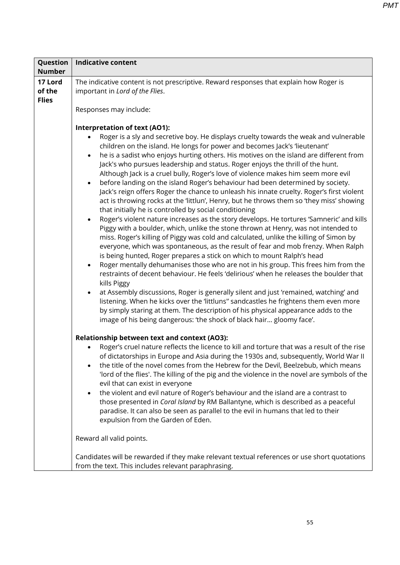| Question                          | <b>Indicative content</b>                                                                                                                                                                                                                                                                                                                                                                                                                                                                                                                                                                                                                                                                                                                                                                                                                                                                                                                                                                                                                                                                                                                                                                             |  |  |
|-----------------------------------|-------------------------------------------------------------------------------------------------------------------------------------------------------------------------------------------------------------------------------------------------------------------------------------------------------------------------------------------------------------------------------------------------------------------------------------------------------------------------------------------------------------------------------------------------------------------------------------------------------------------------------------------------------------------------------------------------------------------------------------------------------------------------------------------------------------------------------------------------------------------------------------------------------------------------------------------------------------------------------------------------------------------------------------------------------------------------------------------------------------------------------------------------------------------------------------------------------|--|--|
| <b>Number</b>                     |                                                                                                                                                                                                                                                                                                                                                                                                                                                                                                                                                                                                                                                                                                                                                                                                                                                                                                                                                                                                                                                                                                                                                                                                       |  |  |
| 17 Lord<br>of the<br><b>Flies</b> | The indicative content is not prescriptive. Reward responses that explain how Roger is<br>important in Lord of the Flies.                                                                                                                                                                                                                                                                                                                                                                                                                                                                                                                                                                                                                                                                                                                                                                                                                                                                                                                                                                                                                                                                             |  |  |
|                                   | Responses may include:                                                                                                                                                                                                                                                                                                                                                                                                                                                                                                                                                                                                                                                                                                                                                                                                                                                                                                                                                                                                                                                                                                                                                                                |  |  |
|                                   | <b>Interpretation of text (AO1):</b><br>Roger is a sly and secretive boy. He displays cruelty towards the weak and vulnerable<br>$\bullet$<br>children on the island. He longs for power and becomes Jack's 'lieutenant'<br>he is a sadist who enjoys hurting others. His motives on the island are different from<br>$\bullet$<br>Jack's who pursues leadership and status. Roger enjoys the thrill of the hunt.<br>Although Jack is a cruel bully, Roger's love of violence makes him seem more evil<br>before landing on the island Roger's behaviour had been determined by society.<br>$\bullet$                                                                                                                                                                                                                                                                                                                                                                                                                                                                                                                                                                                                 |  |  |
|                                   | Jack's reign offers Roger the chance to unleash his innate cruelty. Roger's first violent<br>act is throwing rocks at the 'littlun', Henry, but he throws them so 'they miss' showing<br>that initially he is controlled by social conditioning<br>Roger's violent nature increases as the story develops. He tortures 'Samneric' and kills<br>$\bullet$<br>Piggy with a boulder, which, unlike the stone thrown at Henry, was not intended to<br>miss. Roger's killing of Piggy was cold and calculated, unlike the killing of Simon by<br>everyone, which was spontaneous, as the result of fear and mob frenzy. When Ralph<br>is being hunted, Roger prepares a stick on which to mount Ralph's head<br>Roger mentally dehumanises those who are not in his group. This frees him from the<br>$\bullet$<br>restraints of decent behaviour. He feels 'delirious' when he releases the boulder that<br>kills Piggy<br>at Assembly discussions, Roger is generally silent and just 'remained, watching' and<br>$\bullet$<br>listening. When he kicks over the 'littluns" sandcastles he frightens them even more<br>by simply staring at them. The description of his physical appearance adds to the |  |  |
|                                   | image of his being dangerous: 'the shock of black hair gloomy face'.<br>Relationship between text and context (AO3):<br>Roger's cruel nature reflects the licence to kill and torture that was a result of the rise<br>of dictatorships in Europe and Asia during the 1930s and, subsequently, World War II<br>the title of the novel comes from the Hebrew for the Devil, Beelzebub, which means<br>'lord of the flies'. The killing of the pig and the violence in the novel are symbols of the<br>evil that can exist in everyone<br>the violent and evil nature of Roger's behaviour and the island are a contrast to<br>those presented in Coral Island by RM Ballantyne, which is described as a peaceful<br>paradise. It can also be seen as parallel to the evil in humans that led to their<br>expulsion from the Garden of Eden.<br>Reward all valid points.                                                                                                                                                                                                                                                                                                                                |  |  |
|                                   | Candidates will be rewarded if they make relevant textual references or use short quotations<br>from the text. This includes relevant paraphrasing.                                                                                                                                                                                                                                                                                                                                                                                                                                                                                                                                                                                                                                                                                                                                                                                                                                                                                                                                                                                                                                                   |  |  |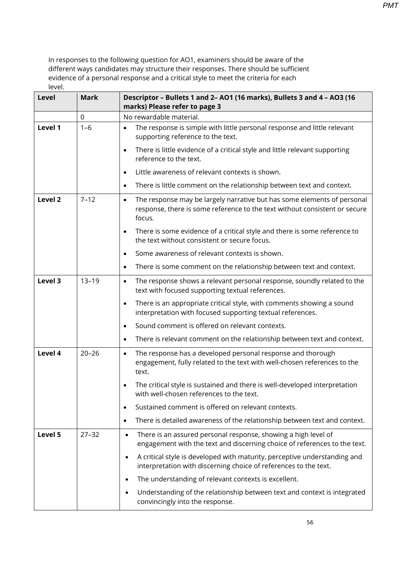| Level   | <b>Mark</b> | Descriptor - Bullets 1 and 2- AO1 (16 marks), Bullets 3 and 4 - AO3 (16<br>marks) Please refer to page 3                                                                     |
|---------|-------------|------------------------------------------------------------------------------------------------------------------------------------------------------------------------------|
|         | $\mathbf 0$ | No rewardable material.                                                                                                                                                      |
| Level 1 | $1 - 6$     | The response is simple with little personal response and little relevant<br>$\bullet$<br>supporting reference to the text.                                                   |
|         |             | There is little evidence of a critical style and little relevant supporting<br>$\bullet$<br>reference to the text.                                                           |
|         |             | Little awareness of relevant contexts is shown.<br>$\bullet$                                                                                                                 |
|         |             | There is little comment on the relationship between text and context.<br>$\bullet$                                                                                           |
| Level 2 | $7 - 12$    | The response may be largely narrative but has some elements of personal<br>$\bullet$<br>response, there is some reference to the text without consistent or secure<br>focus. |
|         |             | There is some evidence of a critical style and there is some reference to<br>$\bullet$<br>the text without consistent or secure focus.                                       |
|         |             | Some awareness of relevant contexts is shown.<br>$\bullet$                                                                                                                   |
|         |             | There is some comment on the relationship between text and context.<br>$\bullet$                                                                                             |
| Level 3 | $13 - 19$   | The response shows a relevant personal response, soundly related to the<br>$\bullet$<br>text with focused supporting textual references.                                     |
|         |             | There is an appropriate critical style, with comments showing a sound<br>$\bullet$<br>interpretation with focused supporting textual references.                             |
|         |             | Sound comment is offered on relevant contexts.<br>$\bullet$                                                                                                                  |
|         |             | There is relevant comment on the relationship between text and context.<br>$\bullet$                                                                                         |
| Level 4 | $20 - 26$   | The response has a developed personal response and thorough<br>$\bullet$<br>engagement, fully related to the text with well-chosen references to the<br>text.                |
|         |             | The critical style is sustained and there is well-developed interpretation<br>with well-chosen references to the text.                                                       |
|         |             | Sustained comment is offered on relevant contexts.                                                                                                                           |
|         |             | There is detailed awareness of the relationship between text and context.<br>٠                                                                                               |
| Level 5 | $27 - 32$   | There is an assured personal response, showing a high level of<br>$\bullet$<br>engagement with the text and discerning choice of references to the text.                     |
|         |             | A critical style is developed with maturity, perceptive understanding and<br>$\bullet$<br>interpretation with discerning choice of references to the text.                   |
|         |             | The understanding of relevant contexts is excellent.<br>$\bullet$                                                                                                            |
|         |             | Understanding of the relationship between text and context is integrated<br>$\bullet$<br>convincingly into the response.                                                     |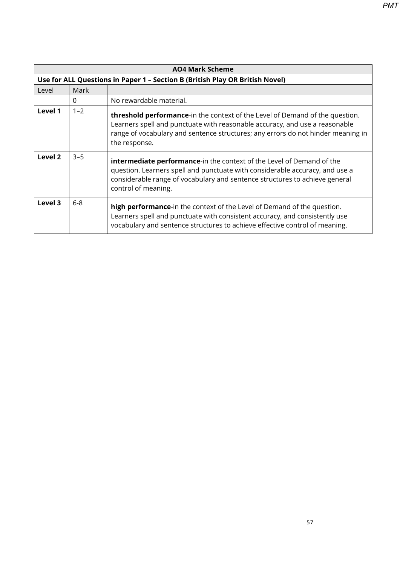**AO4 Mark Scheme Use for ALL Questions in Paper 1 – Section B (British Play OR British Novel)** Level Mark 0 No rewardable material. **Level 1** | 1–2 **threshold performance**-in the context of the Level of Demand of the question. Learners spell and punctuate with reasonable accuracy, and use a reasonable range of vocabulary and sentence structures; any errors do not hinder meaning in the response. **Level 2**  $\begin{vmatrix} 3-5 \\ \end{vmatrix}$  **intermediate performance**-in the context of the Level of Demand of the question. Learners spell and punctuate with considerable accuracy, and use a considerable range of vocabulary and sentence structures to achieve general control of meaning. **Level 3** 6-8 **high performance**-in the context of the Level of Demand of the question. Learners spell and punctuate with consistent accuracy, and consistently use vocabulary and sentence structures to achieve effective control of meaning.

*PMT*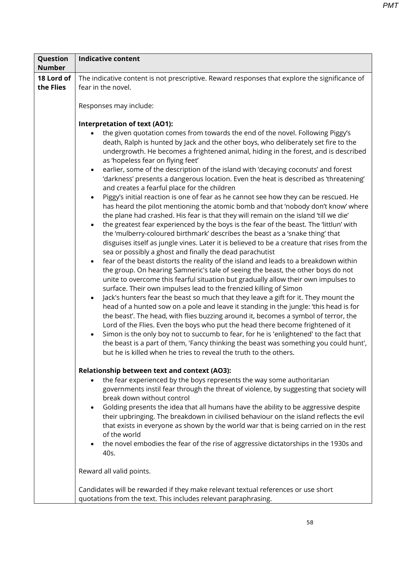| Question                | Indicative content                                                                                                                                                                                                                                                                                                                                                                                                                                                                                                                                                                                                                                                                                                                                                                                                                                                                                                                                                                                                                                                                                                                                                                                                                                                                                                                                                                                                                                                                                                                                                                                                                                                                                                                                                                                                                                                                                                                                                                                                                                                                                                |  |
|-------------------------|-------------------------------------------------------------------------------------------------------------------------------------------------------------------------------------------------------------------------------------------------------------------------------------------------------------------------------------------------------------------------------------------------------------------------------------------------------------------------------------------------------------------------------------------------------------------------------------------------------------------------------------------------------------------------------------------------------------------------------------------------------------------------------------------------------------------------------------------------------------------------------------------------------------------------------------------------------------------------------------------------------------------------------------------------------------------------------------------------------------------------------------------------------------------------------------------------------------------------------------------------------------------------------------------------------------------------------------------------------------------------------------------------------------------------------------------------------------------------------------------------------------------------------------------------------------------------------------------------------------------------------------------------------------------------------------------------------------------------------------------------------------------------------------------------------------------------------------------------------------------------------------------------------------------------------------------------------------------------------------------------------------------------------------------------------------------------------------------------------------------|--|
| <b>Number</b>           |                                                                                                                                                                                                                                                                                                                                                                                                                                                                                                                                                                                                                                                                                                                                                                                                                                                                                                                                                                                                                                                                                                                                                                                                                                                                                                                                                                                                                                                                                                                                                                                                                                                                                                                                                                                                                                                                                                                                                                                                                                                                                                                   |  |
| 18 Lord of<br>the Flies | The indicative content is not prescriptive. Reward responses that explore the significance of<br>fear in the novel.                                                                                                                                                                                                                                                                                                                                                                                                                                                                                                                                                                                                                                                                                                                                                                                                                                                                                                                                                                                                                                                                                                                                                                                                                                                                                                                                                                                                                                                                                                                                                                                                                                                                                                                                                                                                                                                                                                                                                                                               |  |
|                         |                                                                                                                                                                                                                                                                                                                                                                                                                                                                                                                                                                                                                                                                                                                                                                                                                                                                                                                                                                                                                                                                                                                                                                                                                                                                                                                                                                                                                                                                                                                                                                                                                                                                                                                                                                                                                                                                                                                                                                                                                                                                                                                   |  |
|                         | Responses may include:                                                                                                                                                                                                                                                                                                                                                                                                                                                                                                                                                                                                                                                                                                                                                                                                                                                                                                                                                                                                                                                                                                                                                                                                                                                                                                                                                                                                                                                                                                                                                                                                                                                                                                                                                                                                                                                                                                                                                                                                                                                                                            |  |
|                         |                                                                                                                                                                                                                                                                                                                                                                                                                                                                                                                                                                                                                                                                                                                                                                                                                                                                                                                                                                                                                                                                                                                                                                                                                                                                                                                                                                                                                                                                                                                                                                                                                                                                                                                                                                                                                                                                                                                                                                                                                                                                                                                   |  |
|                         | Interpretation of text (AO1):                                                                                                                                                                                                                                                                                                                                                                                                                                                                                                                                                                                                                                                                                                                                                                                                                                                                                                                                                                                                                                                                                                                                                                                                                                                                                                                                                                                                                                                                                                                                                                                                                                                                                                                                                                                                                                                                                                                                                                                                                                                                                     |  |
|                         | the given quotation comes from towards the end of the novel. Following Piggy's<br>death, Ralph is hunted by Jack and the other boys, who deliberately set fire to the<br>undergrowth. He becomes a frightened animal, hiding in the forest, and is described<br>as 'hopeless fear on flying feet'<br>earlier, some of the description of the island with 'decaying coconuts' and forest<br>'darkness' presents a dangerous location. Even the heat is described as 'threatening'<br>and creates a fearful place for the children<br>Piggy's initial reaction is one of fear as he cannot see how they can be rescued. He<br>has heard the pilot mentioning the atomic bomb and that 'nobody don't know' where<br>the plane had crashed. His fear is that they will remain on the island 'till we die'<br>the greatest fear experienced by the boys is the fear of the beast. The 'littlun' with<br>the 'mulberry-coloured birthmark' describes the beast as a 'snake thing' that<br>disguises itself as jungle vines. Later it is believed to be a creature that rises from the<br>sea or possibly a ghost and finally the dead parachutist<br>fear of the beast distorts the reality of the island and leads to a breakdown within<br>the group. On hearing Samneric's tale of seeing the beast, the other boys do not<br>unite to overcome this fearful situation but gradually allow their own impulses to<br>surface. Their own impulses lead to the frenzied killing of Simon<br>Jack's hunters fear the beast so much that they leave a gift for it. They mount the<br>$\bullet$<br>head of a hunted sow on a pole and leave it standing in the jungle: 'this head is for<br>the beast'. The head, with flies buzzing around it, becomes a symbol of terror, the<br>Lord of the Flies. Even the boys who put the head there become frightened of it<br>Simon is the only boy not to succumb to fear, for he is 'enlightened' to the fact that<br>the beast is a part of them, 'Fancy thinking the beast was something you could hunt',<br>but he is killed when he tries to reveal the truth to the others. |  |
|                         | <b>Relationship between text and context (AO3):</b>                                                                                                                                                                                                                                                                                                                                                                                                                                                                                                                                                                                                                                                                                                                                                                                                                                                                                                                                                                                                                                                                                                                                                                                                                                                                                                                                                                                                                                                                                                                                                                                                                                                                                                                                                                                                                                                                                                                                                                                                                                                               |  |
|                         | the fear experienced by the boys represents the way some authoritarian<br>governments instil fear through the threat of violence, by suggesting that society will                                                                                                                                                                                                                                                                                                                                                                                                                                                                                                                                                                                                                                                                                                                                                                                                                                                                                                                                                                                                                                                                                                                                                                                                                                                                                                                                                                                                                                                                                                                                                                                                                                                                                                                                                                                                                                                                                                                                                 |  |
|                         | break down without control                                                                                                                                                                                                                                                                                                                                                                                                                                                                                                                                                                                                                                                                                                                                                                                                                                                                                                                                                                                                                                                                                                                                                                                                                                                                                                                                                                                                                                                                                                                                                                                                                                                                                                                                                                                                                                                                                                                                                                                                                                                                                        |  |
|                         | Golding presents the idea that all humans have the ability to be aggressive despite<br>their upbringing. The breakdown in civilised behaviour on the island reflects the evil                                                                                                                                                                                                                                                                                                                                                                                                                                                                                                                                                                                                                                                                                                                                                                                                                                                                                                                                                                                                                                                                                                                                                                                                                                                                                                                                                                                                                                                                                                                                                                                                                                                                                                                                                                                                                                                                                                                                     |  |
|                         | that exists in everyone as shown by the world war that is being carried on in the rest                                                                                                                                                                                                                                                                                                                                                                                                                                                                                                                                                                                                                                                                                                                                                                                                                                                                                                                                                                                                                                                                                                                                                                                                                                                                                                                                                                                                                                                                                                                                                                                                                                                                                                                                                                                                                                                                                                                                                                                                                            |  |
|                         | of the world                                                                                                                                                                                                                                                                                                                                                                                                                                                                                                                                                                                                                                                                                                                                                                                                                                                                                                                                                                                                                                                                                                                                                                                                                                                                                                                                                                                                                                                                                                                                                                                                                                                                                                                                                                                                                                                                                                                                                                                                                                                                                                      |  |
|                         | the novel embodies the fear of the rise of aggressive dictatorships in the 1930s and<br>40s.                                                                                                                                                                                                                                                                                                                                                                                                                                                                                                                                                                                                                                                                                                                                                                                                                                                                                                                                                                                                                                                                                                                                                                                                                                                                                                                                                                                                                                                                                                                                                                                                                                                                                                                                                                                                                                                                                                                                                                                                                      |  |
|                         | Reward all valid points.                                                                                                                                                                                                                                                                                                                                                                                                                                                                                                                                                                                                                                                                                                                                                                                                                                                                                                                                                                                                                                                                                                                                                                                                                                                                                                                                                                                                                                                                                                                                                                                                                                                                                                                                                                                                                                                                                                                                                                                                                                                                                          |  |
|                         | Candidates will be rewarded if they make relevant textual references or use short<br>quotations from the text. This includes relevant paraphrasing.                                                                                                                                                                                                                                                                                                                                                                                                                                                                                                                                                                                                                                                                                                                                                                                                                                                                                                                                                                                                                                                                                                                                                                                                                                                                                                                                                                                                                                                                                                                                                                                                                                                                                                                                                                                                                                                                                                                                                               |  |

 $\Gamma$ 

Т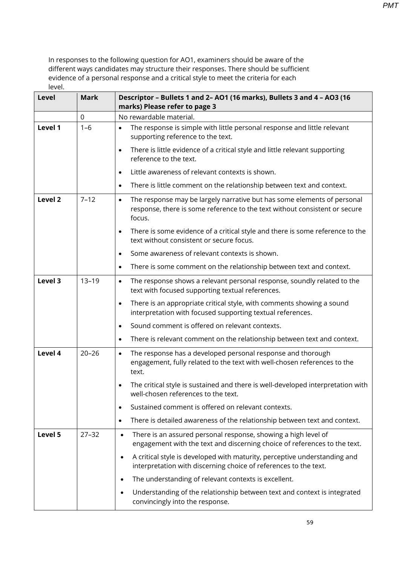| <b>Level</b> | <b>Mark</b> | Descriptor - Bullets 1 and 2- AO1 (16 marks), Bullets 3 and 4 - AO3 (16<br>marks) Please refer to page 3                                                                     |
|--------------|-------------|------------------------------------------------------------------------------------------------------------------------------------------------------------------------------|
|              | 0           | No rewardable material.                                                                                                                                                      |
| Level 1      | $1 - 6$     | The response is simple with little personal response and little relevant<br>$\bullet$<br>supporting reference to the text.                                                   |
|              |             | There is little evidence of a critical style and little relevant supporting<br>$\bullet$<br>reference to the text.                                                           |
|              |             | Little awareness of relevant contexts is shown.<br>$\bullet$                                                                                                                 |
|              |             | There is little comment on the relationship between text and context.<br>$\bullet$                                                                                           |
| Level 2      | $7 - 12$    | The response may be largely narrative but has some elements of personal<br>$\bullet$<br>response, there is some reference to the text without consistent or secure<br>focus. |
|              |             | There is some evidence of a critical style and there is some reference to the<br>$\bullet$<br>text without consistent or secure focus.                                       |
|              |             | Some awareness of relevant contexts is shown.<br>$\bullet$                                                                                                                   |
|              |             | There is some comment on the relationship between text and context.<br>$\bullet$                                                                                             |
| Level 3      | $13 - 19$   | The response shows a relevant personal response, soundly related to the<br>$\bullet$<br>text with focused supporting textual references.                                     |
|              |             | There is an appropriate critical style, with comments showing a sound<br>$\bullet$<br>interpretation with focused supporting textual references.                             |
|              |             | Sound comment is offered on relevant contexts.<br>$\bullet$                                                                                                                  |
|              |             | There is relevant comment on the relationship between text and context.<br>$\bullet$                                                                                         |
| Level 4      | $20 - 26$   | The response has a developed personal response and thorough<br>$\bullet$<br>engagement, fully related to the text with well-chosen references to the<br>text.                |
|              |             | The critical style is sustained and there is well-developed interpretation with<br>well-chosen references to the text.                                                       |
|              |             | Sustained comment is offered on relevant contexts.<br>$\bullet$                                                                                                              |
|              |             | There is detailed awareness of the relationship between text and context.<br>$\bullet$                                                                                       |
| Level 5      | $27 - 32$   | There is an assured personal response, showing a high level of<br>$\bullet$<br>engagement with the text and discerning choice of references to the text.                     |
|              |             | A critical style is developed with maturity, perceptive understanding and<br>$\bullet$<br>interpretation with discerning choice of references to the text.                   |
|              |             | The understanding of relevant contexts is excellent.<br>$\bullet$                                                                                                            |
|              |             | Understanding of the relationship between text and context is integrated<br>$\bullet$<br>convincingly into the response.                                                     |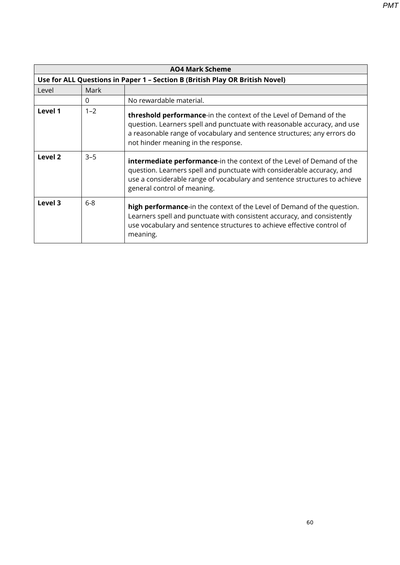**AO4 Mark Scheme Use for ALL Questions in Paper 1 – Section B (British Play OR British Novel)** Level Mark 0 No rewardable material. **Level 1** 1–2 **threshold performance**-in the context of the Level of Demand of the question. Learners spell and punctuate with reasonable accuracy, and use a reasonable range of vocabulary and sentence structures; any errors do not hinder meaning in the response. **Level 2**  $\begin{vmatrix} 3-5 \\ \end{vmatrix}$  **intermediate performance**-in the context of the Level of Demand of the question. Learners spell and punctuate with considerable accuracy, and use a considerable range of vocabulary and sentence structures to achieve general control of meaning. **Level 3** 6-8 **high performance**-in the context of the Level of Demand of the question. Learners spell and punctuate with consistent accuracy, and consistently use vocabulary and sentence structures to achieve effective control of meaning.

60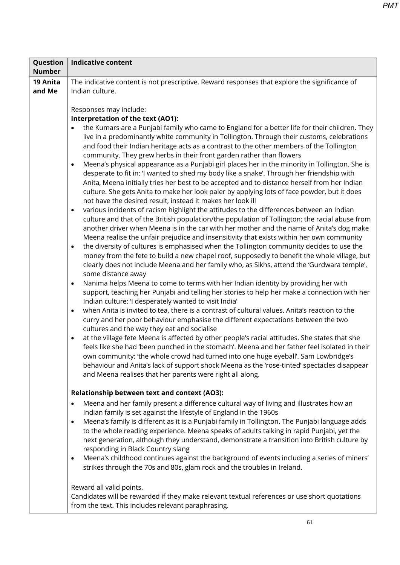| Question      | <b>Indicative content</b>                                                                                                                                                                                                                                                                                                                                                                                                                                                                                                                                                                                                                                                                                                                                                                                                                                                                                                                                                                                                                                                                                                                                                                                                                                                                                                                                                                                                                                                                                                                                                                                                                                                                                                                                                                                                                                                                                                                                                                                                                                                                                                                                                                                                                                                                                                                                                                                                                                                                                                                                              |
|---------------|------------------------------------------------------------------------------------------------------------------------------------------------------------------------------------------------------------------------------------------------------------------------------------------------------------------------------------------------------------------------------------------------------------------------------------------------------------------------------------------------------------------------------------------------------------------------------------------------------------------------------------------------------------------------------------------------------------------------------------------------------------------------------------------------------------------------------------------------------------------------------------------------------------------------------------------------------------------------------------------------------------------------------------------------------------------------------------------------------------------------------------------------------------------------------------------------------------------------------------------------------------------------------------------------------------------------------------------------------------------------------------------------------------------------------------------------------------------------------------------------------------------------------------------------------------------------------------------------------------------------------------------------------------------------------------------------------------------------------------------------------------------------------------------------------------------------------------------------------------------------------------------------------------------------------------------------------------------------------------------------------------------------------------------------------------------------------------------------------------------------------------------------------------------------------------------------------------------------------------------------------------------------------------------------------------------------------------------------------------------------------------------------------------------------------------------------------------------------------------------------------------------------------------------------------------------------|
| <b>Number</b> |                                                                                                                                                                                                                                                                                                                                                                                                                                                                                                                                                                                                                                                                                                                                                                                                                                                                                                                                                                                                                                                                                                                                                                                                                                                                                                                                                                                                                                                                                                                                                                                                                                                                                                                                                                                                                                                                                                                                                                                                                                                                                                                                                                                                                                                                                                                                                                                                                                                                                                                                                                        |
| 19 Anita      | The indicative content is not prescriptive. Reward responses that explore the significance of                                                                                                                                                                                                                                                                                                                                                                                                                                                                                                                                                                                                                                                                                                                                                                                                                                                                                                                                                                                                                                                                                                                                                                                                                                                                                                                                                                                                                                                                                                                                                                                                                                                                                                                                                                                                                                                                                                                                                                                                                                                                                                                                                                                                                                                                                                                                                                                                                                                                          |
| and Me        | Indian culture.                                                                                                                                                                                                                                                                                                                                                                                                                                                                                                                                                                                                                                                                                                                                                                                                                                                                                                                                                                                                                                                                                                                                                                                                                                                                                                                                                                                                                                                                                                                                                                                                                                                                                                                                                                                                                                                                                                                                                                                                                                                                                                                                                                                                                                                                                                                                                                                                                                                                                                                                                        |
|               |                                                                                                                                                                                                                                                                                                                                                                                                                                                                                                                                                                                                                                                                                                                                                                                                                                                                                                                                                                                                                                                                                                                                                                                                                                                                                                                                                                                                                                                                                                                                                                                                                                                                                                                                                                                                                                                                                                                                                                                                                                                                                                                                                                                                                                                                                                                                                                                                                                                                                                                                                                        |
|               | Responses may include:<br>Interpretation of the text (AO1):                                                                                                                                                                                                                                                                                                                                                                                                                                                                                                                                                                                                                                                                                                                                                                                                                                                                                                                                                                                                                                                                                                                                                                                                                                                                                                                                                                                                                                                                                                                                                                                                                                                                                                                                                                                                                                                                                                                                                                                                                                                                                                                                                                                                                                                                                                                                                                                                                                                                                                            |
|               |                                                                                                                                                                                                                                                                                                                                                                                                                                                                                                                                                                                                                                                                                                                                                                                                                                                                                                                                                                                                                                                                                                                                                                                                                                                                                                                                                                                                                                                                                                                                                                                                                                                                                                                                                                                                                                                                                                                                                                                                                                                                                                                                                                                                                                                                                                                                                                                                                                                                                                                                                                        |
|               | the Kumars are a Punjabi family who came to England for a better life for their children. They<br>$\bullet$<br>live in a predominantly white community in Tollington. Through their customs, celebrations<br>and food their Indian heritage acts as a contrast to the other members of the Tollington<br>community. They grew herbs in their front garden rather than flowers<br>Meena's physical appearance as a Punjabi girl places her in the minority in Tollington. She is<br>$\bullet$<br>desperate to fit in: 'I wanted to shed my body like a snake'. Through her friendship with<br>Anita, Meena initially tries her best to be accepted and to distance herself from her Indian<br>culture. She gets Anita to make her look paler by applying lots of face powder, but it does<br>not have the desired result, instead it makes her look ill<br>various incidents of racism highlight the attitudes to the differences between an Indian<br>$\bullet$<br>culture and that of the British population/the population of Tollington: the racial abuse from<br>another driver when Meena is in the car with her mother and the name of Anita's dog make<br>Meena realise the unfair prejudice and insensitivity that exists within her own community<br>the diversity of cultures is emphasised when the Tollington community decides to use the<br>$\bullet$<br>money from the fete to build a new chapel roof, supposedly to benefit the whole village, but<br>clearly does not include Meena and her family who, as Sikhs, attend the 'Gurdwara temple',<br>some distance away<br>Nanima helps Meena to come to terms with her Indian identity by providing her with<br>$\bullet$<br>support, teaching her Punjabi and telling her stories to help her make a connection with her<br>Indian culture: 'I desperately wanted to visit India'<br>when Anita is invited to tea, there is a contrast of cultural values. Anita's reaction to the<br>$\bullet$<br>curry and her poor behaviour emphasise the different expectations between the two<br>cultures and the way they eat and socialise<br>at the village fete Meena is affected by other people's racial attitudes. She states that she<br>$\bullet$<br>feels like she had 'been punched in the stomach'. Meena and her father feel isolated in their<br>own community: 'the whole crowd had turned into one huge eyeball'. Sam Lowbridge's<br>behaviour and Anita's lack of support shock Meena as the 'rose-tinted' spectacles disappear<br>and Meena realises that her parents were right all along. |
|               |                                                                                                                                                                                                                                                                                                                                                                                                                                                                                                                                                                                                                                                                                                                                                                                                                                                                                                                                                                                                                                                                                                                                                                                                                                                                                                                                                                                                                                                                                                                                                                                                                                                                                                                                                                                                                                                                                                                                                                                                                                                                                                                                                                                                                                                                                                                                                                                                                                                                                                                                                                        |
|               | Relationship between text and context (AO3):                                                                                                                                                                                                                                                                                                                                                                                                                                                                                                                                                                                                                                                                                                                                                                                                                                                                                                                                                                                                                                                                                                                                                                                                                                                                                                                                                                                                                                                                                                                                                                                                                                                                                                                                                                                                                                                                                                                                                                                                                                                                                                                                                                                                                                                                                                                                                                                                                                                                                                                           |
|               | Meena and her family present a difference cultural way of living and illustrates how an<br>$\bullet$<br>Indian family is set against the lifestyle of England in the 1960s                                                                                                                                                                                                                                                                                                                                                                                                                                                                                                                                                                                                                                                                                                                                                                                                                                                                                                                                                                                                                                                                                                                                                                                                                                                                                                                                                                                                                                                                                                                                                                                                                                                                                                                                                                                                                                                                                                                                                                                                                                                                                                                                                                                                                                                                                                                                                                                             |
|               | Meena's family is different as it is a Punjabi family in Tollington. The Punjabi language adds<br>$\bullet$                                                                                                                                                                                                                                                                                                                                                                                                                                                                                                                                                                                                                                                                                                                                                                                                                                                                                                                                                                                                                                                                                                                                                                                                                                                                                                                                                                                                                                                                                                                                                                                                                                                                                                                                                                                                                                                                                                                                                                                                                                                                                                                                                                                                                                                                                                                                                                                                                                                            |
|               | to the whole reading experience. Meena speaks of adults talking in rapid Punjabi, yet the                                                                                                                                                                                                                                                                                                                                                                                                                                                                                                                                                                                                                                                                                                                                                                                                                                                                                                                                                                                                                                                                                                                                                                                                                                                                                                                                                                                                                                                                                                                                                                                                                                                                                                                                                                                                                                                                                                                                                                                                                                                                                                                                                                                                                                                                                                                                                                                                                                                                              |
|               | next generation, although they understand, demonstrate a transition into British culture by                                                                                                                                                                                                                                                                                                                                                                                                                                                                                                                                                                                                                                                                                                                                                                                                                                                                                                                                                                                                                                                                                                                                                                                                                                                                                                                                                                                                                                                                                                                                                                                                                                                                                                                                                                                                                                                                                                                                                                                                                                                                                                                                                                                                                                                                                                                                                                                                                                                                            |
|               | responding in Black Country slang<br>Meena's childhood continues against the background of events including a series of miners'                                                                                                                                                                                                                                                                                                                                                                                                                                                                                                                                                                                                                                                                                                                                                                                                                                                                                                                                                                                                                                                                                                                                                                                                                                                                                                                                                                                                                                                                                                                                                                                                                                                                                                                                                                                                                                                                                                                                                                                                                                                                                                                                                                                                                                                                                                                                                                                                                                        |
|               | $\bullet$<br>strikes through the 70s and 80s, glam rock and the troubles in Ireland.                                                                                                                                                                                                                                                                                                                                                                                                                                                                                                                                                                                                                                                                                                                                                                                                                                                                                                                                                                                                                                                                                                                                                                                                                                                                                                                                                                                                                                                                                                                                                                                                                                                                                                                                                                                                                                                                                                                                                                                                                                                                                                                                                                                                                                                                                                                                                                                                                                                                                   |
|               |                                                                                                                                                                                                                                                                                                                                                                                                                                                                                                                                                                                                                                                                                                                                                                                                                                                                                                                                                                                                                                                                                                                                                                                                                                                                                                                                                                                                                                                                                                                                                                                                                                                                                                                                                                                                                                                                                                                                                                                                                                                                                                                                                                                                                                                                                                                                                                                                                                                                                                                                                                        |
|               | Reward all valid points.                                                                                                                                                                                                                                                                                                                                                                                                                                                                                                                                                                                                                                                                                                                                                                                                                                                                                                                                                                                                                                                                                                                                                                                                                                                                                                                                                                                                                                                                                                                                                                                                                                                                                                                                                                                                                                                                                                                                                                                                                                                                                                                                                                                                                                                                                                                                                                                                                                                                                                                                               |
|               | Candidates will be rewarded if they make relevant textual references or use short quotations<br>from the text. This includes relevant paraphrasing.                                                                                                                                                                                                                                                                                                                                                                                                                                                                                                                                                                                                                                                                                                                                                                                                                                                                                                                                                                                                                                                                                                                                                                                                                                                                                                                                                                                                                                                                                                                                                                                                                                                                                                                                                                                                                                                                                                                                                                                                                                                                                                                                                                                                                                                                                                                                                                                                                    |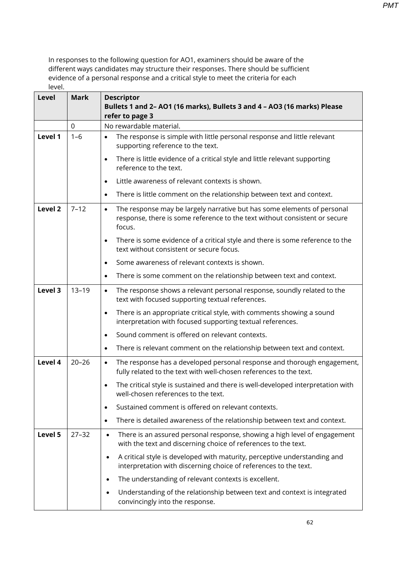| Level   | <b>Mark</b> | <b>Descriptor</b><br>Bullets 1 and 2- AO1 (16 marks), Bullets 3 and 4 - AO3 (16 marks) Please<br>refer to page 3                                                             |
|---------|-------------|------------------------------------------------------------------------------------------------------------------------------------------------------------------------------|
|         | $\mathbf 0$ | No rewardable material.                                                                                                                                                      |
| Level 1 | $1 - 6$     | The response is simple with little personal response and little relevant<br>$\bullet$<br>supporting reference to the text.                                                   |
|         |             | There is little evidence of a critical style and little relevant supporting<br>$\bullet$<br>reference to the text.                                                           |
|         |             | Little awareness of relevant contexts is shown.<br>$\bullet$                                                                                                                 |
|         |             | There is little comment on the relationship between text and context.<br>$\bullet$                                                                                           |
| Level 2 | $7 - 12$    | The response may be largely narrative but has some elements of personal<br>$\bullet$<br>response, there is some reference to the text without consistent or secure<br>focus. |
|         |             | There is some evidence of a critical style and there is some reference to the<br>$\bullet$<br>text without consistent or secure focus.                                       |
|         |             | Some awareness of relevant contexts is shown.<br>$\bullet$                                                                                                                   |
|         |             | There is some comment on the relationship between text and context.<br>$\bullet$                                                                                             |
| Level 3 | $13 - 19$   | The response shows a relevant personal response, soundly related to the<br>$\bullet$<br>text with focused supporting textual references.                                     |
|         |             | There is an appropriate critical style, with comments showing a sound<br>$\bullet$<br>interpretation with focused supporting textual references.                             |
|         |             | Sound comment is offered on relevant contexts.<br>$\bullet$                                                                                                                  |
|         |             | There is relevant comment on the relationship between text and context.<br>$\bullet$                                                                                         |
| Level 4 | $20 - 26$   | The response has a developed personal response and thorough engagement,<br>$\bullet$<br>fully related to the text with well-chosen references to the text.                   |
|         |             | The critical style is sustained and there is well-developed interpretation with<br>$\bullet$<br>well-chosen references to the text.                                          |
|         |             | Sustained comment is offered on relevant contexts.<br>$\bullet$                                                                                                              |
|         |             | There is detailed awareness of the relationship between text and context.<br>$\bullet$                                                                                       |
| Level 5 | $27 - 32$   | There is an assured personal response, showing a high level of engagement<br>$\bullet$<br>with the text and discerning choice of references to the text.                     |
|         |             | A critical style is developed with maturity, perceptive understanding and<br>$\bullet$<br>interpretation with discerning choice of references to the text.                   |
|         |             | The understanding of relevant contexts is excellent.                                                                                                                         |
|         |             | Understanding of the relationship between text and context is integrated<br>convincingly into the response.                                                                  |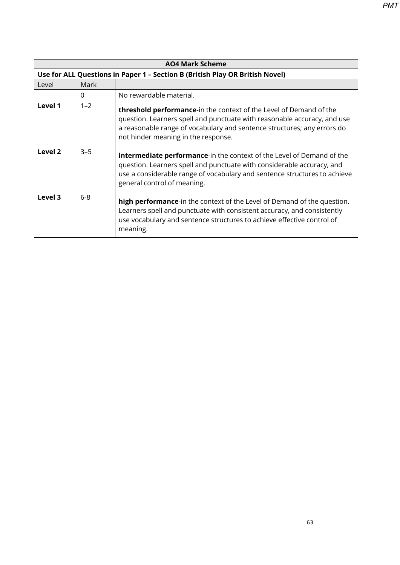| <b>AO4 Mark Scheme</b> |                                                                              |                                                                                                                                                                                                                                                                          |  |
|------------------------|------------------------------------------------------------------------------|--------------------------------------------------------------------------------------------------------------------------------------------------------------------------------------------------------------------------------------------------------------------------|--|
|                        | Use for ALL Questions in Paper 1 - Section B (British Play OR British Novel) |                                                                                                                                                                                                                                                                          |  |
| Level                  | Mark                                                                         |                                                                                                                                                                                                                                                                          |  |
|                        | $\Omega$                                                                     | No rewardable material.                                                                                                                                                                                                                                                  |  |
| Level 1                | $1 - 2$                                                                      | <b>threshold performance-</b> in the context of the Level of Demand of the<br>question. Learners spell and punctuate with reasonable accuracy, and use<br>a reasonable range of vocabulary and sentence structures; any errors do<br>not hinder meaning in the response. |  |
| Level 2                | $3 - 5$                                                                      | <b>intermediate performance-in</b> the context of the Level of Demand of the<br>question. Learners spell and punctuate with considerable accuracy, and<br>use a considerable range of vocabulary and sentence structures to achieve<br>general control of meaning.       |  |
| Level 3                | $6 - 8$                                                                      | <b>high performance-</b> in the context of the Level of Demand of the question.<br>Learners spell and punctuate with consistent accuracy, and consistently<br>use vocabulary and sentence structures to achieve effective control of<br>meaning.                         |  |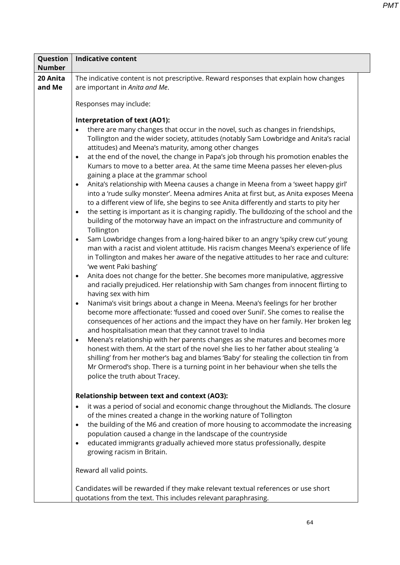| Question<br><b>Number</b> | <b>Indicative content</b>                                                                                                                                                                                                                                                                                                                                                                                                                                                                                                                                                                                                                                                                                                                                                                                                                                                                                                                                                                                                                                                                                                                                                                                                                                                                                                                                                                                                                                                                                                                                                                                                                                                                                                                                                                                                                                                                                                                                                                                                                                                                                                                                                                                                                                                        |  |  |
|---------------------------|----------------------------------------------------------------------------------------------------------------------------------------------------------------------------------------------------------------------------------------------------------------------------------------------------------------------------------------------------------------------------------------------------------------------------------------------------------------------------------------------------------------------------------------------------------------------------------------------------------------------------------------------------------------------------------------------------------------------------------------------------------------------------------------------------------------------------------------------------------------------------------------------------------------------------------------------------------------------------------------------------------------------------------------------------------------------------------------------------------------------------------------------------------------------------------------------------------------------------------------------------------------------------------------------------------------------------------------------------------------------------------------------------------------------------------------------------------------------------------------------------------------------------------------------------------------------------------------------------------------------------------------------------------------------------------------------------------------------------------------------------------------------------------------------------------------------------------------------------------------------------------------------------------------------------------------------------------------------------------------------------------------------------------------------------------------------------------------------------------------------------------------------------------------------------------------------------------------------------------------------------------------------------------|--|--|
| 20 Anita<br>and Me        | The indicative content is not prescriptive. Reward responses that explain how changes<br>are important in Anita and Me.                                                                                                                                                                                                                                                                                                                                                                                                                                                                                                                                                                                                                                                                                                                                                                                                                                                                                                                                                                                                                                                                                                                                                                                                                                                                                                                                                                                                                                                                                                                                                                                                                                                                                                                                                                                                                                                                                                                                                                                                                                                                                                                                                          |  |  |
|                           | Responses may include:                                                                                                                                                                                                                                                                                                                                                                                                                                                                                                                                                                                                                                                                                                                                                                                                                                                                                                                                                                                                                                                                                                                                                                                                                                                                                                                                                                                                                                                                                                                                                                                                                                                                                                                                                                                                                                                                                                                                                                                                                                                                                                                                                                                                                                                           |  |  |
|                           | <b>Interpretation of text (AO1):</b><br>there are many changes that occur in the novel, such as changes in friendships,<br>Tollington and the wider society, attitudes (notably Sam Lowbridge and Anita's racial<br>attitudes) and Meena's maturity, among other changes<br>at the end of the novel, the change in Papa's job through his promotion enables the<br>$\bullet$<br>Kumars to move to a better area. At the same time Meena passes her eleven-plus<br>gaining a place at the grammar school<br>Anita's relationship with Meena causes a change in Meena from a 'sweet happy girl'<br>$\bullet$<br>into a 'rude sulky monster'. Meena admires Anita at first but, as Anita exposes Meena<br>to a different view of life, she begins to see Anita differently and starts to pity her<br>the setting is important as it is changing rapidly. The bulldozing of the school and the<br>$\bullet$<br>building of the motorway have an impact on the infrastructure and community of<br>Tollington<br>Sam Lowbridge changes from a long-haired biker to an angry 'spiky crew cut' young<br>$\bullet$<br>man with a racist and violent attitude. His racism changes Meena's experience of life<br>in Tollington and makes her aware of the negative attitudes to her race and culture:<br>'we went Paki bashing'<br>Anita does not change for the better. She becomes more manipulative, aggressive<br>$\bullet$<br>and racially prejudiced. Her relationship with Sam changes from innocent flirting to<br>having sex with him<br>Nanima's visit brings about a change in Meena. Meena's feelings for her brother<br>$\bullet$<br>become more affectionate: 'fussed and cooed over Sunil'. She comes to realise the<br>consequences of her actions and the impact they have on her family. Her broken leg<br>and hospitalisation mean that they cannot travel to India<br>Meena's relationship with her parents changes as she matures and becomes more<br>$\bullet$<br>honest with them. At the start of the novel she lies to her father about stealing 'a<br>shilling' from her mother's bag and blames 'Baby' for stealing the collection tin from<br>Mr Ormerod's shop. There is a turning point in her behaviour when she tells the<br>police the truth about Tracey. |  |  |
|                           | <b>Relationship between text and context (AO3):</b>                                                                                                                                                                                                                                                                                                                                                                                                                                                                                                                                                                                                                                                                                                                                                                                                                                                                                                                                                                                                                                                                                                                                                                                                                                                                                                                                                                                                                                                                                                                                                                                                                                                                                                                                                                                                                                                                                                                                                                                                                                                                                                                                                                                                                              |  |  |
|                           | it was a period of social and economic change throughout the Midlands. The closure<br>٠<br>of the mines created a change in the working nature of Tollington<br>the building of the M6 and creation of more housing to accommodate the increasing<br>$\bullet$<br>population caused a change in the landscape of the countryside<br>educated immigrants gradually achieved more status professionally, despite<br>٠<br>growing racism in Britain.                                                                                                                                                                                                                                                                                                                                                                                                                                                                                                                                                                                                                                                                                                                                                                                                                                                                                                                                                                                                                                                                                                                                                                                                                                                                                                                                                                                                                                                                                                                                                                                                                                                                                                                                                                                                                                |  |  |
|                           | Reward all valid points.                                                                                                                                                                                                                                                                                                                                                                                                                                                                                                                                                                                                                                                                                                                                                                                                                                                                                                                                                                                                                                                                                                                                                                                                                                                                                                                                                                                                                                                                                                                                                                                                                                                                                                                                                                                                                                                                                                                                                                                                                                                                                                                                                                                                                                                         |  |  |
|                           | Candidates will be rewarded if they make relevant textual references or use short<br>quotations from the text. This includes relevant paraphrasing.                                                                                                                                                                                                                                                                                                                                                                                                                                                                                                                                                                                                                                                                                                                                                                                                                                                                                                                                                                                                                                                                                                                                                                                                                                                                                                                                                                                                                                                                                                                                                                                                                                                                                                                                                                                                                                                                                                                                                                                                                                                                                                                              |  |  |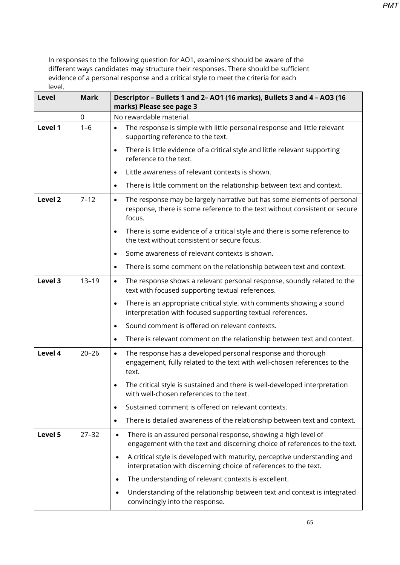| <b>Level</b>       | <b>Mark</b> | Descriptor - Bullets 1 and 2- AO1 (16 marks), Bullets 3 and 4 - AO3 (16<br>marks) Please see page 3                                                                          |
|--------------------|-------------|------------------------------------------------------------------------------------------------------------------------------------------------------------------------------|
|                    | $\mathbf 0$ | No rewardable material.                                                                                                                                                      |
| Level 1            | $1 - 6$     | The response is simple with little personal response and little relevant<br>$\bullet$<br>supporting reference to the text.                                                   |
|                    |             | There is little evidence of a critical style and little relevant supporting<br>$\bullet$<br>reference to the text.                                                           |
|                    |             | Little awareness of relevant contexts is shown.<br>$\bullet$                                                                                                                 |
|                    |             | There is little comment on the relationship between text and context.<br>$\bullet$                                                                                           |
| Level <sub>2</sub> | $7 - 12$    | The response may be largely narrative but has some elements of personal<br>$\bullet$<br>response, there is some reference to the text without consistent or secure<br>focus. |
|                    |             | There is some evidence of a critical style and there is some reference to<br>$\bullet$<br>the text without consistent or secure focus.                                       |
|                    |             | Some awareness of relevant contexts is shown.<br>$\bullet$                                                                                                                   |
|                    |             | There is some comment on the relationship between text and context.<br>$\bullet$                                                                                             |
| Level 3            | $13 - 19$   | The response shows a relevant personal response, soundly related to the<br>$\bullet$<br>text with focused supporting textual references.                                     |
|                    |             | There is an appropriate critical style, with comments showing a sound<br>$\bullet$<br>interpretation with focused supporting textual references.                             |
|                    |             | Sound comment is offered on relevant contexts.<br>$\bullet$                                                                                                                  |
|                    |             | There is relevant comment on the relationship between text and context.<br>$\bullet$                                                                                         |
| Level 4            | $20 - 26$   | The response has a developed personal response and thorough<br>$\bullet$<br>engagement, fully related to the text with well-chosen references to the<br>text.                |
|                    |             | The critical style is sustained and there is well-developed interpretation<br>$\bullet$<br>with well-chosen references to the text.                                          |
|                    |             | Sustained comment is offered on relevant contexts.<br>$\bullet$                                                                                                              |
|                    |             | There is detailed awareness of the relationship between text and context.<br>$\bullet$                                                                                       |
| Level 5            | $27 - 32$   | There is an assured personal response, showing a high level of<br>$\bullet$<br>engagement with the text and discerning choice of references to the text.                     |
|                    |             | A critical style is developed with maturity, perceptive understanding and<br>$\bullet$<br>interpretation with discerning choice of references to the text.                   |
|                    |             | The understanding of relevant contexts is excellent.<br>$\bullet$                                                                                                            |
|                    |             | Understanding of the relationship between text and context is integrated<br>$\bullet$<br>convincingly into the response.                                                     |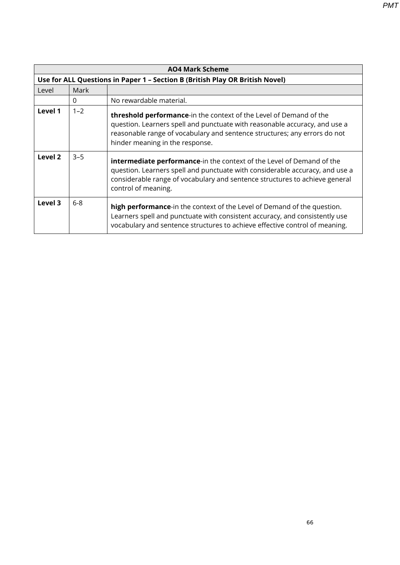**AO4 Mark Scheme Use for ALL Questions in Paper 1 – Section B (British Play OR British Novel)** Level Mark 0 No rewardable material. **Level 1** | 1–2 **threshold performance**-in the context of the Level of Demand of the question. Learners spell and punctuate with reasonable accuracy, and use a reasonable range of vocabulary and sentence structures; any errors do not hinder meaning in the response. **Level 2**  $\begin{vmatrix} 3-5 \\ \end{vmatrix}$  **intermediate performance**-in the context of the Level of Demand of the question. Learners spell and punctuate with considerable accuracy, and use a considerable range of vocabulary and sentence structures to achieve general control of meaning. **Level 3** 6-8 **high performance**-in the context of the Level of Demand of the question. Learners spell and punctuate with consistent accuracy, and consistently use vocabulary and sentence structures to achieve effective control of meaning.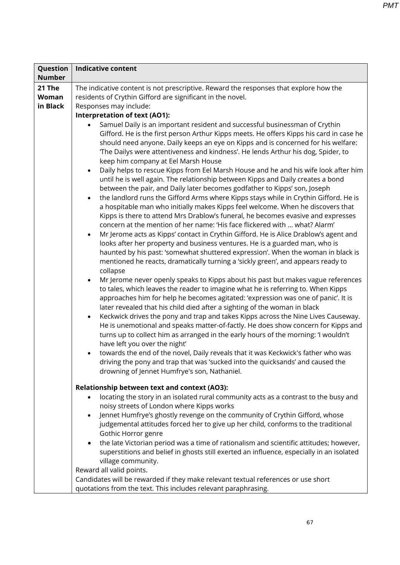| Question      | <b>Indicative content</b>                                                                                                                                                                                                                                                                                                                                                                                                                                                                                                                                                                                                                                                                                                                                                                                                                                                                                                                                                                                                                                                                                                                                                                                                                                                                                                                                                                                                                                                                                                                                                                                                                                                                                                                                                                                                                                                                                                                                                                                                                                                                                                                                                                                                                                                                                                  |  |  |
|---------------|----------------------------------------------------------------------------------------------------------------------------------------------------------------------------------------------------------------------------------------------------------------------------------------------------------------------------------------------------------------------------------------------------------------------------------------------------------------------------------------------------------------------------------------------------------------------------------------------------------------------------------------------------------------------------------------------------------------------------------------------------------------------------------------------------------------------------------------------------------------------------------------------------------------------------------------------------------------------------------------------------------------------------------------------------------------------------------------------------------------------------------------------------------------------------------------------------------------------------------------------------------------------------------------------------------------------------------------------------------------------------------------------------------------------------------------------------------------------------------------------------------------------------------------------------------------------------------------------------------------------------------------------------------------------------------------------------------------------------------------------------------------------------------------------------------------------------------------------------------------------------------------------------------------------------------------------------------------------------------------------------------------------------------------------------------------------------------------------------------------------------------------------------------------------------------------------------------------------------------------------------------------------------------------------------------------------------|--|--|
| <b>Number</b> |                                                                                                                                                                                                                                                                                                                                                                                                                                                                                                                                                                                                                                                                                                                                                                                                                                                                                                                                                                                                                                                                                                                                                                                                                                                                                                                                                                                                                                                                                                                                                                                                                                                                                                                                                                                                                                                                                                                                                                                                                                                                                                                                                                                                                                                                                                                            |  |  |
| 21 The        | The indicative content is not prescriptive. Reward the responses that explore how the                                                                                                                                                                                                                                                                                                                                                                                                                                                                                                                                                                                                                                                                                                                                                                                                                                                                                                                                                                                                                                                                                                                                                                                                                                                                                                                                                                                                                                                                                                                                                                                                                                                                                                                                                                                                                                                                                                                                                                                                                                                                                                                                                                                                                                      |  |  |
| Woman         | residents of Crythin Gifford are significant in the novel.                                                                                                                                                                                                                                                                                                                                                                                                                                                                                                                                                                                                                                                                                                                                                                                                                                                                                                                                                                                                                                                                                                                                                                                                                                                                                                                                                                                                                                                                                                                                                                                                                                                                                                                                                                                                                                                                                                                                                                                                                                                                                                                                                                                                                                                                 |  |  |
| in Black      | Responses may include:                                                                                                                                                                                                                                                                                                                                                                                                                                                                                                                                                                                                                                                                                                                                                                                                                                                                                                                                                                                                                                                                                                                                                                                                                                                                                                                                                                                                                                                                                                                                                                                                                                                                                                                                                                                                                                                                                                                                                                                                                                                                                                                                                                                                                                                                                                     |  |  |
|               |                                                                                                                                                                                                                                                                                                                                                                                                                                                                                                                                                                                                                                                                                                                                                                                                                                                                                                                                                                                                                                                                                                                                                                                                                                                                                                                                                                                                                                                                                                                                                                                                                                                                                                                                                                                                                                                                                                                                                                                                                                                                                                                                                                                                                                                                                                                            |  |  |
|               | Interpretation of text (AO1):<br>Samuel Daily is an important resident and successful businessman of Crythin<br>Gifford. He is the first person Arthur Kipps meets. He offers Kipps his card in case he<br>should need anyone. Daily keeps an eye on Kipps and is concerned for his welfare:<br>'The Dailys were attentiveness and kindness'. He lends Arthur his dog, Spider, to<br>keep him company at Eel Marsh House<br>Daily helps to rescue Kipps from Eel Marsh House and he and his wife look after him<br>$\bullet$<br>until he is well again. The relationship between Kipps and Daily creates a bond<br>between the pair, and Daily later becomes godfather to Kipps' son, Joseph<br>the landlord runs the Gifford Arms where Kipps stays while in Crythin Gifford. He is<br>$\bullet$<br>a hospitable man who initially makes Kipps feel welcome. When he discovers that<br>Kipps is there to attend Mrs Drablow's funeral, he becomes evasive and expresses<br>concern at the mention of her name: 'His face flickered with  what? Alarm'<br>Mr Jerome acts as Kipps' contact in Crythin Gifford. He is Alice Drablow's agent and<br>$\bullet$<br>looks after her property and business ventures. He is a guarded man, who is<br>haunted by his past: 'somewhat shuttered expression'. When the woman in black is<br>mentioned he reacts, dramatically turning a 'sickly green', and appears ready to<br>collapse<br>Mr Jerome never openly speaks to Kipps about his past but makes vague references<br>$\bullet$<br>to tales, which leaves the reader to imagine what he is referring to. When Kipps<br>approaches him for help he becomes agitated: 'expression was one of panic'. It is<br>later revealed that his child died after a sighting of the woman in black<br>Keckwick drives the pony and trap and takes Kipps across the Nine Lives Causeway.<br>$\bullet$<br>He is unemotional and speaks matter-of-factly. He does show concern for Kipps and<br>turns up to collect him as arranged in the early hours of the morning: 'I wouldn't<br>have left you over the night'<br>towards the end of the novel, Daily reveals that it was Keckwick's father who was<br>driving the pony and trap that was 'sucked into the quicksands' and caused the<br>drowning of Jennet Humfrye's son, Nathaniel. |  |  |
|               | <b>Relationship between text and context (AO3):</b>                                                                                                                                                                                                                                                                                                                                                                                                                                                                                                                                                                                                                                                                                                                                                                                                                                                                                                                                                                                                                                                                                                                                                                                                                                                                                                                                                                                                                                                                                                                                                                                                                                                                                                                                                                                                                                                                                                                                                                                                                                                                                                                                                                                                                                                                        |  |  |
|               | locating the story in an isolated rural community acts as a contrast to the busy and<br>$\bullet$                                                                                                                                                                                                                                                                                                                                                                                                                                                                                                                                                                                                                                                                                                                                                                                                                                                                                                                                                                                                                                                                                                                                                                                                                                                                                                                                                                                                                                                                                                                                                                                                                                                                                                                                                                                                                                                                                                                                                                                                                                                                                                                                                                                                                          |  |  |
|               | noisy streets of London where Kipps works                                                                                                                                                                                                                                                                                                                                                                                                                                                                                                                                                                                                                                                                                                                                                                                                                                                                                                                                                                                                                                                                                                                                                                                                                                                                                                                                                                                                                                                                                                                                                                                                                                                                                                                                                                                                                                                                                                                                                                                                                                                                                                                                                                                                                                                                                  |  |  |
|               | Jennet Humfrye's ghostly revenge on the community of Crythin Gifford, whose<br>$\bullet$                                                                                                                                                                                                                                                                                                                                                                                                                                                                                                                                                                                                                                                                                                                                                                                                                                                                                                                                                                                                                                                                                                                                                                                                                                                                                                                                                                                                                                                                                                                                                                                                                                                                                                                                                                                                                                                                                                                                                                                                                                                                                                                                                                                                                                   |  |  |
|               | judgemental attitudes forced her to give up her child, conforms to the traditional                                                                                                                                                                                                                                                                                                                                                                                                                                                                                                                                                                                                                                                                                                                                                                                                                                                                                                                                                                                                                                                                                                                                                                                                                                                                                                                                                                                                                                                                                                                                                                                                                                                                                                                                                                                                                                                                                                                                                                                                                                                                                                                                                                                                                                         |  |  |
|               | Gothic Horror genre                                                                                                                                                                                                                                                                                                                                                                                                                                                                                                                                                                                                                                                                                                                                                                                                                                                                                                                                                                                                                                                                                                                                                                                                                                                                                                                                                                                                                                                                                                                                                                                                                                                                                                                                                                                                                                                                                                                                                                                                                                                                                                                                                                                                                                                                                                        |  |  |
|               | the late Victorian period was a time of rationalism and scientific attitudes; however,<br>$\bullet$                                                                                                                                                                                                                                                                                                                                                                                                                                                                                                                                                                                                                                                                                                                                                                                                                                                                                                                                                                                                                                                                                                                                                                                                                                                                                                                                                                                                                                                                                                                                                                                                                                                                                                                                                                                                                                                                                                                                                                                                                                                                                                                                                                                                                        |  |  |
|               | superstitions and belief in ghosts still exerted an influence, especially in an isolated                                                                                                                                                                                                                                                                                                                                                                                                                                                                                                                                                                                                                                                                                                                                                                                                                                                                                                                                                                                                                                                                                                                                                                                                                                                                                                                                                                                                                                                                                                                                                                                                                                                                                                                                                                                                                                                                                                                                                                                                                                                                                                                                                                                                                                   |  |  |
|               | village community.                                                                                                                                                                                                                                                                                                                                                                                                                                                                                                                                                                                                                                                                                                                                                                                                                                                                                                                                                                                                                                                                                                                                                                                                                                                                                                                                                                                                                                                                                                                                                                                                                                                                                                                                                                                                                                                                                                                                                                                                                                                                                                                                                                                                                                                                                                         |  |  |
|               | Reward all valid points.                                                                                                                                                                                                                                                                                                                                                                                                                                                                                                                                                                                                                                                                                                                                                                                                                                                                                                                                                                                                                                                                                                                                                                                                                                                                                                                                                                                                                                                                                                                                                                                                                                                                                                                                                                                                                                                                                                                                                                                                                                                                                                                                                                                                                                                                                                   |  |  |
|               | Candidates will be rewarded if they make relevant textual references or use short                                                                                                                                                                                                                                                                                                                                                                                                                                                                                                                                                                                                                                                                                                                                                                                                                                                                                                                                                                                                                                                                                                                                                                                                                                                                                                                                                                                                                                                                                                                                                                                                                                                                                                                                                                                                                                                                                                                                                                                                                                                                                                                                                                                                                                          |  |  |
|               | quotations from the text. This includes relevant paraphrasing.                                                                                                                                                                                                                                                                                                                                                                                                                                                                                                                                                                                                                                                                                                                                                                                                                                                                                                                                                                                                                                                                                                                                                                                                                                                                                                                                                                                                                                                                                                                                                                                                                                                                                                                                                                                                                                                                                                                                                                                                                                                                                                                                                                                                                                                             |  |  |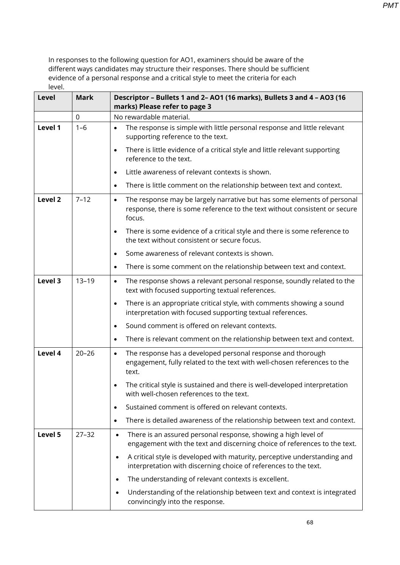| <b>Level</b>       | <b>Mark</b> | Descriptor - Bullets 1 and 2- AO1 (16 marks), Bullets 3 and 4 - AO3 (16<br>marks) Please refer to page 3                                                                     |
|--------------------|-------------|------------------------------------------------------------------------------------------------------------------------------------------------------------------------------|
|                    | $\mathbf 0$ | No rewardable material.                                                                                                                                                      |
| Level 1            | $1 - 6$     | The response is simple with little personal response and little relevant<br>$\bullet$<br>supporting reference to the text.                                                   |
|                    |             | There is little evidence of a critical style and little relevant supporting<br>$\bullet$<br>reference to the text.                                                           |
|                    |             | Little awareness of relevant contexts is shown.<br>$\bullet$                                                                                                                 |
|                    |             | There is little comment on the relationship between text and context.<br>$\bullet$                                                                                           |
| Level <sub>2</sub> | $7 - 12$    | The response may be largely narrative but has some elements of personal<br>$\bullet$<br>response, there is some reference to the text without consistent or secure<br>focus. |
|                    |             | There is some evidence of a critical style and there is some reference to<br>$\bullet$<br>the text without consistent or secure focus.                                       |
|                    |             | Some awareness of relevant contexts is shown.<br>$\bullet$                                                                                                                   |
|                    |             | There is some comment on the relationship between text and context.<br>$\bullet$                                                                                             |
| Level 3            | $13 - 19$   | The response shows a relevant personal response, soundly related to the<br>$\bullet$<br>text with focused supporting textual references.                                     |
|                    |             | There is an appropriate critical style, with comments showing a sound<br>$\bullet$<br>interpretation with focused supporting textual references.                             |
|                    |             | Sound comment is offered on relevant contexts.<br>$\bullet$                                                                                                                  |
|                    |             | There is relevant comment on the relationship between text and context.<br>$\bullet$                                                                                         |
| Level 4            | $20 - 26$   | The response has a developed personal response and thorough<br>$\bullet$<br>engagement, fully related to the text with well-chosen references to the<br>text.                |
|                    |             | The critical style is sustained and there is well-developed interpretation<br>$\bullet$<br>with well-chosen references to the text.                                          |
|                    |             | Sustained comment is offered on relevant contexts.<br>$\bullet$                                                                                                              |
|                    |             | There is detailed awareness of the relationship between text and context.<br>$\bullet$                                                                                       |
| Level 5            | $27 - 32$   | There is an assured personal response, showing a high level of<br>$\bullet$<br>engagement with the text and discerning choice of references to the text.                     |
|                    |             | A critical style is developed with maturity, perceptive understanding and<br>$\bullet$<br>interpretation with discerning choice of references to the text.                   |
|                    |             | The understanding of relevant contexts is excellent.<br>$\bullet$                                                                                                            |
|                    |             | Understanding of the relationship between text and context is integrated<br>$\bullet$<br>convincingly into the response.                                                     |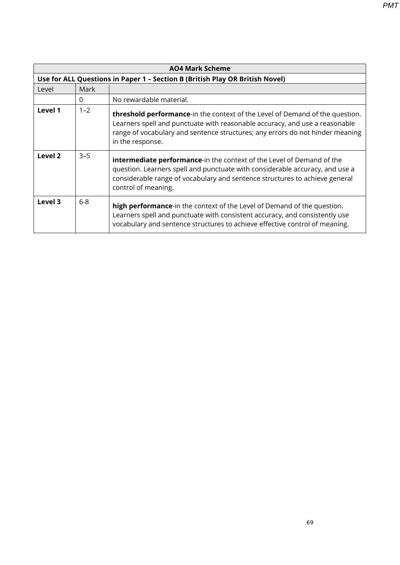**AO4 Mark Scheme Use for ALL Questions in Paper 1 – Section B (British Play OR British Novel)** Level | Mark 0 No rewardable material. **Level 1** 1–2 **threshold performance**-in the context of the Level of Demand of the question. Learners spell and punctuate with reasonable accuracy, and use a reasonable range of vocabulary and sentence structures; any errors do not hinder meaning in the response. **Level 2** 3–5 **intermediate performance**-in the context of the Level of Demand of the question. Learners spell and punctuate with considerable accuracy, and use a considerable range of vocabulary and sentence structures to achieve general control of meaning. **Level 3** 6-8 **high performance**-in the context of the Level of Demand of the question. *PMT*

> Learners spell and punctuate with consistent accuracy, and consistently use vocabulary and sentence structures to achieve effective control of meaning.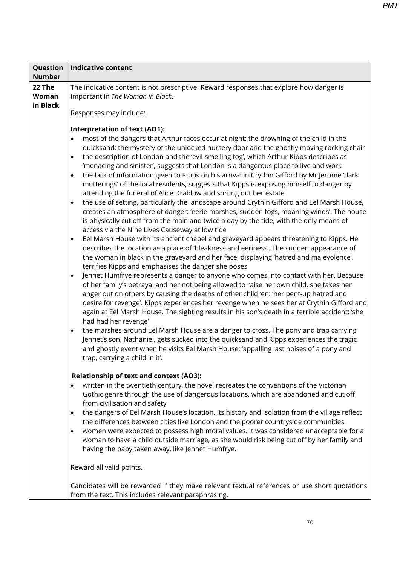| Question<br><b>Number</b>   | <b>Indicative content</b>                                                                                                                                                                                                                                                                                                                                                                                                                                                                                                                                                                                                                                                                                                                                                                                                                                                                                                                                                                                                                                                                                                                                                                                                                                                                                                                                                                                                                                                                                                                                                                                                                                                                                                                                                                                                                                                                                                                                                                                                                                                                                                                                                                                                                                  |  |  |  |
|-----------------------------|------------------------------------------------------------------------------------------------------------------------------------------------------------------------------------------------------------------------------------------------------------------------------------------------------------------------------------------------------------------------------------------------------------------------------------------------------------------------------------------------------------------------------------------------------------------------------------------------------------------------------------------------------------------------------------------------------------------------------------------------------------------------------------------------------------------------------------------------------------------------------------------------------------------------------------------------------------------------------------------------------------------------------------------------------------------------------------------------------------------------------------------------------------------------------------------------------------------------------------------------------------------------------------------------------------------------------------------------------------------------------------------------------------------------------------------------------------------------------------------------------------------------------------------------------------------------------------------------------------------------------------------------------------------------------------------------------------------------------------------------------------------------------------------------------------------------------------------------------------------------------------------------------------------------------------------------------------------------------------------------------------------------------------------------------------------------------------------------------------------------------------------------------------------------------------------------------------------------------------------------------------|--|--|--|
| 22 The<br>Woman<br>in Black | The indicative content is not prescriptive. Reward responses that explore how danger is<br>important in The Woman in Black.<br>Responses may include:                                                                                                                                                                                                                                                                                                                                                                                                                                                                                                                                                                                                                                                                                                                                                                                                                                                                                                                                                                                                                                                                                                                                                                                                                                                                                                                                                                                                                                                                                                                                                                                                                                                                                                                                                                                                                                                                                                                                                                                                                                                                                                      |  |  |  |
|                             | <b>Interpretation of text (AO1):</b><br>most of the dangers that Arthur faces occur at night: the drowning of the child in the<br>quicksand; the mystery of the unlocked nursery door and the ghostly moving rocking chair<br>the description of London and the 'evil-smelling fog', which Arthur Kipps describes as<br>$\bullet$<br>'menacing and sinister', suggests that London is a dangerous place to live and work<br>the lack of information given to Kipps on his arrival in Crythin Gifford by Mr Jerome 'dark<br>$\bullet$<br>mutterings' of the local residents, suggests that Kipps is exposing himself to danger by<br>attending the funeral of Alice Drablow and sorting out her estate<br>the use of setting, particularly the landscape around Crythin Gifford and Eel Marsh House,<br>$\bullet$<br>creates an atmosphere of danger: 'eerie marshes, sudden fogs, moaning winds'. The house<br>is physically cut off from the mainland twice a day by the tide, with the only means of<br>access via the Nine Lives Causeway at low tide<br>Eel Marsh House with its ancient chapel and graveyard appears threatening to Kipps. He<br>$\bullet$<br>describes the location as a place of 'bleakness and eeriness'. The sudden appearance of<br>the woman in black in the graveyard and her face, displaying 'hatred and malevolence',<br>terrifies Kipps and emphasises the danger she poses<br>Jennet Humfrye represents a danger to anyone who comes into contact with her. Because<br>$\bullet$<br>of her family's betrayal and her not being allowed to raise her own child, she takes her<br>anger out on others by causing the deaths of other children: 'her pent-up hatred and<br>desire for revenge'. Kipps experiences her revenge when he sees her at Crythin Gifford and<br>again at Eel Marsh House. The sighting results in his son's death in a terrible accident: 'she<br>had had her revenge'<br>the marshes around Eel Marsh House are a danger to cross. The pony and trap carrying<br>$\bullet$<br>Jennet's son, Nathaniel, gets sucked into the quicksand and Kipps experiences the tragic<br>and ghostly event when he visits Eel Marsh House: 'appalling last noises of a pony and<br>trap, carrying a child in it'. |  |  |  |
|                             | <b>Relationship of text and context (AO3):</b><br>written in the twentieth century, the novel recreates the conventions of the Victorian<br>Gothic genre through the use of dangerous locations, which are abandoned and cut off<br>from civilisation and safety<br>the dangers of Eel Marsh House's location, its history and isolation from the village reflect<br>$\bullet$<br>the differences between cities like London and the poorer countryside communities<br>women were expected to possess high moral values. It was considered unacceptable for a<br>woman to have a child outside marriage, as she would risk being cut off by her family and<br>having the baby taken away, like Jennet Humfrye.<br>Reward all valid points.<br>Candidates will be rewarded if they make relevant textual references or use short quotations                                                                                                                                                                                                                                                                                                                                                                                                                                                                                                                                                                                                                                                                                                                                                                                                                                                                                                                                                                                                                                                                                                                                                                                                                                                                                                                                                                                                                 |  |  |  |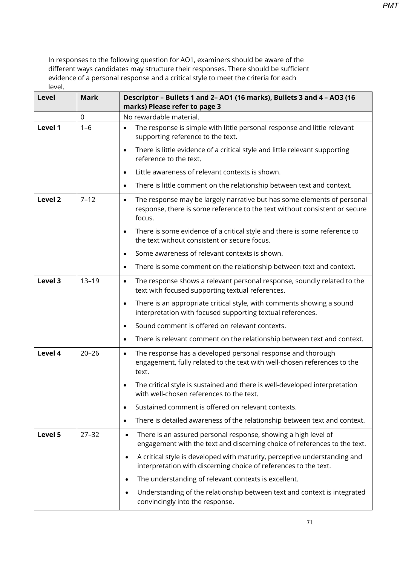| Level   | <b>Mark</b> | Descriptor - Bullets 1 and 2- AO1 (16 marks), Bullets 3 and 4 - AO3 (16<br>marks) Please refer to page 3                                                                     |
|---------|-------------|------------------------------------------------------------------------------------------------------------------------------------------------------------------------------|
|         | $\mathbf 0$ | No rewardable material.                                                                                                                                                      |
| Level 1 | $1 - 6$     | The response is simple with little personal response and little relevant<br>$\bullet$<br>supporting reference to the text.                                                   |
|         |             | There is little evidence of a critical style and little relevant supporting<br>$\bullet$<br>reference to the text.                                                           |
|         |             | Little awareness of relevant contexts is shown.<br>$\bullet$                                                                                                                 |
|         |             | There is little comment on the relationship between text and context.<br>$\bullet$                                                                                           |
| Level 2 | $7 - 12$    | The response may be largely narrative but has some elements of personal<br>$\bullet$<br>response, there is some reference to the text without consistent or secure<br>focus. |
|         |             | There is some evidence of a critical style and there is some reference to<br>$\bullet$<br>the text without consistent or secure focus.                                       |
|         |             | Some awareness of relevant contexts is shown.<br>$\bullet$                                                                                                                   |
|         |             | There is some comment on the relationship between text and context.<br>$\bullet$                                                                                             |
| Level 3 | $13 - 19$   | The response shows a relevant personal response, soundly related to the<br>$\bullet$<br>text with focused supporting textual references.                                     |
|         |             | There is an appropriate critical style, with comments showing a sound<br>$\bullet$<br>interpretation with focused supporting textual references.                             |
|         |             | Sound comment is offered on relevant contexts.<br>$\bullet$                                                                                                                  |
|         |             | There is relevant comment on the relationship between text and context.<br>$\bullet$                                                                                         |
| Level 4 | $20 - 26$   | The response has a developed personal response and thorough<br>$\bullet$<br>engagement, fully related to the text with well-chosen references to the<br>text.                |
|         |             | The critical style is sustained and there is well-developed interpretation<br>with well-chosen references to the text.                                                       |
|         |             | Sustained comment is offered on relevant contexts.                                                                                                                           |
|         |             | There is detailed awareness of the relationship between text and context.<br>٠                                                                                               |
| Level 5 | $27 - 32$   | There is an assured personal response, showing a high level of<br>$\bullet$<br>engagement with the text and discerning choice of references to the text.                     |
|         |             | A critical style is developed with maturity, perceptive understanding and<br>$\bullet$<br>interpretation with discerning choice of references to the text.                   |
|         |             | The understanding of relevant contexts is excellent.<br>$\bullet$                                                                                                            |
|         |             | Understanding of the relationship between text and context is integrated<br>$\bullet$<br>convincingly into the response.                                                     |